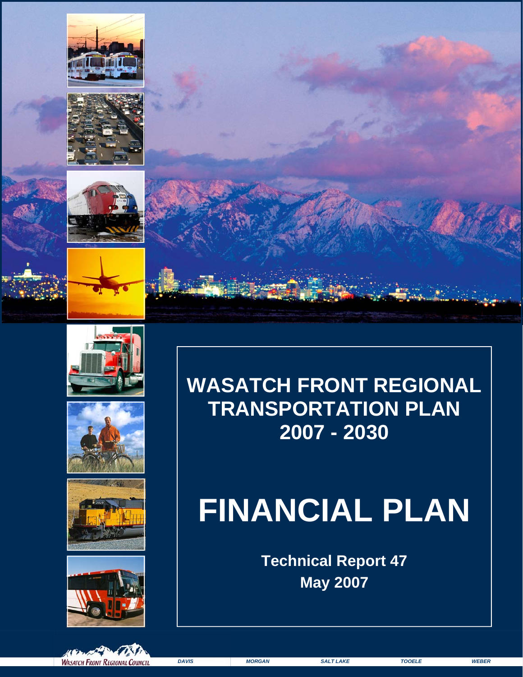

















**WASATCH FRONT REGIONAL TRANSPORTATION PLAN 2007 - 2030** 

# **FINANCIAL PLAN**

**Technical Report 47 May 2007**



 *DAVIS MORGAN SALT LAKE TOOELE WEBER*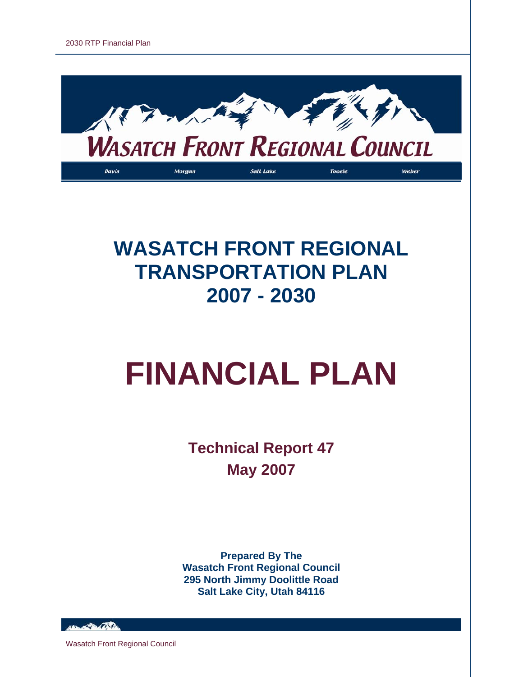

## **WASATCH FRONT REGIONAL TRANSPORTATION PLAN 2007 - 2030**

# **FINANCIAL PLAN**

**Technical Report 47 May 2007**

**Prepared By The Wasatch Front Regional Council 295 North Jimmy Doolittle Road Salt Lake City, Utah 84116** 



Wasatch Front Regional Council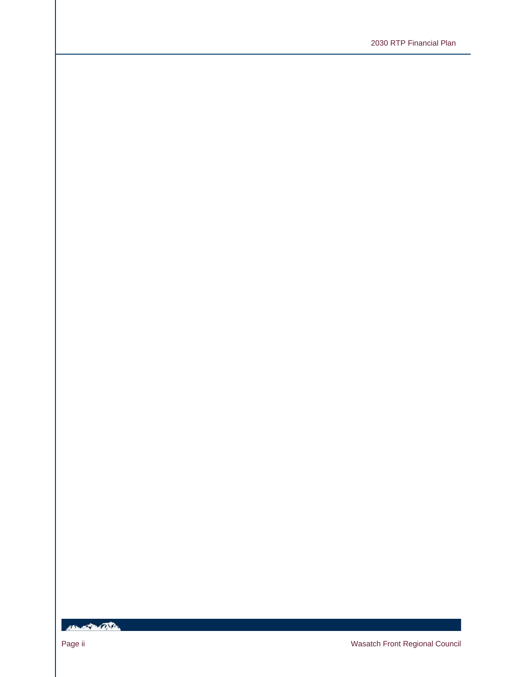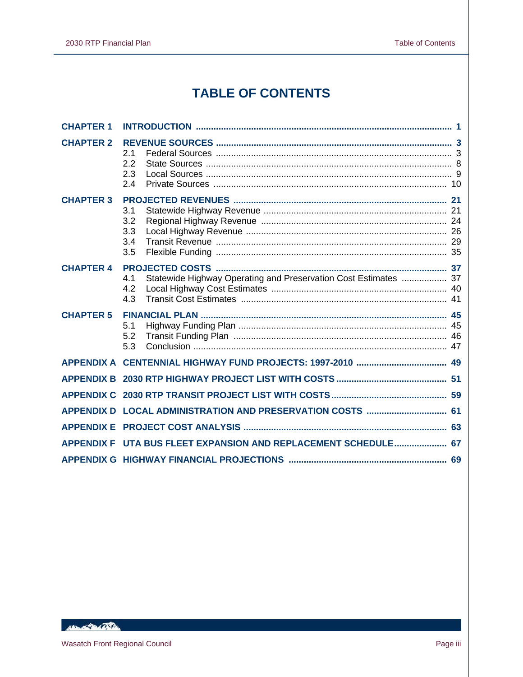## **TABLE OF CONTENTS**

| <b>CHAPTER 1</b>  |                                 |                                                                 |  |  |  |
|-------------------|---------------------------------|-----------------------------------------------------------------|--|--|--|
| <b>CHAPTER 2</b>  | 2.1<br>2.2<br>2.3<br>2.4        |                                                                 |  |  |  |
| <b>CHAPTER 3</b>  | 3.1<br>3.2<br>3.3<br>3.4<br>3.5 |                                                                 |  |  |  |
| <b>CHAPTER 4</b>  | 4.1<br>4.2<br>4.3               | Statewide Highway Operating and Preservation Cost Estimates  37 |  |  |  |
| <b>CHAPTER 5</b>  | 5.1<br>5.2<br>5.3               |                                                                 |  |  |  |
|                   |                                 |                                                                 |  |  |  |
|                   |                                 |                                                                 |  |  |  |
|                   |                                 |                                                                 |  |  |  |
|                   |                                 |                                                                 |  |  |  |
|                   |                                 |                                                                 |  |  |  |
| <b>APPENDIX F</b> |                                 | UTA BUS FLEET EXPANSION AND REPLACEMENT SCHEDULE 67             |  |  |  |
|                   |                                 |                                                                 |  |  |  |

Hand Call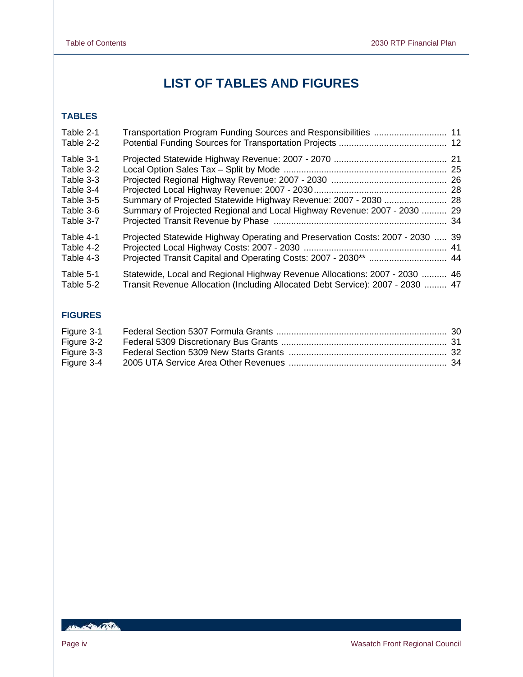## **LIST OF TABLES AND FIGURES**

#### **TABLES**

L

| Table 2-1 |                                                                                |  |
|-----------|--------------------------------------------------------------------------------|--|
| Table 2-2 |                                                                                |  |
| Table 3-1 |                                                                                |  |
| Table 3-2 |                                                                                |  |
| Table 3-3 |                                                                                |  |
| Table 3-4 |                                                                                |  |
| Table 3-5 |                                                                                |  |
| Table 3-6 | Summary of Projected Regional and Local Highway Revenue: 2007 - 2030  29       |  |
| Table 3-7 |                                                                                |  |
| Table 4-1 | Projected Statewide Highway Operating and Preservation Costs: 2007 - 2030  39  |  |
| Table 4-2 |                                                                                |  |
| Table 4-3 |                                                                                |  |
| Table 5-1 | Statewide, Local and Regional Highway Revenue Allocations: 2007 - 2030  46     |  |
| Table 5-2 | Transit Revenue Allocation (Including Allocated Debt Service): 2007 - 2030  47 |  |
|           |                                                                                |  |

#### **FIGURES**

| Figure 3-1 |  |
|------------|--|
| Figure 3-2 |  |
| Figure 3-3 |  |
| Figure 3-4 |  |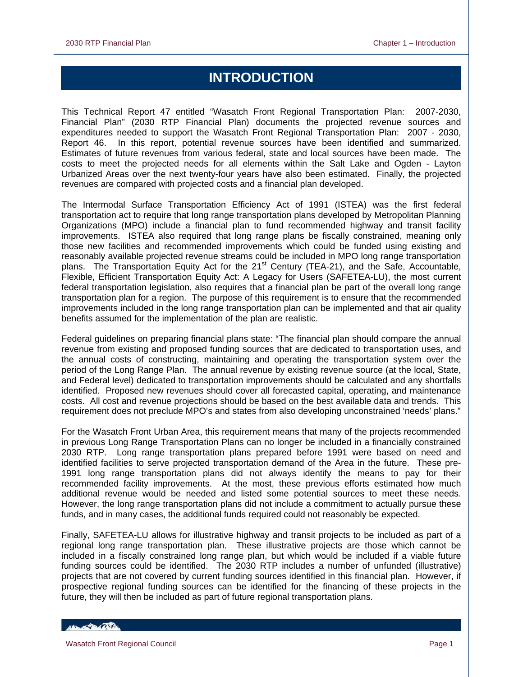## **INTRODUCTION**

This Technical Report 47 entitled "Wasatch Front Regional Transportation Plan: 2007-2030, Financial Plan" (2030 RTP Financial Plan) documents the projected revenue sources and expenditures needed to support the Wasatch Front Regional Transportation Plan: 2007 - 2030, Report 46. In this report, potential revenue sources have been identified and summarized. Estimates of future revenues from various federal, state and local sources have been made. The costs to meet the projected needs for all elements within the Salt Lake and Ogden - Layton Urbanized Areas over the next twenty-four years have also been estimated. Finally, the projected revenues are compared with projected costs and a financial plan developed.

The Intermodal Surface Transportation Efficiency Act of 1991 (ISTEA) was the first federal transportation act to require that long range transportation plans developed by Metropolitan Planning Organizations (MPO) include a financial plan to fund recommended highway and transit facility improvements. ISTEA also required that long range plans be fiscally constrained, meaning only those new facilities and recommended improvements which could be funded using existing and reasonably available projected revenue streams could be included in MPO long range transportation plans. The Transportation Equity Act for the 21<sup>st</sup> Century (TEA-21), and the Safe, Accountable, Flexible, Efficient Transportation Equity Act: A Legacy for Users (SAFETEA-LU), the most current federal transportation legislation, also requires that a financial plan be part of the overall long range transportation plan for a region. The purpose of this requirement is to ensure that the recommended improvements included in the long range transportation plan can be implemented and that air quality benefits assumed for the implementation of the plan are realistic.

Federal guidelines on preparing financial plans state: "The financial plan should compare the annual revenue from existing and proposed funding sources that are dedicated to transportation uses, and the annual costs of constructing, maintaining and operating the transportation system over the period of the Long Range Plan. The annual revenue by existing revenue source (at the local, State, and Federal level) dedicated to transportation improvements should be calculated and any shortfalls identified. Proposed new revenues should cover all forecasted capital, operating, and maintenance costs. All cost and revenue projections should be based on the best available data and trends. This requirement does not preclude MPO's and states from also developing unconstrained 'needs' plans."

For the Wasatch Front Urban Area, this requirement means that many of the projects recommended in previous Long Range Transportation Plans can no longer be included in a financially constrained 2030 RTP. Long range transportation plans prepared before 1991 were based on need and identified facilities to serve projected transportation demand of the Area in the future. These pre-1991 long range transportation plans did not always identify the means to pay for their recommended facility improvements. At the most, these previous efforts estimated how much additional revenue would be needed and listed some potential sources to meet these needs. However, the long range transportation plans did not include a commitment to actually pursue these funds, and in many cases, the additional funds required could not reasonably be expected.

Finally, SAFETEA-LU allows for illustrative highway and transit projects to be included as part of a regional long range transportation plan. These illustrative projects are those which cannot be included in a fiscally constrained long range plan, but which would be included if a viable future funding sources could be identified. The 2030 RTP includes a number of unfunded (illustrative) projects that are not covered by current funding sources identified in this financial plan. However, if prospective regional funding sources can be identified for the financing of these projects in the future, they will then be included as part of future regional transportation plans.

150 Bally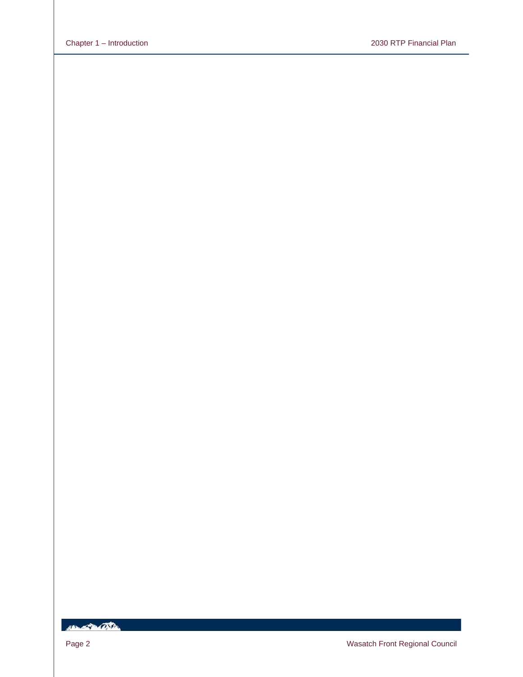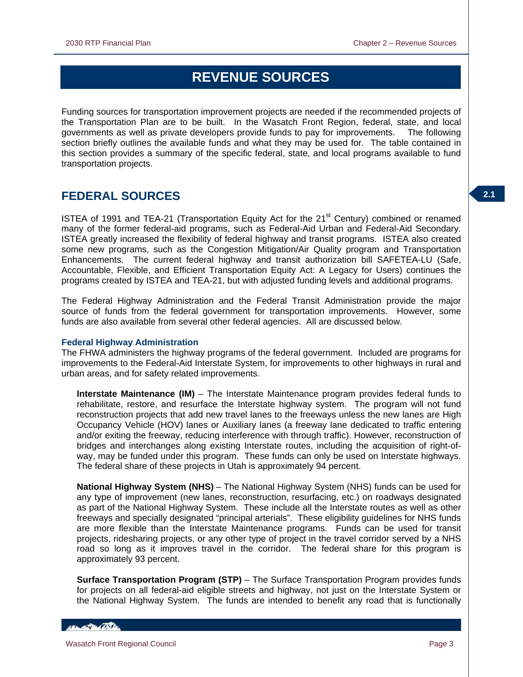## **REVENUE SOURCES**

Funding sources for transportation improvement projects are needed if the recommended projects of the Transportation Plan are to be built. In the Wasatch Front Region, federal, state, and local governments as well as private developers provide funds to pay for improvements. The following section briefly outlines the available funds and what they may be used for. The table contained in this section provides a summary of the specific federal, state, and local programs available to fund transportation projects.

## **FEDERAL SOURCES**

ISTEA of 1991 and TEA-21 (Transportation Equity Act for the  $21<sup>st</sup>$  Century) combined or renamed many of the former federal-aid programs, such as Federal-Aid Urban and Federal-Aid Secondary. ISTEA greatly increased the flexibility of federal highway and transit programs. ISTEA also created some new programs, such as the Congestion Mitigation/Air Quality program and Transportation Enhancements. The current federal highway and transit authorization bill SAFETEA-LU (Safe, Accountable, Flexible, and Efficient Transportation Equity Act: A Legacy for Users) continues the programs created by ISTEA and TEA-21, but with adjusted funding levels and additional programs.

The Federal Highway Administration and the Federal Transit Administration provide the major source of funds from the federal government for transportation improvements. However, some funds are also available from several other federal agencies. All are discussed below.

#### **Federal Highway Administration**

The FHWA administers the highway programs of the federal government. Included are programs for improvements to the Federal-Aid Interstate System, for improvements to other highways in rural and urban areas, and for safety related improvements.

**Interstate Maintenance (IM)** – The Interstate Maintenance program provides federal funds to rehabilitate, restore, and resurface the Interstate highway system. The program will not fund reconstruction projects that add new travel lanes to the freeways unless the new lanes are High Occupancy Vehicle (HOV) lanes or Auxiliary lanes (a freeway lane dedicated to traffic entering and/or exiting the freeway, reducing interference with through traffic). However, reconstruction of bridges and interchanges along existing Interstate routes, including the acquisition of right-ofway, may be funded under this program. These funds can only be used on Interstate highways. The federal share of these projects in Utah is approximately 94 percent.

**National Highway System (NHS)** – The National Highway System (NHS) funds can be used for any type of improvement (new lanes, reconstruction, resurfacing, etc.) on roadways designated as part of the National Highway System. These include all the Interstate routes as well as other freeways and specially designated "principal arterials". These eligibility guidelines for NHS funds are more flexible than the Interstate Maintenance programs. Funds can be used for transit projects, ridesharing projects, or any other type of project in the travel corridor served by a NHS road so long as it improves travel in the corridor. The federal share for this program is approximately 93 percent.

**Surface Transportation Program (STP)** – The Surface Transportation Program provides funds for projects on all federal-aid eligible streets and highway, not just on the Interstate System or the National Highway System. The funds are intended to benefit any road that is functionally

*COLLEGE COSTA*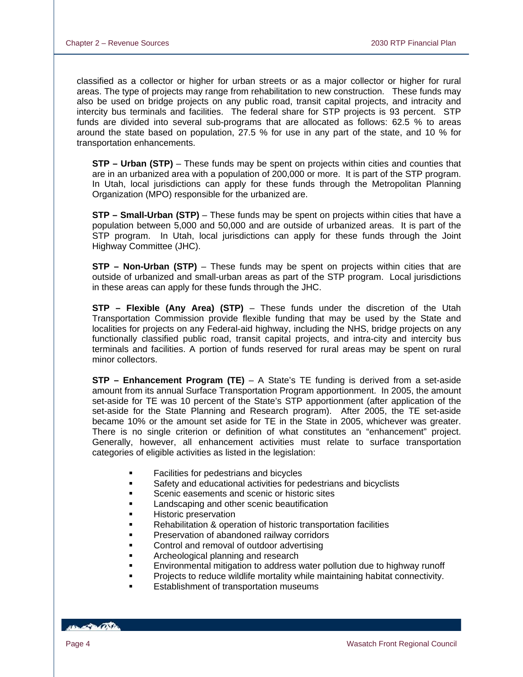classified as a collector or higher for urban streets or as a major collector or higher for rural areas. The type of projects may range from rehabilitation to new construction. These funds may also be used on bridge projects on any public road, transit capital projects, and intracity and intercity bus terminals and facilities. The federal share for STP projects is 93 percent. STP funds are divided into several sub-programs that are allocated as follows: 62.5 % to areas around the state based on population, 27.5 % for use in any part of the state, and 10 % for transportation enhancements.

**STP – Urban (STP)** – These funds may be spent on projects within cities and counties that are in an urbanized area with a population of 200,000 or more. It is part of the STP program. In Utah, local jurisdictions can apply for these funds through the Metropolitan Planning Organization (MPO) responsible for the urbanized are.

**STP – Small-Urban (STP)** – These funds may be spent on projects within cities that have a population between 5,000 and 50,000 and are outside of urbanized areas. It is part of the STP program. In Utah, local jurisdictions can apply for these funds through the Joint Highway Committee (JHC).

**STP – Non-Urban (STP)** – These funds may be spent on projects within cities that are outside of urbanized and small-urban areas as part of the STP program. Local jurisdictions in these areas can apply for these funds through the JHC.

**STP – Flexible (Any Area) (STP)** – These funds under the discretion of the Utah Transportation Commission provide flexible funding that may be used by the State and localities for projects on any Federal-aid highway, including the NHS, bridge projects on any functionally classified public road, transit capital projects, and intra-city and intercity bus terminals and facilities. A portion of funds reserved for rural areas may be spent on rural minor collectors.

**STP – Enhancement Program (TE)** – A State's TE funding is derived from a set-aside amount from its annual Surface Transportation Program apportionment. In 2005, the amount set-aside for TE was 10 percent of the State's STP apportionment (after application of the set-aside for the State Planning and Research program). After 2005, the TE set-aside became 10% or the amount set aside for TE in the State in 2005, whichever was greater. There is no single criterion or definition of what constitutes an "enhancement" project. Generally, however, all enhancement activities must relate to surface transportation categories of eligible activities as listed in the legislation:

- **Facilities for pedestrians and bicycles**
- Safety and educational activities for pedestrians and bicyclists
- Scenic easements and scenic or historic sites
- Landscaping and other scenic beautification
- Historic preservation
- Rehabilitation & operation of historic transportation facilities
- Preservation of abandoned railway corridors
- Control and removal of outdoor advertising
- Archeological planning and research
- Environmental mitigation to address water pollution due to highway runoff
- Projects to reduce wildlife mortality while maintaining habitat connectivity.
- Establishment of transportation museums

**IEL APRIL OSTA**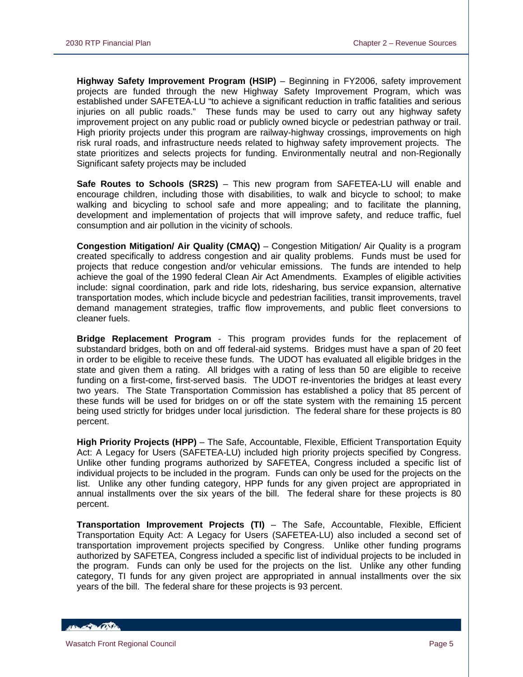**Highway Safety Improvement Program (HSIP)** – Beginning in FY2006, safety improvement projects are funded through the new Highway Safety Improvement Program, which was established under SAFETEA-LU "to achieve a significant reduction in traffic fatalities and serious injuries on all public roads." These funds may be used to carry out any highway safety improvement project on any public road or publicly owned bicycle or pedestrian pathway or trail. High priority projects under this program are railway-highway crossings, improvements on high risk rural roads, and infrastructure needs related to highway safety improvement projects. The state prioritizes and selects projects for funding. Environmentally neutral and non-Regionally Significant safety projects may be included

**Safe Routes to Schools (SR2S)** – This new program from SAFETEA-LU will enable and encourage children, including those with disabilities, to walk and bicycle to school; to make walking and bicycling to school safe and more appealing; and to facilitate the planning, development and implementation of projects that will improve safety, and reduce traffic, fuel consumption and air pollution in the vicinity of schools.

**Congestion Mitigation/ Air Quality (CMAQ)** – Congestion Mitigation/ Air Quality is a program created specifically to address congestion and air quality problems. Funds must be used for projects that reduce congestion and/or vehicular emissions. The funds are intended to help achieve the goal of the 1990 federal Clean Air Act Amendments. Examples of eligible activities include: signal coordination, park and ride lots, ridesharing, bus service expansion, alternative transportation modes, which include bicycle and pedestrian facilities, transit improvements, travel demand management strategies, traffic flow improvements, and public fleet conversions to cleaner fuels.

**Bridge Replacement Program** - This program provides funds for the replacement of substandard bridges, both on and off federal-aid systems. Bridges must have a span of 20 feet in order to be eligible to receive these funds. The UDOT has evaluated all eligible bridges in the state and given them a rating. All bridges with a rating of less than 50 are eligible to receive funding on a first-come, first-served basis. The UDOT re-inventories the bridges at least every two years. The State Transportation Commission has established a policy that 85 percent of these funds will be used for bridges on or off the state system with the remaining 15 percent being used strictly for bridges under local jurisdiction. The federal share for these projects is 80 percent.

**High Priority Projects (HPP)** – The Safe, Accountable, Flexible, Efficient Transportation Equity Act: A Legacy for Users (SAFETEA-LU) included high priority projects specified by Congress. Unlike other funding programs authorized by SAFETEA, Congress included a specific list of individual projects to be included in the program. Funds can only be used for the projects on the list. Unlike any other funding category, HPP funds for any given project are appropriated in annual installments over the six years of the bill. The federal share for these projects is 80 percent.

**Transportation Improvement Projects (TI)** – The Safe, Accountable, Flexible, Efficient Transportation Equity Act: A Legacy for Users (SAFETEA-LU) also included a second set of transportation improvement projects specified by Congress. Unlike other funding programs authorized by SAFETEA, Congress included a specific list of individual projects to be included in the program. Funds can only be used for the projects on the list. Unlike any other funding category, TI funds for any given project are appropriated in annual installments over the six years of the bill. The federal share for these projects is 93 percent.

*ABON AND BOOMS*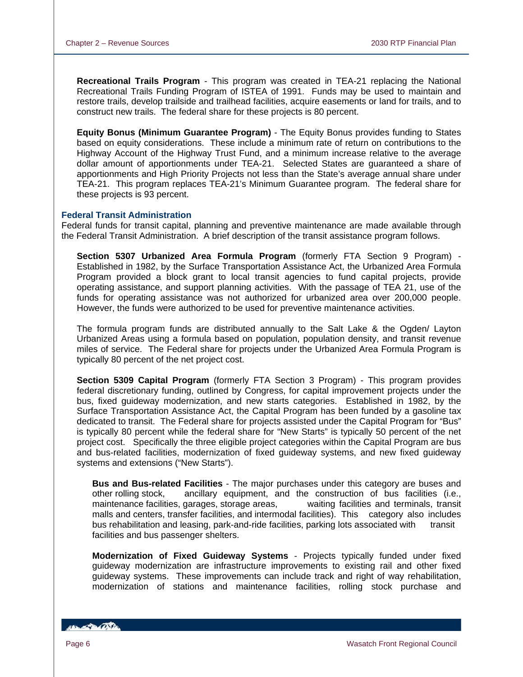**Recreational Trails Program** - This program was created in TEA-21 replacing the National Recreational Trails Funding Program of ISTEA of 1991. Funds may be used to maintain and restore trails, develop trailside and trailhead facilities, acquire easements or land for trails, and to construct new trails. The federal share for these projects is 80 percent.

**Equity Bonus (Minimum Guarantee Program)** - The Equity Bonus provides funding to States based on equity considerations. These include a minimum rate of return on contributions to the Highway Account of the Highway Trust Fund, and a minimum increase relative to the average dollar amount of apportionments under TEA-21. Selected States are guaranteed a share of apportionments and High Priority Projects not less than the State's average annual share under TEA-21. This program replaces TEA-21's Minimum Guarantee program. The federal share for these projects is 93 percent.

#### **Federal Transit Administration**

Federal funds for transit capital, planning and preventive maintenance are made available through the Federal Transit Administration. A brief description of the transit assistance program follows.

**Section 5307 Urbanized Area Formula Program** (formerly FTA Section 9 Program) - Established in 1982, by the Surface Transportation Assistance Act, the Urbanized Area Formula Program provided a block grant to local transit agencies to fund capital projects, provide operating assistance, and support planning activities. With the passage of TEA 21, use of the funds for operating assistance was not authorized for urbanized area over 200,000 people. However, the funds were authorized to be used for preventive maintenance activities.

The formula program funds are distributed annually to the Salt Lake & the Ogden/ Layton Urbanized Areas using a formula based on population, population density, and transit revenue miles of service. The Federal share for projects under the Urbanized Area Formula Program is typically 80 percent of the net project cost.

**Section 5309 Capital Program** (formerly FTA Section 3 Program) - This program provides federal discretionary funding, outlined by Congress, for capital improvement projects under the bus, fixed guideway modernization, and new starts categories. Established in 1982, by the Surface Transportation Assistance Act, the Capital Program has been funded by a gasoline tax dedicated to transit. The Federal share for projects assisted under the Capital Program for "Bus" is typically 80 percent while the federal share for "New Starts" is typically 50 percent of the net project cost. Specifically the three eligible project categories within the Capital Program are bus and bus-related facilities, modernization of fixed guideway systems, and new fixed guideway systems and extensions ("New Starts").

**Bus and Bus-related Facilities** - The major purchases under this category are buses and other rolling stock, ancillary equipment, and the construction of bus facilities (i.e., maintenance facilities, garages, storage areas, waiting facilities and terminals, transit malls and centers, transfer facilities, and intermodal facilities). This category also includes bus rehabilitation and leasing, park-and-ride facilities, parking lots associated with transit facilities and bus passenger shelters.

**Modernization of Fixed Guideway Systems** - Projects typically funded under fixed guideway modernization are infrastructure improvements to existing rail and other fixed guideway systems. These improvements can include track and right of way rehabilitation, modernization of stations and maintenance facilities, rolling stock purchase and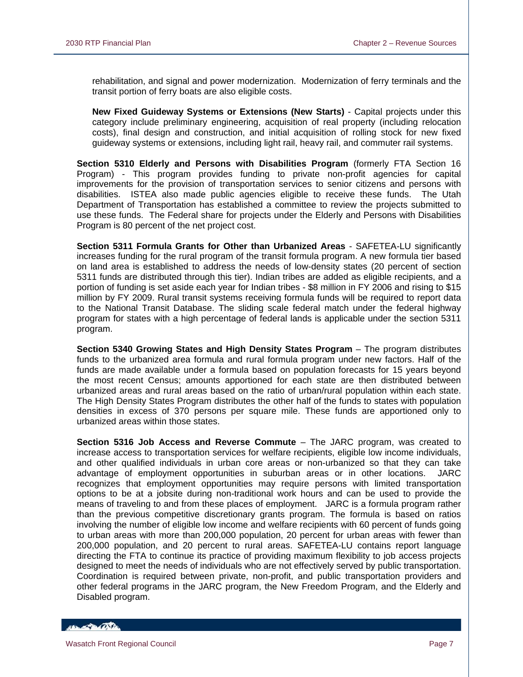rehabilitation, and signal and power modernization. Modernization of ferry terminals and the transit portion of ferry boats are also eligible costs.

**New Fixed Guideway Systems or Extensions (New Starts)** - Capital projects under this category include preliminary engineering, acquisition of real property (including relocation costs), final design and construction, and initial acquisition of rolling stock for new fixed guideway systems or extensions, including light rail, heavy rail, and commuter rail systems.

**Section 5310 Elderly and Persons with Disabilities Program** (formerly FTA Section 16 Program) - This program provides funding to private non-profit agencies for capital improvements for the provision of transportation services to senior citizens and persons with disabilities. ISTEA also made public agencies eligible to receive these funds. The Utah Department of Transportation has established a committee to review the projects submitted to use these funds. The Federal share for projects under the Elderly and Persons with Disabilities Program is 80 percent of the net project cost.

**Section 5311 Formula Grants for Other than Urbanized Areas** - SAFETEA-LU significantly increases funding for the rural program of the transit formula program. A new formula tier based on land area is established to address the needs of low-density states (20 percent of section 5311 funds are distributed through this tier). Indian tribes are added as eligible recipients, and a portion of funding is set aside each year for Indian tribes - \$8 million in FY 2006 and rising to \$15 million by FY 2009. Rural transit systems receiving formula funds will be required to report data to the National Transit Database. The sliding scale federal match under the federal highway program for states with a high percentage of federal lands is applicable under the section 5311 program.

**Section 5340 Growing States and High Density States Program** – The program distributes funds to the urbanized area formula and rural formula program under new factors. Half of the funds are made available under a formula based on population forecasts for 15 years beyond the most recent Census; amounts apportioned for each state are then distributed between urbanized areas and rural areas based on the ratio of urban/rural population within each state. The High Density States Program distributes the other half of the funds to states with population densities in excess of 370 persons per square mile. These funds are apportioned only to urbanized areas within those states.

**Section 5316 Job Access and Reverse Commute** – The JARC program, was created to increase access to transportation services for welfare recipients, eligible low income individuals, and other qualified individuals in urban core areas or non-urbanized so that they can take advantage of employment opportunities in suburban areas or in other locations. JARC recognizes that employment opportunities may require persons with limited transportation options to be at a jobsite during non-traditional work hours and can be used to provide the means of traveling to and from these places of employment. JARC is a formula program rather than the previous competitive discretionary grants program. The formula is based on ratios involving the number of eligible low income and welfare recipients with 60 percent of funds going to urban areas with more than 200,000 population, 20 percent for urban areas with fewer than 200,000 population, and 20 percent to rural areas. SAFETEA-LU contains report language directing the FTA to continue its practice of providing maximum flexibility to job access projects designed to meet the needs of individuals who are not effectively served by public transportation. Coordination is required between private, non-profit, and public transportation providers and other federal programs in the JARC program, the New Freedom Program, and the Elderly and Disabled program.

150 Belleville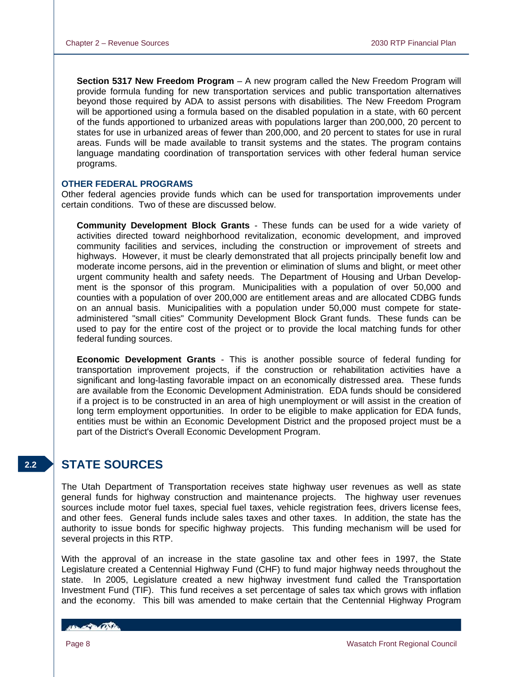**Section 5317 New Freedom Program** – A new program called the New Freedom Program will provide formula funding for new transportation services and public transportation alternatives beyond those required by ADA to assist persons with disabilities. The New Freedom Program will be apportioned using a formula based on the disabled population in a state, with 60 percent of the funds apportioned to urbanized areas with populations larger than 200,000, 20 percent to states for use in urbanized areas of fewer than 200,000, and 20 percent to states for use in rural areas. Funds will be made available to transit systems and the states. The program contains language mandating coordination of transportation services with other federal human service programs.

#### **OTHER FEDERAL PROGRAMS**

Other federal agencies provide funds which can be used for transportation improvements under certain conditions. Two of these are discussed below.

**Community Development Block Grants** - These funds can be used for a wide variety of activities directed toward neighborhood revitalization, economic development, and improved community facilities and services, including the construction or improvement of streets and highways. However, it must be clearly demonstrated that all projects principally benefit low and moderate income persons, aid in the prevention or elimination of slums and blight, or meet other urgent community health and safety needs. The Department of Housing and Urban Development is the sponsor of this program. Municipalities with a population of over 50,000 and counties with a population of over 200,000 are entitlement areas and are allocated CDBG funds on an annual basis. Municipalities with a population under 50,000 must compete for stateadministered "small cities" Community Development Block Grant funds. These funds can be used to pay for the entire cost of the project or to provide the local matching funds for other federal funding sources.

**Economic Development Grants** - This is another possible source of federal funding for transportation improvement projects, if the construction or rehabilitation activities have a significant and long-lasting favorable impact on an economically distressed area. These funds are available from the Economic Development Administration. EDA funds should be considered if a project is to be constructed in an area of high unemployment or will assist in the creation of long term employment opportunities. In order to be eligible to make application for EDA funds, entities must be within an Economic Development District and the proposed project must be a part of the District's Overall Economic Development Program.

## **STATE SOURCES**

**2.2** 

The Utah Department of Transportation receives state highway user revenues as well as state general funds for highway construction and maintenance projects. The highway user revenues sources include motor fuel taxes, special fuel taxes, vehicle registration fees, drivers license fees, and other fees. General funds include sales taxes and other taxes. In addition, the state has the authority to issue bonds for specific highway projects. This funding mechanism will be used for several projects in this RTP.

With the approval of an increase in the state gasoline tax and other fees in 1997, the State Legislature created a Centennial Highway Fund (CHF) to fund major highway needs throughout the state. In 2005, Legislature created a new highway investment fund called the Transportation Investment Fund (TIF). This fund receives a set percentage of sales tax which grows with inflation and the economy. This bill was amended to make certain that the Centennial Highway Program

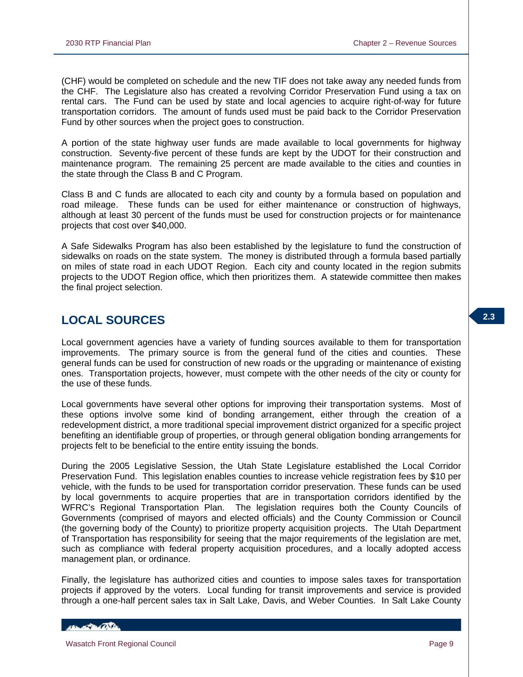(CHF) would be completed on schedule and the new TIF does not take away any needed funds from the CHF. The Legislature also has created a revolving Corridor Preservation Fund using a tax on rental cars. The Fund can be used by state and local agencies to acquire right-of-way for future transportation corridors. The amount of funds used must be paid back to the Corridor Preservation Fund by other sources when the project goes to construction.

A portion of the state highway user funds are made available to local governments for highway construction. Seventy-five percent of these funds are kept by the UDOT for their construction and maintenance program. The remaining 25 percent are made available to the cities and counties in the state through the Class B and C Program.

Class B and C funds are allocated to each city and county by a formula based on population and road mileage. These funds can be used for either maintenance or construction of highways, although at least 30 percent of the funds must be used for construction projects or for maintenance projects that cost over \$40,000.

A Safe Sidewalks Program has also been established by the legislature to fund the construction of sidewalks on roads on the state system. The money is distributed through a formula based partially on miles of state road in each UDOT Region. Each city and county located in the region submits projects to the UDOT Region office, which then prioritizes them. A statewide committee then makes the final project selection.

## **LOCAL SOURCES**

Local government agencies have a variety of funding sources available to them for transportation improvements. The primary source is from the general fund of the cities and counties. These general funds can be used for construction of new roads or the upgrading or maintenance of existing ones. Transportation projects, however, must compete with the other needs of the city or county for the use of these funds.

Local governments have several other options for improving their transportation systems. Most of these options involve some kind of bonding arrangement, either through the creation of a redevelopment district, a more traditional special improvement district organized for a specific project benefiting an identifiable group of properties, or through general obligation bonding arrangements for projects felt to be beneficial to the entire entity issuing the bonds.

During the 2005 Legislative Session, the Utah State Legislature established the Local Corridor Preservation Fund. This legislation enables counties to increase vehicle registration fees by \$10 per vehicle, with the funds to be used for transportation corridor preservation. These funds can be used by local governments to acquire properties that are in transportation corridors identified by the WFRC's Regional Transportation Plan. The legislation requires both the County Councils of Governments (comprised of mayors and elected officials) and the County Commission or Council (the governing body of the County) to prioritize property acquisition projects. The Utah Department of Transportation has responsibility for seeing that the major requirements of the legislation are met, such as compliance with federal property acquisition procedures, and a locally adopted access management plan, or ordinance.

Finally, the legislature has authorized cities and counties to impose sales taxes for transportation projects if approved by the voters. Local funding for transit improvements and service is provided through a one-half percent sales tax in Salt Lake, Davis, and Weber Counties. In Salt Lake County

**ABLACTER COSTA**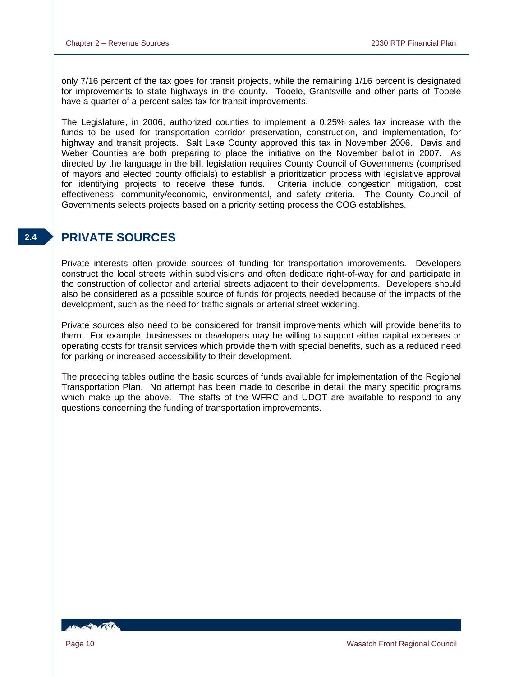only 7/16 percent of the tax goes for transit projects, while the remaining 1/16 percent is designated for improvements to state highways in the county. Tooele, Grantsville and other parts of Tooele have a quarter of a percent sales tax for transit improvements.

The Legislature, in 2006, authorized counties to implement a 0.25% sales tax increase with the funds to be used for transportation corridor preservation, construction, and implementation, for highway and transit projects. Salt Lake County approved this tax in November 2006. Davis and Weber Counties are both preparing to place the initiative on the November ballot in 2007. As directed by the language in the bill, legislation requires County Council of Governments (comprised of mayors and elected county officials) to establish a prioritization process with legislative approval for identifying projects to receive these funds. Criteria include congestion mitigation, cost effectiveness, community/economic, environmental, and safety criteria. The County Council of Governments selects projects based on a priority setting process the COG establishes.

## **PRIVATE SOURCES**

Private interests often provide sources of funding for transportation improvements. Developers construct the local streets within subdivisions and often dedicate right-of-way for and participate in the construction of collector and arterial streets adjacent to their developments. Developers should also be considered as a possible source of funds for projects needed because of the impacts of the development, such as the need for traffic signals or arterial street widening.

Private sources also need to be considered for transit improvements which will provide benefits to them. For example, businesses or developers may be willing to support either capital expenses or operating costs for transit services which provide them with special benefits, such as a reduced need for parking or increased accessibility to their development.

The preceding tables outline the basic sources of funds available for implementation of the Regional Transportation Plan. No attempt has been made to describe in detail the many specific programs which make up the above. The staffs of the WFRC and UDOT are available to respond to any questions concerning the funding of transportation improvements.

**ABS ACTIONS**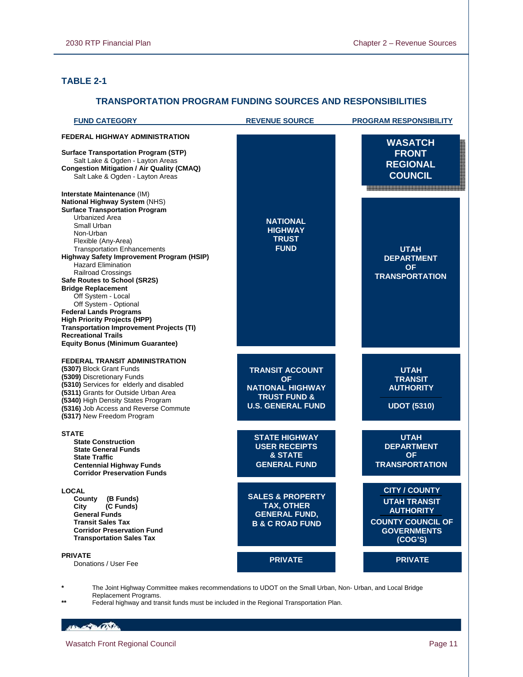#### **TABLE 2-1**

L

#### **TRANSPORTATION PROGRAM FUNDING SOURCES AND RESPONSIBILITIES**

| <b>FUND CATEGORY</b>                                                                                                                                                                                                                                                                                                                                                                                                                                                                                                                                                                                                                                                                                                                                                                                                                                                | <b>REVENUE SOURCE</b>                                                                                                 | <b>PROGRAM RESPONSIBILITY</b>                                                                                                                 |
|---------------------------------------------------------------------------------------------------------------------------------------------------------------------------------------------------------------------------------------------------------------------------------------------------------------------------------------------------------------------------------------------------------------------------------------------------------------------------------------------------------------------------------------------------------------------------------------------------------------------------------------------------------------------------------------------------------------------------------------------------------------------------------------------------------------------------------------------------------------------|-----------------------------------------------------------------------------------------------------------------------|-----------------------------------------------------------------------------------------------------------------------------------------------|
| <b>FEDERAL HIGHWAY ADMINISTRATION</b><br><b>Surface Transportation Program (STP)</b><br>Salt Lake & Ogden - Layton Areas<br><b>Congestion Mitigation / Air Quality (CMAQ)</b><br>Salt Lake & Ogden - Layton Areas<br>Interstate Maintenance (IM)<br>National Highway System (NHS)<br><b>Surface Transportation Program</b><br><b>Urbanized Area</b><br>Small Urban<br>Non-Urban<br>Flexible (Any-Area)<br><b>Transportation Enhancements</b><br>Highway Safety Improvement Program (HSIP)<br><b>Hazard Elimination</b><br><b>Railroad Crossings</b><br>Safe Routes to School (SR2S)<br><b>Bridge Replacement</b><br>Off System - Local<br>Off System - Optional<br><b>Federal Lands Programs</b><br><b>High Priority Projects (HPP)</b><br><b>Transportation Improvement Projects (TI)</b><br><b>Recreational Trails</b><br><b>Equity Bonus (Minimum Guarantee)</b> | <b>NATIONAL</b><br><b>HIGHWAY</b><br><b>TRUST</b><br><b>FUND</b>                                                      | <b>WASATCH</b><br><b>FRONT</b><br><b>REGIONAL</b><br><b>COUNCIL</b><br><b>UTAH</b><br><b>DEPARTMENT</b><br><b>OF</b><br><b>TRANSPORTATION</b> |
| FEDERAL TRANSIT ADMINISTRATION<br>(5307) Block Grant Funds<br>(5309) Discretionary Funds<br>(5310) Services for elderly and disabled<br>(5311) Grants for Outside Urban Area<br>(5340) High Density States Program<br>(5316) Job Access and Reverse Commute<br>(5317) New Freedom Program                                                                                                                                                                                                                                                                                                                                                                                                                                                                                                                                                                           | <b>TRANSIT ACCOUNT</b><br><b>OF</b><br><b>NATIONAL HIGHWAY</b><br><b>TRUST FUND &amp;</b><br><b>U.S. GENERAL FUND</b> | <b>UTAH</b><br><b>TRANSIT</b><br><b>AUTHORITY</b><br><b>UDOT (5310)</b>                                                                       |
| <b>STATE</b><br><b>State Construction</b><br><b>State General Funds</b><br><b>State Traffic</b><br><b>Centennial Highway Funds</b><br><b>Corridor Preservation Funds</b>                                                                                                                                                                                                                                                                                                                                                                                                                                                                                                                                                                                                                                                                                            | <b>STATE HIGHWAY</b><br><b>USER RECEIPTS</b><br>& STATE<br><b>GENERAL FUND</b>                                        | <b>UTAH</b><br><b>DEPARTMENT</b><br><b>OF</b><br><b>TRANSPORTATION</b>                                                                        |
| <b>LOCAL</b><br>County<br>(B Funds)<br>City<br>(C Funds)<br><b>General Funds</b><br><b>Transit Sales Tax</b><br><b>Corridor Preservation Fund</b><br><b>Transportation Sales Tax</b>                                                                                                                                                                                                                                                                                                                                                                                                                                                                                                                                                                                                                                                                                | <b>SALES &amp; PROPERTY</b><br><b>TAX, OTHER</b><br><b>GENERAL FUND,</b><br><b>B &amp; C ROAD FUND</b>                | <b>CITY / COUNTY</b><br><b>UTAH TRANSIT</b><br><b>AUTHORITY</b><br><b>COUNTY COUNCIL OF</b><br><b>GOVERNMENTS</b><br>(COG'S)                  |
| <b>PRIVATE</b><br>Donations / User Fee                                                                                                                                                                                                                                                                                                                                                                                                                                                                                                                                                                                                                                                                                                                                                                                                                              | <b>PRIVATE</b>                                                                                                        | <b>PRIVATE</b>                                                                                                                                |
|                                                                                                                                                                                                                                                                                                                                                                                                                                                                                                                                                                                                                                                                                                                                                                                                                                                                     |                                                                                                                       |                                                                                                                                               |

**\*** The Joint Highway Committee makes recommendations to UDOT on the Small Urban, Non- Urban, and Local Bridge Replacement Programs.

**\*\*** Federal highway and transit funds must be included in the Regional Transportation Plan.

HELLENDER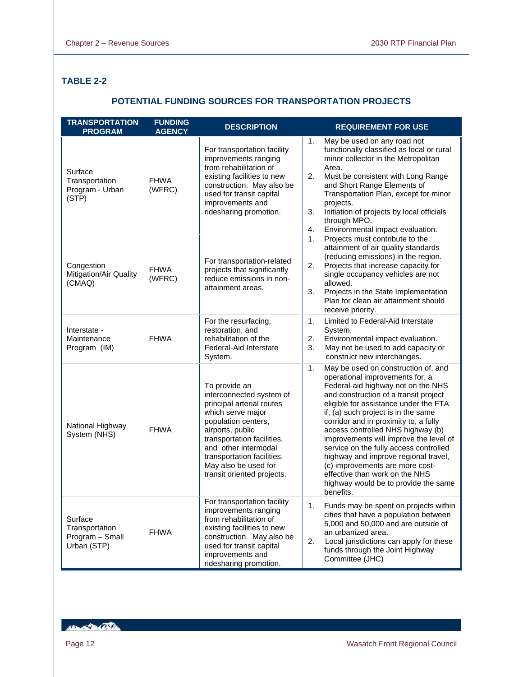#### **TABLE 2-2**

L

#### **POTENTIAL FUNDING SOURCES FOR TRANSPORTATION PROJECTS**

| <b>TRANSPORTATION</b><br><b>PROGRAM</b>                     | <b>FUNDING</b><br><b>AGENCY</b> | <b>DESCRIPTION</b>                                                                                                                                                                                                                                                               | <b>REQUIREMENT FOR USE</b>                                                                                                                                                                                                                                                                                                                                                                                                                                                                                                                                                      |
|-------------------------------------------------------------|---------------------------------|----------------------------------------------------------------------------------------------------------------------------------------------------------------------------------------------------------------------------------------------------------------------------------|---------------------------------------------------------------------------------------------------------------------------------------------------------------------------------------------------------------------------------------------------------------------------------------------------------------------------------------------------------------------------------------------------------------------------------------------------------------------------------------------------------------------------------------------------------------------------------|
| Surface<br>Transportation<br>Program - Urban<br>(STP)       | <b>FHWA</b><br>(WFRC)           | For transportation facility<br>improvements ranging<br>from rehabilitation of<br>existing facilities to new<br>construction. May also be<br>used for transit capital<br>improvements and<br>ridesharing promotion.                                                               | May be used on any road not<br>1.<br>functionally classified as local or rural<br>minor collector in the Metropolitan<br>Area.<br>2.<br>Must be consistent with Long Range<br>and Short Range Elements of<br>Transportation Plan, except for minor<br>projects.<br>3.<br>Initiation of projects by local officials<br>through MPO.<br>Environmental impact evaluation.<br>4.                                                                                                                                                                                                    |
| Congestion<br>Mitigation/Air Quality<br>(CMAQ)              | <b>FHWA</b><br>(WFRC)           | For transportation-related<br>projects that significantly<br>reduce emissions in non-<br>attainment areas.                                                                                                                                                                       | 1.<br>Projects must contribute to the<br>attainment of air quality standards<br>(reducing emissions) in the region.<br>Projects that increase capacity for<br>2.<br>single occupancy vehicles are not<br>allowed.<br>3.<br>Projects in the State Implementation<br>Plan for clean air attainment should<br>receive priority.                                                                                                                                                                                                                                                    |
| Interstate -<br>Maintenance<br>Program (IM)                 | <b>FHWA</b>                     | For the resurfacing,<br>restoration, and<br>rehabilitation of the<br>Federal-Aid Interstate<br>System.                                                                                                                                                                           | Limited to Federal-Aid Interstate<br>1.<br>System.<br>2.<br>Environmental impact evaluation.<br>3.<br>May not be used to add capacity or<br>construct new interchanges.                                                                                                                                                                                                                                                                                                                                                                                                         |
| National Highway<br>System (NHS)                            | <b>FHWA</b>                     | To provide an<br>interconnected system of<br>principal arterial routes<br>which serve major<br>population centers,<br>airports, public<br>transportation facilities,<br>and other intermodal<br>transportation facilities.<br>May also be used for<br>transit oriented projects. | 1.<br>May be used on construction of, and<br>operational improvements for, a<br>Federal-aid highway not on the NHS<br>and construction of a transit project<br>eligible for assistance under the FTA<br>if, (a) such project is in the same<br>corridor and in proximity to, a fully<br>access controlled NHS highway (b)<br>improvements will improve the level of<br>service on the fully access controlled<br>highway and improve regional travel,<br>(c) improvements are more cost-<br>effective than work on the NHS<br>highway would be to provide the same<br>benefits. |
| Surface<br>Transportation<br>Program - Small<br>Urban (STP) | <b>FHWA</b>                     | For transportation facility<br>improvements ranging<br>from rehabilitation of<br>existing facilities to new<br>construction. May also be<br>used for transit capital<br>improvements and<br>ridesharing promotion.                                                               | Funds may be spent on projects within<br>1.<br>cities that have a population between<br>5,000 and 50,000 and are outside of<br>an urbanized area.<br>2.<br>Local jurisdictions can apply for these<br>funds through the Joint Highway<br>Committee (JHC)                                                                                                                                                                                                                                                                                                                        |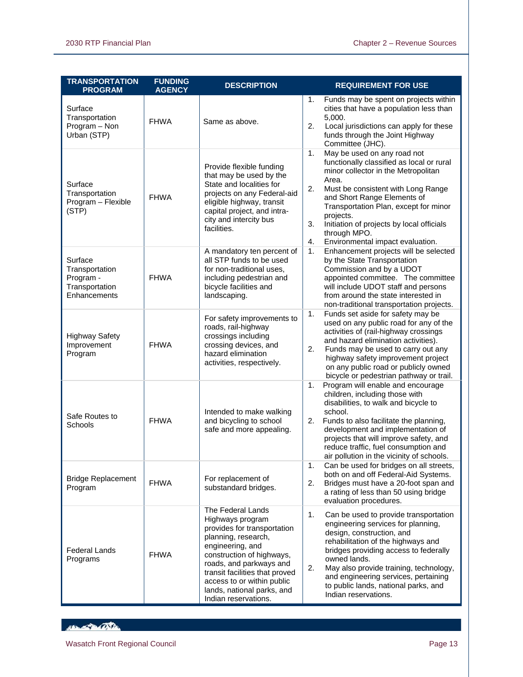| <b>TRANSPORTATION</b><br><b>PROGRAM</b>                                  | <b>FUNDING</b><br><b>AGENCY</b> | <b>DESCRIPTION</b>                                                                                                                                                                                                                                                                            | <b>REQUIREMENT FOR USE</b>                                                                                                                                                                                                                                                                                                                                                   |
|--------------------------------------------------------------------------|---------------------------------|-----------------------------------------------------------------------------------------------------------------------------------------------------------------------------------------------------------------------------------------------------------------------------------------------|------------------------------------------------------------------------------------------------------------------------------------------------------------------------------------------------------------------------------------------------------------------------------------------------------------------------------------------------------------------------------|
| Surface<br>Transportation<br>Program - Non<br>Urban (STP)                | <b>FHWA</b>                     | Same as above.                                                                                                                                                                                                                                                                                | Funds may be spent on projects within<br>1.<br>cities that have a population less than<br>5,000.<br>2.<br>Local jurisdictions can apply for these<br>funds through the Joint Highway<br>Committee (JHC).                                                                                                                                                                     |
| Surface<br>Transportation<br>Program - Flexible<br>(STP)                 | <b>FHWA</b>                     | Provide flexible funding<br>that may be used by the<br>State and localities for<br>projects on any Federal-aid<br>eligible highway, transit<br>capital project, and intra-<br>city and intercity bus<br>facilities.                                                                           | May be used on any road not<br>1.<br>functionally classified as local or rural<br>minor collector in the Metropolitan<br>Area.<br>2.<br>Must be consistent with Long Range<br>and Short Range Elements of<br>Transportation Plan, except for minor<br>projects.<br>Initiation of projects by local officials<br>3.<br>through MPO.<br>Environmental impact evaluation.<br>4. |
| Surface<br>Transportation<br>Program -<br>Transportation<br>Enhancements | <b>FHWA</b>                     | A mandatory ten percent of<br>all STP funds to be used<br>for non-traditional uses,<br>including pedestrian and<br>bicycle facilities and<br>landscaping.                                                                                                                                     | Enhancement projects will be selected<br>1.<br>by the State Transportation<br>Commission and by a UDOT<br>appointed committee. The committee<br>will include UDOT staff and persons<br>from around the state interested in<br>non-traditional transportation projects.                                                                                                       |
| <b>Highway Safety</b><br>Improvement<br>Program                          | <b>FHWA</b>                     | For safety improvements to<br>roads, rail-highway<br>crossings including<br>crossing devices, and<br>hazard elimination<br>activities, respectively.                                                                                                                                          | 1.<br>Funds set aside for safety may be<br>used on any public road for any of the<br>activities of (rail-highway crossings<br>and hazard elimination activities).<br>Funds may be used to carry out any<br>2.<br>highway safety improvement project<br>on any public road or publicly owned<br>bicycle or pedestrian pathway or trail.                                       |
| Safe Routes to<br>Schools                                                | <b>FHWA</b>                     | Intended to make walking<br>and bicycling to school<br>safe and more appealing.                                                                                                                                                                                                               | Program will enable and encourage<br>1.<br>children, including those with<br>disabilities, to walk and bicycle to<br>school.<br>2.<br>Funds to also facilitate the planning,<br>development and implementation of<br>projects that will improve safety, and<br>reduce traffic, fuel consumption and<br>air pollution in the vicinity of schools.                             |
| <b>Bridge Replacement</b><br>Program                                     | <b>FHWA</b>                     | For replacement of<br>substandard bridges.                                                                                                                                                                                                                                                    | Can be used for bridges on all streets,<br>1.<br>both on and off Federal-Aid Systems.<br>2.<br>Bridges must have a 20-foot span and<br>a rating of less than 50 using bridge<br>evaluation procedures.                                                                                                                                                                       |
| <b>Federal Lands</b><br>Programs                                         | <b>FHWA</b>                     | The Federal Lands<br>Highways program<br>provides for transportation<br>planning, research,<br>engineering, and<br>construction of highways,<br>roads, and parkways and<br>transit facilities that proved<br>access to or within public<br>lands, national parks, and<br>Indian reservations. | 1.<br>Can be used to provide transportation<br>engineering services for planning,<br>design, construction, and<br>rehabilitation of the highways and<br>bridges providing access to federally<br>owned lands.<br>2.<br>May also provide training, technology,<br>and engineering services, pertaining<br>to public lands, national parks, and<br>Indian reservations.        |

REAL PROPERTY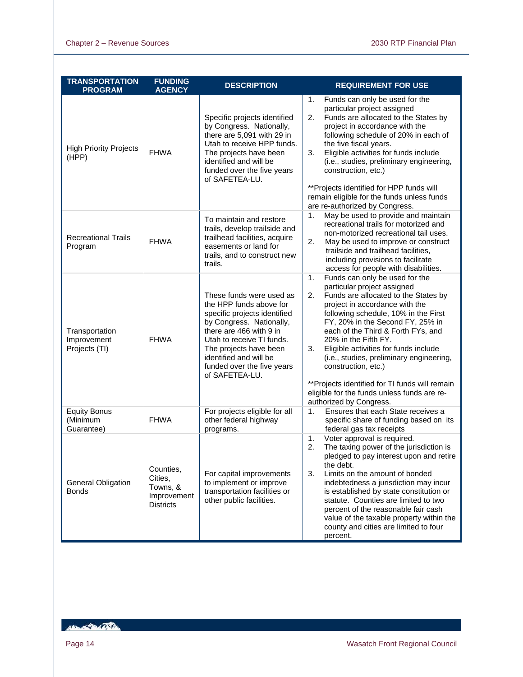| <b>TRANSPORTATION</b><br><b>PROGRAM</b>        | <b>FUNDING</b><br><b>AGENCY</b>                                     | <b>DESCRIPTION</b>                                                                                                                                                                                                                                                          | <b>REQUIREMENT FOR USE</b>                                                                                                                                                                                                                                                                                                                                                                                                                                                                                                                  |
|------------------------------------------------|---------------------------------------------------------------------|-----------------------------------------------------------------------------------------------------------------------------------------------------------------------------------------------------------------------------------------------------------------------------|---------------------------------------------------------------------------------------------------------------------------------------------------------------------------------------------------------------------------------------------------------------------------------------------------------------------------------------------------------------------------------------------------------------------------------------------------------------------------------------------------------------------------------------------|
| <b>High Priority Projects</b><br>(HPP)         | <b>FHWA</b>                                                         | Specific projects identified<br>by Congress. Nationally,<br>there are 5,091 with 29 in<br>Utah to receive HPP funds.<br>The projects have been<br>identified and will be<br>funded over the five years<br>of SAFETEA-LU.                                                    | Funds can only be used for the<br>1.<br>particular project assigned<br>2.<br>Funds are allocated to the States by<br>project in accordance with the<br>following schedule of 20% in each of<br>the five fiscal years.<br>3.<br>Eligible activities for funds include<br>(i.e., studies, preliminary engineering,<br>construction, etc.)<br>**Projects identified for HPP funds will<br>remain eligible for the funds unless funds<br>are re-authorized by Congress.                                                                         |
| <b>Recreational Trails</b><br>Program          | <b>FHWA</b>                                                         | To maintain and restore<br>trails, develop trailside and<br>trailhead facilities, acquire<br>easements or land for<br>trails, and to construct new<br>trails.                                                                                                               | May be used to provide and maintain<br>1.<br>recreational trails for motorized and<br>non-motorized recreational tail uses.<br>2.<br>May be used to improve or construct<br>trailside and trailhead facilities,<br>including provisions to facilitate<br>access for people with disabilities.                                                                                                                                                                                                                                               |
| Transportation<br>Improvement<br>Projects (TI) | <b>FHWA</b>                                                         | These funds were used as<br>the HPP funds above for<br>specific projects identified<br>by Congress. Nationally,<br>there are 466 with 9 in<br>Utah to receive TI funds.<br>The projects have been<br>identified and will be<br>funded over the five years<br>of SAFETEA-LU. | Funds can only be used for the<br>1.<br>particular project assigned<br>2.<br>Funds are allocated to the States by<br>project in accordance with the<br>following schedule, 10% in the First<br>FY, 20% in the Second FY, 25% in<br>each of the Third & Forth FYs, and<br>20% in the Fifth FY.<br>Eligible activities for funds include<br>3.<br>(i.e., studies, preliminary engineering,<br>construction, etc.)<br>**Projects identified for TI funds will remain<br>eligible for the funds unless funds are re-<br>authorized by Congress. |
| <b>Equity Bonus</b><br>(Minimum<br>Guarantee)  | <b>FHWA</b>                                                         | For projects eligible for all<br>other federal highway<br>programs.                                                                                                                                                                                                         | Ensures that each State receives a<br>1.<br>specific share of funding based on its<br>federal gas tax receipts                                                                                                                                                                                                                                                                                                                                                                                                                              |
| <b>General Obligation</b><br><b>Bonds</b>      | Counties,<br>Cities,<br>Towns, &<br>Improvement<br><b>Districts</b> | For capital improvements<br>to implement or improve<br>transportation facilities or<br>other public facilities.                                                                                                                                                             | Voter approval is required.<br>1.<br>2.<br>The taxing power of the jurisdiction is<br>pledged to pay interest upon and retire<br>the debt.<br>3.<br>Limits on the amount of bonded<br>indebtedness a jurisdiction may incur<br>is established by state constitution or<br>statute. Counties are limited to two<br>percent of the reasonable fair cash<br>value of the taxable property within the<br>county and cities are limited to four<br>percent.                                                                                      |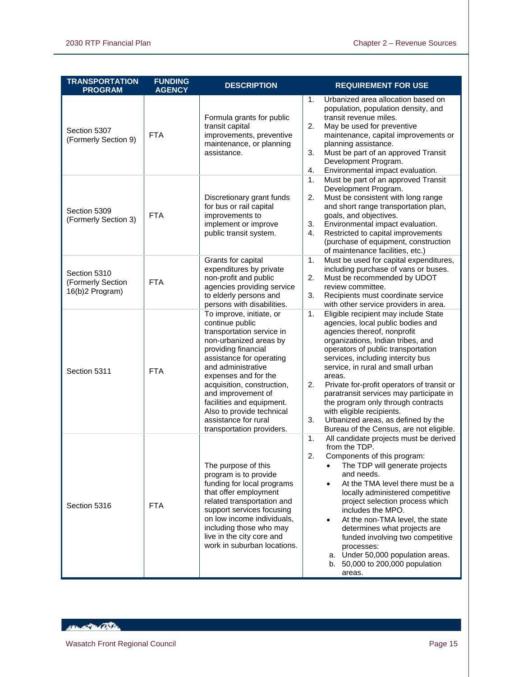| <b>TRANSPORTATION</b><br><b>PROGRAM</b>              | <b>FUNDING</b><br><b>AGENCY</b> | <b>DESCRIPTION</b>                                                                                                                                                                                                                                                                                                                                                     | <b>REQUIREMENT FOR USE</b>                                                                                                                                                                                                                                                                                                                                                                                                                                                                                                             |
|------------------------------------------------------|---------------------------------|------------------------------------------------------------------------------------------------------------------------------------------------------------------------------------------------------------------------------------------------------------------------------------------------------------------------------------------------------------------------|----------------------------------------------------------------------------------------------------------------------------------------------------------------------------------------------------------------------------------------------------------------------------------------------------------------------------------------------------------------------------------------------------------------------------------------------------------------------------------------------------------------------------------------|
| Section 5307<br>(Formerly Section 9)                 | <b>FTA</b>                      | Formula grants for public<br>transit capital<br>improvements, preventive<br>maintenance, or planning<br>assistance.                                                                                                                                                                                                                                                    | Urbanized area allocation based on<br>1.<br>population, population density, and<br>transit revenue miles.<br>2.<br>May be used for preventive<br>maintenance, capital improvements or<br>planning assistance.<br>Must be part of an approved Transit<br>3.<br>Development Program.<br>Environmental impact evaluation.<br>4.                                                                                                                                                                                                           |
| Section 5309<br>(Formerly Section 3)                 | <b>FTA</b>                      | Discretionary grant funds<br>for bus or rail capital<br>improvements to<br>implement or improve<br>public transit system.                                                                                                                                                                                                                                              | Must be part of an approved Transit<br>1.<br>Development Program.<br>Must be consistent with long range<br>2.<br>and short range transportation plan,<br>goals, and objectives.<br>Environmental impact evaluation.<br>3.<br>Restricted to capital improvements<br>4.<br>(purchase of equipment, construction<br>of maintenance facilities, etc.)                                                                                                                                                                                      |
| Section 5310<br>(Formerly Section<br>16(b)2 Program) | <b>FTA</b>                      | Grants for capital<br>expenditures by private<br>non-profit and public<br>agencies providing service<br>to elderly persons and<br>persons with disabilities.                                                                                                                                                                                                           | Must be used for capital expenditures,<br>1.<br>including purchase of vans or buses.<br>2.<br>Must be recommended by UDOT<br>review committee.<br>3.<br>Recipients must coordinate service<br>with other service providers in area.                                                                                                                                                                                                                                                                                                    |
| Section 5311                                         | <b>FTA</b>                      | To improve, initiate, or<br>continue public<br>transportation service in<br>non-urbanized areas by<br>providing financial<br>assistance for operating<br>and administrative<br>expenses and for the<br>acquisition, construction,<br>and improvement of<br>facilities and equipment.<br>Also to provide technical<br>assistance for rural<br>transportation providers. | Eligible recipient may include State<br>1.<br>agencies, local public bodies and<br>agencies thereof, nonprofit<br>organizations, Indian tribes, and<br>operators of public transportation<br>services, including intercity bus<br>service, in rural and small urban<br>areas.<br>Private for-profit operators of transit or<br>2.<br>paratransit services may participate in<br>the program only through contracts<br>with eligible recipients.<br>3.<br>Urbanized areas, as defined by the<br>Bureau of the Census, are not eligible. |
| Section 5316                                         | <b>FTA</b>                      | The purpose of this<br>program is to provide<br>funding for local programs<br>that offer employment<br>related transportation and<br>support services focusing<br>on low income individuals,<br>including those who may<br>live in the city core and<br>work in suburban locations.                                                                                    | All candidate projects must be derived<br>1.<br>from the TDP.<br>2.<br>Components of this program:<br>The TDP will generate projects<br>and needs.<br>At the TMA level there must be a<br>locally administered competitive<br>project selection process which<br>includes the MPO.<br>At the non-TMA level, the state<br>determines what projects are<br>funded involving two competitive<br>processes:<br>a. Under 50,000 population areas.<br>b. 50,000 to 200,000 population<br>areas.                                              |

North College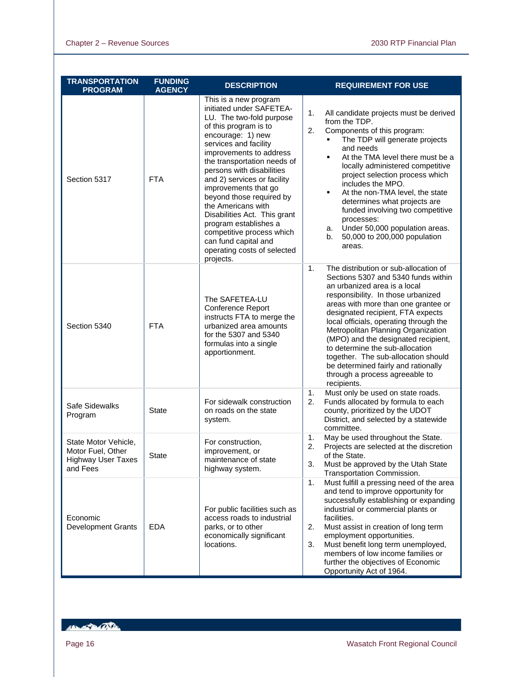| <b>TRANSPORTATION</b><br><b>PROGRAM</b>                                            | <b>FUNDING</b><br><b>AGENCY</b> | <b>DESCRIPTION</b>                                                                                                                                                                                                                                                                                                                                                                                                                                                                                             | <b>REQUIREMENT FOR USE</b>                                                                                                                                                                                                                                                                                                                                                                                                                                                                                                    |
|------------------------------------------------------------------------------------|---------------------------------|----------------------------------------------------------------------------------------------------------------------------------------------------------------------------------------------------------------------------------------------------------------------------------------------------------------------------------------------------------------------------------------------------------------------------------------------------------------------------------------------------------------|-------------------------------------------------------------------------------------------------------------------------------------------------------------------------------------------------------------------------------------------------------------------------------------------------------------------------------------------------------------------------------------------------------------------------------------------------------------------------------------------------------------------------------|
| Section 5317                                                                       | <b>FTA</b>                      | This is a new program<br>initiated under SAFETEA-<br>LU. The two-fold purpose<br>of this program is to<br>encourage: 1) new<br>services and facility<br>improvements to address<br>the transportation needs of<br>persons with disabilities<br>and 2) services or facility<br>improvements that go<br>beyond those required by<br>the Americans with<br>Disabilities Act. This grant<br>program establishes a<br>competitive process which<br>can fund capital and<br>operating costs of selected<br>projects. | All candidate projects must be derived<br>1.<br>from the TDP.<br>Components of this program:<br>2.<br>The TDP will generate projects<br>and needs<br>At the TMA level there must be a<br>٠<br>locally administered competitive<br>project selection process which<br>includes the MPO.<br>At the non-TMA level, the state<br>٠<br>determines what projects are<br>funded involving two competitive<br>processes:<br>Under 50,000 population areas.<br>а.<br>50,000 to 200,000 population<br>b.<br>areas.                      |
| Section 5340                                                                       | <b>FTA</b>                      | The SAFETEA-LU<br><b>Conference Report</b><br>instructs FTA to merge the<br>urbanized area amounts<br>for the 5307 and 5340<br>formulas into a single<br>apportionment.                                                                                                                                                                                                                                                                                                                                        | 1.<br>The distribution or sub-allocation of<br>Sections 5307 and 5340 funds within<br>an urbanized area is a local<br>responsibility. In those urbanized<br>areas with more than one grantee or<br>designated recipient, FTA expects<br>local officials, operating through the<br>Metropolitan Planning Organization<br>(MPO) and the designated recipient,<br>to determine the sub-allocation<br>together. The sub-allocation should<br>be determined fairly and rationally<br>through a process agreeable to<br>recipients. |
| Safe Sidewalks<br>Program                                                          | <b>State</b>                    | For sidewalk construction<br>on roads on the state<br>system.                                                                                                                                                                                                                                                                                                                                                                                                                                                  | 1.<br>Must only be used on state roads.<br>2.<br>Funds allocated by formula to each<br>county, prioritized by the UDOT<br>District, and selected by a statewide<br>committee.                                                                                                                                                                                                                                                                                                                                                 |
| State Motor Vehicle,<br>Motor Fuel, Other<br><b>Highway User Taxes</b><br>and Fees | State                           | For construction,<br>improvement, or<br>maintenance of state<br>highway system.                                                                                                                                                                                                                                                                                                                                                                                                                                | 1.<br>May be used throughout the State.<br>2.<br>Projects are selected at the discretion<br>of the State.<br>Must be approved by the Utah State<br>3.<br>Transportation Commission.                                                                                                                                                                                                                                                                                                                                           |
| Economic<br><b>Development Grants</b>                                              | <b>EDA</b>                      | For public facilities such as<br>access roads to industrial<br>parks, or to other<br>economically significant<br>locations.                                                                                                                                                                                                                                                                                                                                                                                    | Must fulfill a pressing need of the area<br>1.<br>and tend to improve opportunity for<br>successfully establishing or expanding<br>industrial or commercial plants or<br>facilities.<br>2.<br>Must assist in creation of long term<br>employment opportunities.<br>Must benefit long term unemployed,<br>3.<br>members of low income families or<br>further the objectives of Economic<br>Opportunity Act of 1964.                                                                                                            |

Hand Martin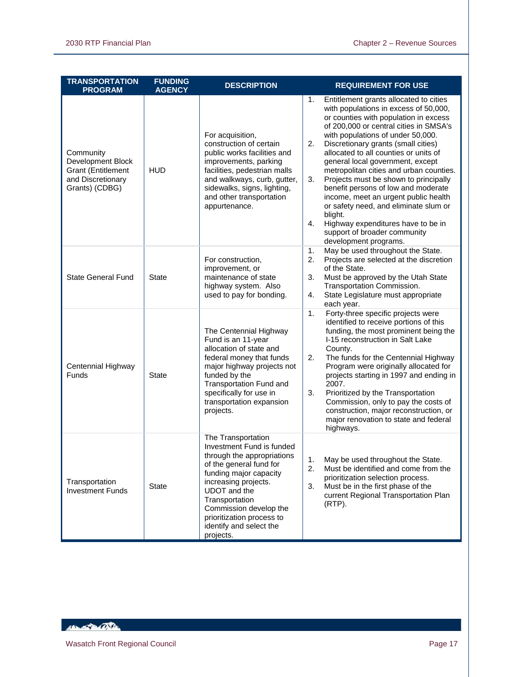| <b>TRANSPORTATION</b><br><b>PROGRAM</b>                                                            | <b>FUNDING</b><br><b>AGENCY</b> | <b>DESCRIPTION</b>                                                                                                                                                                                                                                                                          | <b>REQUIREMENT FOR USE</b>                                                                                                                                                                                                                                                                                                                                                                                                                                                                                                                                                                                                                                                |
|----------------------------------------------------------------------------------------------------|---------------------------------|---------------------------------------------------------------------------------------------------------------------------------------------------------------------------------------------------------------------------------------------------------------------------------------------|---------------------------------------------------------------------------------------------------------------------------------------------------------------------------------------------------------------------------------------------------------------------------------------------------------------------------------------------------------------------------------------------------------------------------------------------------------------------------------------------------------------------------------------------------------------------------------------------------------------------------------------------------------------------------|
| Community<br>Development Block<br><b>Grant (Entitlement</b><br>and Discretionary<br>Grants) (CDBG) | <b>HUD</b>                      | For acquisition,<br>construction of certain<br>public works facilities and<br>improvements, parking<br>facilities, pedestrian malls<br>and walkways, curb, gutter,<br>sidewalks, signs, lighting,<br>and other transportation<br>appurtenance.                                              | Entitlement grants allocated to cities<br>1.<br>with populations in excess of 50,000,<br>or counties with population in excess<br>of 200,000 or central cities in SMSA's<br>with populations of under 50,000.<br>Discretionary grants (small cities)<br>2.<br>allocated to all counties or units of<br>general local government, except<br>metropolitan cities and urban counties.<br>Projects must be shown to principally<br>3.<br>benefit persons of low and moderate<br>income, meet an urgent public health<br>or safety need, and eliminate slum or<br>blight.<br>4.<br>Highway expenditures have to be in<br>support of broader community<br>development programs. |
| <b>State General Fund</b>                                                                          | <b>State</b>                    | For construction,<br>improvement, or<br>maintenance of state<br>highway system. Also<br>used to pay for bonding.                                                                                                                                                                            | May be used throughout the State.<br>1.<br>2.<br>Projects are selected at the discretion<br>of the State.<br>Must be approved by the Utah State<br>3.<br>Transportation Commission.<br>State Legislature must appropriate<br>4.<br>each year.                                                                                                                                                                                                                                                                                                                                                                                                                             |
| Centennial Highway<br><b>Funds</b>                                                                 | <b>State</b>                    | The Centennial Highway<br>Fund is an 11-year<br>allocation of state and<br>federal money that funds<br>major highway projects not<br>funded by the<br>Transportation Fund and<br>specifically for use in<br>transportation expansion<br>projects.                                           | Forty-three specific projects were<br>1.<br>identified to receive portions of this<br>funding, the most prominent being the<br>I-15 reconstruction in Salt Lake<br>County.<br>2.<br>The funds for the Centennial Highway<br>Program were originally allocated for<br>projects starting in 1997 and ending in<br>2007.<br>3.<br>Prioritized by the Transportation<br>Commission, only to pay the costs of<br>construction, major reconstruction, or<br>major renovation to state and federal<br>highways.                                                                                                                                                                  |
| Transportation<br><b>Investment Funds</b>                                                          | <b>State</b>                    | The Transportation<br>Investment Fund is funded<br>through the appropriations<br>of the general fund for<br>funding major capacity<br>increasing projects.<br>UDOT and the<br>Transportation<br>Commission develop the<br>prioritization process to<br>identify and select the<br>projects. | 1.<br>May be used throughout the State.<br>Must be identified and come from the<br>2.<br>prioritization selection process.<br>Must be in the first phase of the<br>3.<br>current Regional Transportation Plan<br>$(RTP)$ .                                                                                                                                                                                                                                                                                                                                                                                                                                                |

North College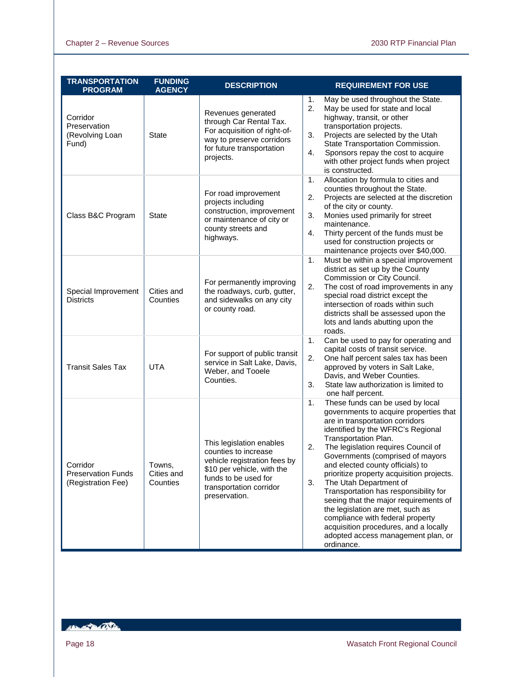| <b>TRANSPORTATION</b><br><b>PROGRAM</b>                     | <b>FUNDING</b><br><b>AGENCY</b>  | <b>DESCRIPTION</b>                                                                                                                                                                 | <b>REQUIREMENT FOR USE</b>                                                                                                                                                                                                                                                                                                                                                                                                                                                                                                                                                                                                                |
|-------------------------------------------------------------|----------------------------------|------------------------------------------------------------------------------------------------------------------------------------------------------------------------------------|-------------------------------------------------------------------------------------------------------------------------------------------------------------------------------------------------------------------------------------------------------------------------------------------------------------------------------------------------------------------------------------------------------------------------------------------------------------------------------------------------------------------------------------------------------------------------------------------------------------------------------------------|
| Corridor<br>Preservation<br>(Revolving Loan<br>Fund)        | State                            | Revenues generated<br>through Car Rental Tax.<br>For acquisition of right-of-<br>way to preserve corridors<br>for future transportation<br>projects.                               | May be used throughout the State.<br>1.<br>2.<br>May be used for state and local<br>highway, transit, or other<br>transportation projects.<br>3.<br>Projects are selected by the Utah<br>State Transportation Commission.<br>Sponsors repay the cost to acquire<br>4.<br>with other project funds when project<br>is constructed.                                                                                                                                                                                                                                                                                                         |
| Class B&C Program                                           | <b>State</b>                     | For road improvement<br>projects including<br>construction, improvement<br>or maintenance of city or<br>county streets and<br>highways.                                            | Allocation by formula to cities and<br>1.<br>counties throughout the State.<br>2.<br>Projects are selected at the discretion<br>of the city or county.<br>3.<br>Monies used primarily for street<br>maintenance.<br>Thirty percent of the funds must be<br>4.<br>used for construction projects or<br>maintenance projects over \$40,000.                                                                                                                                                                                                                                                                                                 |
| Special Improvement<br><b>Districts</b>                     | Cities and<br>Counties           | For permanently improving<br>the roadways, curb, gutter,<br>and sidewalks on any city<br>or county road.                                                                           | Must be within a special improvement<br>1.<br>district as set up by the County<br>Commission or City Council.<br>2.<br>The cost of road improvements in any<br>special road district except the<br>intersection of roads within such<br>districts shall be assessed upon the<br>lots and lands abutting upon the<br>roads.                                                                                                                                                                                                                                                                                                                |
| <b>Transit Sales Tax</b>                                    | <b>UTA</b>                       | For support of public transit<br>service in Salt Lake, Davis,<br>Weber, and Tooele<br>Counties.                                                                                    | 1.<br>Can be used to pay for operating and<br>capital costs of transit service.<br>2.<br>One half percent sales tax has been<br>approved by voters in Salt Lake,<br>Davis, and Weber Counties.<br>3.<br>State law authorization is limited to<br>one half percent.                                                                                                                                                                                                                                                                                                                                                                        |
| Corridor<br><b>Preservation Funds</b><br>(Registration Fee) | Towns,<br>Cities and<br>Counties | This legislation enables<br>counties to increase<br>vehicle registration fees by<br>\$10 per vehicle, with the<br>funds to be used for<br>transportation corridor<br>preservation. | These funds can be used by local<br>1.<br>governments to acquire properties that<br>are in transportation corridors<br>identified by the WFRC's Regional<br>Transportation Plan.<br>2.<br>The legislation requires Council of<br>Governments (comprised of mayors<br>and elected county officials) to<br>prioritize property acquisition projects.<br>The Utah Department of<br>3.<br>Transportation has responsibility for<br>seeing that the major requirements of<br>the legislation are met, such as<br>compliance with federal property<br>acquisition procedures, and a locally<br>adopted access management plan, or<br>ordinance. |

Hand Martin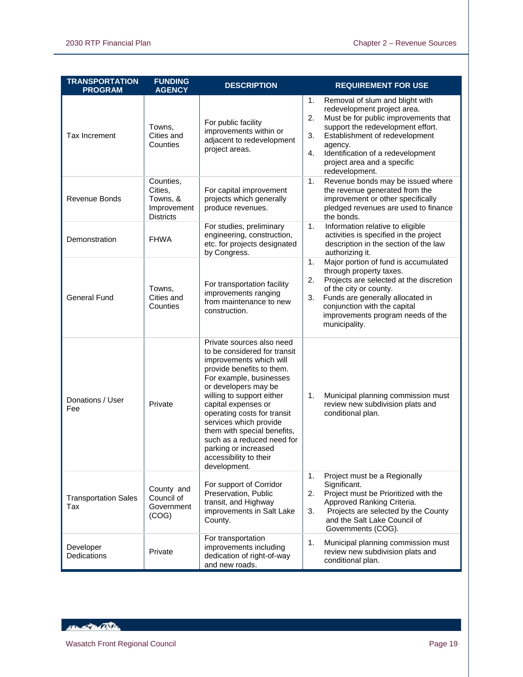| <b>TRANSPORTATION</b><br><b>PROGRAM</b> | <b>FUNDING</b><br><b>AGENCY</b>                                     | <b>DESCRIPTION</b>                                                                                                                                                                                                                                                                                                                                                                                               | <b>REQUIREMENT FOR USE</b>                                                                                                                                                                                                                                                                             |
|-----------------------------------------|---------------------------------------------------------------------|------------------------------------------------------------------------------------------------------------------------------------------------------------------------------------------------------------------------------------------------------------------------------------------------------------------------------------------------------------------------------------------------------------------|--------------------------------------------------------------------------------------------------------------------------------------------------------------------------------------------------------------------------------------------------------------------------------------------------------|
| Tax Increment                           | Towns,<br>Cities and<br>Counties                                    | For public facility<br>improvements within or<br>adjacent to redevelopment<br>project areas.                                                                                                                                                                                                                                                                                                                     | 1.<br>Removal of slum and blight with<br>redevelopment project area.<br>Must be for public improvements that<br>2.<br>support the redevelopment effort.<br>3.<br>Establishment of redevelopment<br>agency.<br>Identification of a redevelopment<br>4.<br>project area and a specific<br>redevelopment. |
| Revenue Bonds                           | Counties,<br>Cities,<br>Towns, &<br>Improvement<br><b>Districts</b> | For capital improvement<br>projects which generally<br>produce revenues.                                                                                                                                                                                                                                                                                                                                         | 1.<br>Revenue bonds may be issued where<br>the revenue generated from the<br>improvement or other specifically<br>pledged revenues are used to finance<br>the bonds.                                                                                                                                   |
| Demonstration                           | <b>FHWA</b>                                                         | For studies, preliminary<br>engineering, construction,<br>etc. for projects designated<br>by Congress.                                                                                                                                                                                                                                                                                                           | 1.<br>Information relative to eligible<br>activities is specified in the project<br>description in the section of the law<br>authorizing it.                                                                                                                                                           |
| <b>General Fund</b>                     | Towns,<br>Cities and<br>Counties                                    | For transportation facility<br>improvements ranging<br>from maintenance to new<br>construction.                                                                                                                                                                                                                                                                                                                  | 1.<br>Major portion of fund is accumulated<br>through property taxes.<br>2.<br>Projects are selected at the discretion<br>of the city or county.<br>Funds are generally allocated in<br>3.<br>conjunction with the capital<br>improvements program needs of the<br>municipality.                       |
| Donations / User<br>Fee                 | Private                                                             | Private sources also need<br>to be considered for transit<br>improvements which will<br>provide benefits to them.<br>For example, businesses<br>or developers may be<br>willing to support either<br>capital expenses or<br>operating costs for transit<br>services which provide<br>them with special benefits,<br>such as a reduced need for<br>parking or increased<br>accessibility to their<br>development. | Municipal planning commission must<br>1.<br>review new subdivision plats and<br>conditional plan.                                                                                                                                                                                                      |
| <b>Transportation Sales</b><br>Tax      | County and<br>Council of<br>Government<br>(COG)                     | For support of Corridor<br>Preservation, Public<br>transit, and Highway<br>improvements in Salt Lake<br>County.                                                                                                                                                                                                                                                                                                  | 1.<br>Project must be a Regionally<br>Significant.<br>Project must be Prioritized with the<br>2.<br>Approved Ranking Criteria.<br>Projects are selected by the County<br>3.<br>and the Salt Lake Council of<br>Governments (COG).                                                                      |
| Developer<br>Dedications                | Private                                                             | For transportation<br>improvements including<br>dedication of right-of-way<br>and new roads.                                                                                                                                                                                                                                                                                                                     | Municipal planning commission must<br>1.<br>review new subdivision plats and<br>conditional plan.                                                                                                                                                                                                      |

North College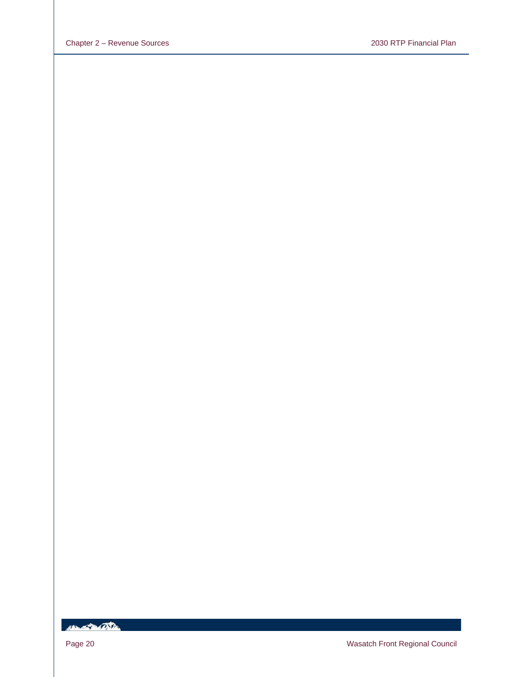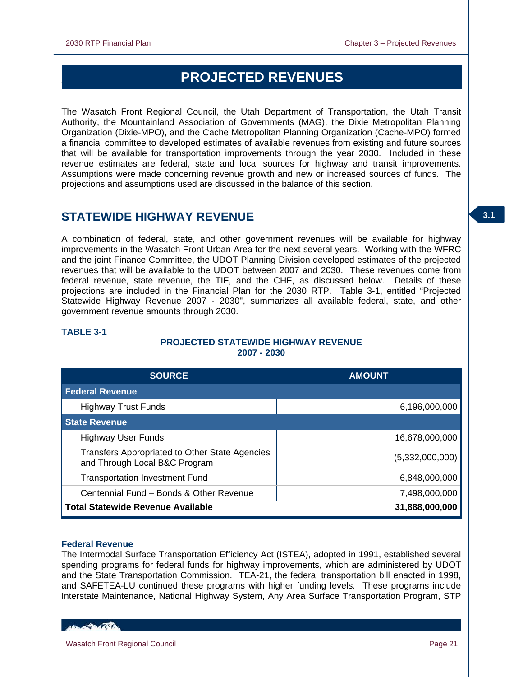#### **3. PROJECTED REVENUES PROJECTED REVENUES**

The Wasatch Front Regional Council, the Utah Department of Transportation, the Utah Transit Authority, the Mountainland Association of Governments (MAG), the Dixie Metropolitan Planning Organization (Dixie-MPO), and the Cache Metropolitan Planning Organization (Cache-MPO) formed a financial committee to developed estimates of available revenues from existing and future sources that will be available for transportation improvements through the year 2030. Included in these revenue estimates are federal, state and local sources for highway and transit improvements. Assumptions were made concerning revenue growth and new or increased sources of funds. The projections and assumptions used are discussed in the balance of this section.

### **STATEWIDE HIGHWAY REVENUE**

A combination of federal, state, and other government revenues will be available for highway improvements in the Wasatch Front Urban Area for the next several years. Working with the WFRC and the joint Finance Committee, the UDOT Planning Division developed estimates of the projected revenues that will be available to the UDOT between 2007 and 2030. These revenues come from federal revenue, state revenue, the TIF, and the CHF, as discussed below. Details of these projections are included in the Financial Plan for the 2030 RTP. Table 3-1, entitled "Projected Statewide Highway Revenue 2007 - 2030", summarizes all available federal, state, and other government revenue amounts through 2030.

#### **TABLE 3-1**

#### **PROJECTED STATEWIDE HIGHWAY REVENUE 2007 - 2030**

| <b>SOURCE</b>                                                                   | <b>AMOUNT</b>   |
|---------------------------------------------------------------------------------|-----------------|
| <b>Federal Revenue</b>                                                          |                 |
| <b>Highway Trust Funds</b>                                                      | 6,196,000,000   |
| <b>State Revenue</b>                                                            |                 |
| <b>Highway User Funds</b>                                                       | 16,678,000,000  |
| Transfers Appropriated to Other State Agencies<br>and Through Local B&C Program | (5,332,000,000) |
| <b>Transportation Investment Fund</b>                                           | 6,848,000,000   |
| Centennial Fund - Bonds & Other Revenue                                         | 7,498,000,000   |
| <b>Total Statewide Revenue Available</b>                                        | 31,888,000,000  |

#### **Federal Revenue**

The Intermodal Surface Transportation Efficiency Act (ISTEA), adopted in 1991, established several spending programs for federal funds for highway improvements, which are administered by UDOT and the State Transportation Commission. TEA-21, the federal transportation bill enacted in 1998, and SAFETEA-LU continued these programs with higher funding levels. These programs include Interstate Maintenance, National Highway System, Any Area Surface Transportation Program, STP

**Brand Del OSTA**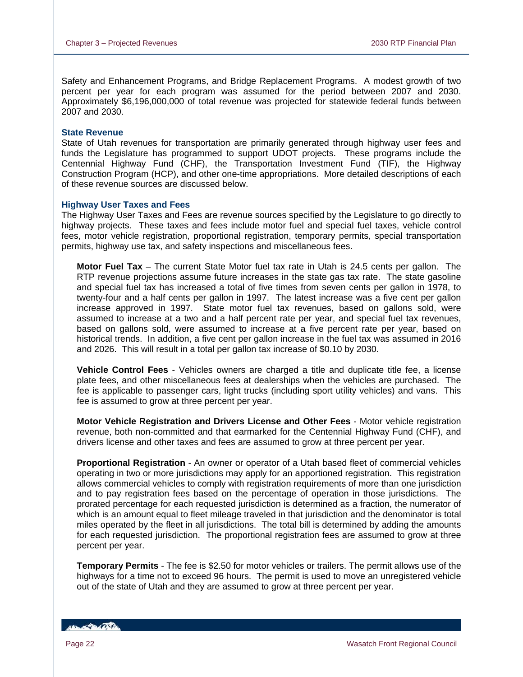Safety and Enhancement Programs, and Bridge Replacement Programs. A modest growth of two percent per year for each program was assumed for the period between 2007 and 2030. Approximately \$6,196,000,000 of total revenue was projected for statewide federal funds between 2007 and 2030.

#### **State Revenue**

L

State of Utah revenues for transportation are primarily generated through highway user fees and funds the Legislature has programmed to support UDOT projects. These programs include the Centennial Highway Fund (CHF), the Transportation Investment Fund (TIF), the Highway Construction Program (HCP), and other one-time appropriations. More detailed descriptions of each of these revenue sources are discussed below.

#### **Highway User Taxes and Fees**

The Highway User Taxes and Fees are revenue sources specified by the Legislature to go directly to highway projects. These taxes and fees include motor fuel and special fuel taxes, vehicle control fees, motor vehicle registration, proportional registration, temporary permits, special transportation permits, highway use tax, and safety inspections and miscellaneous fees.

**Motor Fuel Tax** – The current State Motor fuel tax rate in Utah is 24.5 cents per gallon. The RTP revenue projections assume future increases in the state gas tax rate. The state gasoline and special fuel tax has increased a total of five times from seven cents per gallon in 1978, to twenty-four and a half cents per gallon in 1997. The latest increase was a five cent per gallon increase approved in 1997. State motor fuel tax revenues, based on gallons sold, were assumed to increase at a two and a half percent rate per year, and special fuel tax revenues, based on gallons sold, were assumed to increase at a five percent rate per year, based on historical trends. In addition, a five cent per gallon increase in the fuel tax was assumed in 2016 and 2026. This will result in a total per gallon tax increase of \$0.10 by 2030.

**Vehicle Control Fees** - Vehicles owners are charged a title and duplicate title fee, a license plate fees, and other miscellaneous fees at dealerships when the vehicles are purchased. The fee is applicable to passenger cars, light trucks (including sport utility vehicles) and vans. This fee is assumed to grow at three percent per year.

**Motor Vehicle Registration and Drivers License and Other Fees** - Motor vehicle registration revenue, both non-committed and that earmarked for the Centennial Highway Fund (CHF), and drivers license and other taxes and fees are assumed to grow at three percent per year.

**Proportional Registration** - An owner or operator of a Utah based fleet of commercial vehicles operating in two or more jurisdictions may apply for an apportioned registration. This registration allows commercial vehicles to comply with registration requirements of more than one jurisdiction and to pay registration fees based on the percentage of operation in those jurisdictions. The prorated percentage for each requested jurisdiction is determined as a fraction, the numerator of which is an amount equal to fleet mileage traveled in that jurisdiction and the denominator is total miles operated by the fleet in all jurisdictions. The total bill is determined by adding the amounts for each requested jurisdiction. The proportional registration fees are assumed to grow at three percent per year.

**Temporary Permits** - The fee is \$2.50 for motor vehicles or trailers. The permit allows use of the highways for a time not to exceed 96 hours. The permit is used to move an unregistered vehicle out of the state of Utah and they are assumed to grow at three percent per year.

**BELLE BACKED**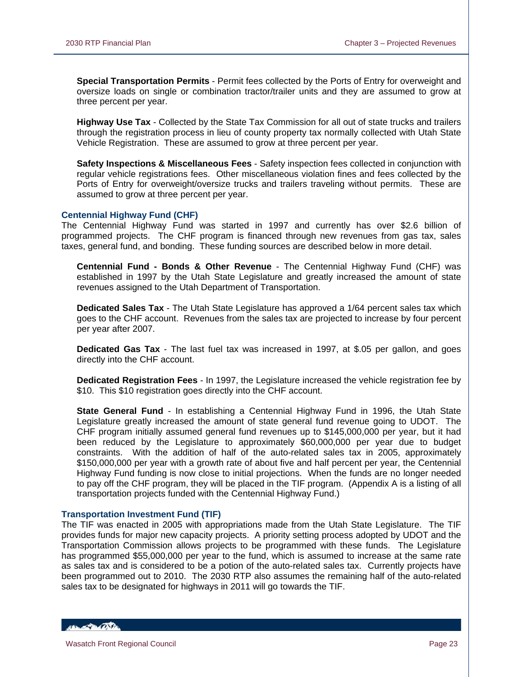**Special Transportation Permits** - Permit fees collected by the Ports of Entry for overweight and oversize loads on single or combination tractor/trailer units and they are assumed to grow at three percent per year.

**Highway Use Tax** - Collected by the State Tax Commission for all out of state trucks and trailers through the registration process in lieu of county property tax normally collected with Utah State Vehicle Registration. These are assumed to grow at three percent per year.

**Safety Inspections & Miscellaneous Fees** - Safety inspection fees collected in conjunction with regular vehicle registrations fees. Other miscellaneous violation fines and fees collected by the Ports of Entry for overweight/oversize trucks and trailers traveling without permits. These are assumed to grow at three percent per year.

#### **Centennial Highway Fund (CHF)**

The Centennial Highway Fund was started in 1997 and currently has over \$2.6 billion of programmed projects. The CHF program is financed through new revenues from gas tax, sales taxes, general fund, and bonding. These funding sources are described below in more detail.

**Centennial Fund - Bonds & Other Revenue** - The Centennial Highway Fund (CHF) was established in 1997 by the Utah State Legislature and greatly increased the amount of state revenues assigned to the Utah Department of Transportation.

**Dedicated Sales Tax** - The Utah State Legislature has approved a 1/64 percent sales tax which goes to the CHF account. Revenues from the sales tax are projected to increase by four percent per year after 2007.

**Dedicated Gas Tax** - The last fuel tax was increased in 1997, at \$.05 per gallon, and goes directly into the CHF account.

**Dedicated Registration Fees** - In 1997, the Legislature increased the vehicle registration fee by \$10. This \$10 registration goes directly into the CHF account.

**State General Fund** - In establishing a Centennial Highway Fund in 1996, the Utah State Legislature greatly increased the amount of state general fund revenue going to UDOT. The CHF program initially assumed general fund revenues up to \$145,000,000 per year, but it had been reduced by the Legislature to approximately \$60,000,000 per year due to budget constraints. With the addition of half of the auto-related sales tax in 2005, approximately \$150,000,000 per year with a growth rate of about five and half percent per year, the Centennial Highway Fund funding is now close to initial projections. When the funds are no longer needed to pay off the CHF program, they will be placed in the TIF program. (Appendix A is a listing of all transportation projects funded with the Centennial Highway Fund.)

#### **Transportation Investment Fund (TIF)**

The TIF was enacted in 2005 with appropriations made from the Utah State Legislature. The TIF provides funds for major new capacity projects. A priority setting process adopted by UDOT and the Transportation Commission allows projects to be programmed with these funds. The Legislature has programmed \$55,000,000 per year to the fund, which is assumed to increase at the same rate as sales tax and is considered to be a potion of the auto-related sales tax. Currently projects have been programmed out to 2010. The 2030 RTP also assumes the remaining half of the auto-related sales tax to be designated for highways in 2011 will go towards the TIF.

150 Bally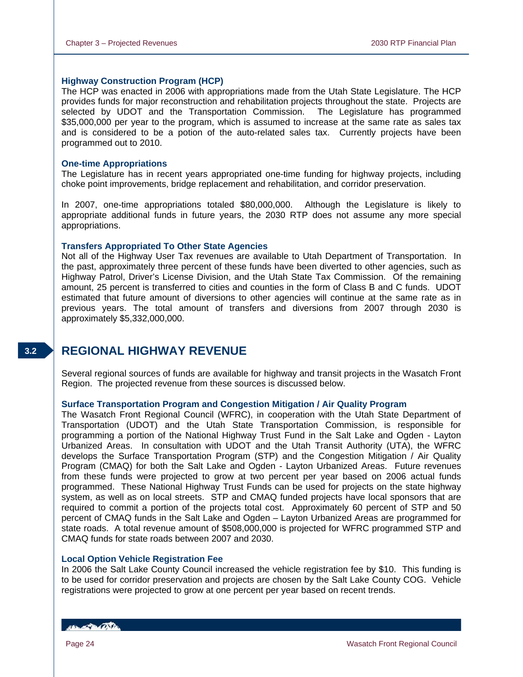**3.2** 

#### **Highway Construction Program (HCP)**

The HCP was enacted in 2006 with appropriations made from the Utah State Legislature. The HCP provides funds for major reconstruction and rehabilitation projects throughout the state. Projects are selected by UDOT and the Transportation Commission. The Legislature has programmed \$35,000,000 per year to the program, which is assumed to increase at the same rate as sales tax and is considered to be a potion of the auto-related sales tax. Currently projects have been programmed out to 2010.

#### **One-time Appropriations**

The Legislature has in recent years appropriated one-time funding for highway projects, including choke point improvements, bridge replacement and rehabilitation, and corridor preservation.

In 2007, one-time appropriations totaled \$80,000,000. Although the Legislature is likely to appropriate additional funds in future years, the 2030 RTP does not assume any more special appropriations.

#### **Transfers Appropriated To Other State Agencies**

Not all of the Highway User Tax revenues are available to Utah Department of Transportation. In the past, approximately three percent of these funds have been diverted to other agencies, such as Highway Patrol, Driver's License Division, and the Utah State Tax Commission. Of the remaining amount, 25 percent is transferred to cities and counties in the form of Class B and C funds. UDOT estimated that future amount of diversions to other agencies will continue at the same rate as in previous years. The total amount of transfers and diversions from 2007 through 2030 is approximately \$5,332,000,000.

## **REGIONAL HIGHWAY REVENUE**

Several regional sources of funds are available for highway and transit projects in the Wasatch Front Region. The projected revenue from these sources is discussed below.

#### **Surface Transportation Program and Congestion Mitigation / Air Quality Program**

The Wasatch Front Regional Council (WFRC), in cooperation with the Utah State Department of Transportation (UDOT) and the Utah State Transportation Commission, is responsible for programming a portion of the National Highway Trust Fund in the Salt Lake and Ogden - Layton Urbanized Areas. In consultation with UDOT and the Utah Transit Authority (UTA), the WFRC develops the Surface Transportation Program (STP) and the Congestion Mitigation / Air Quality Program (CMAQ) for both the Salt Lake and Ogden - Layton Urbanized Areas. Future revenues from these funds were projected to grow at two percent per year based on 2006 actual funds programmed. These National Highway Trust Funds can be used for projects on the state highway system, as well as on local streets. STP and CMAQ funded projects have local sponsors that are required to commit a portion of the projects total cost. Approximately 60 percent of STP and 50 percent of CMAQ funds in the Salt Lake and Ogden – Layton Urbanized Areas are programmed for state roads. A total revenue amount of \$508,000,000 is projected for WFRC programmed STP and CMAQ funds for state roads between 2007 and 2030.

#### **Local Option Vehicle Registration Fee**

In 2006 the Salt Lake County Council increased the vehicle registration fee by \$10. This funding is to be used for corridor preservation and projects are chosen by the Salt Lake County COG. Vehicle registrations were projected to grow at one percent per year based on recent trends.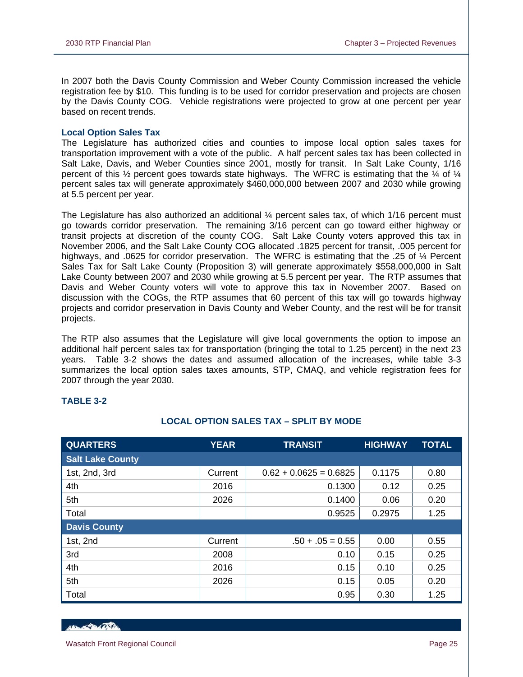In 2007 both the Davis County Commission and Weber County Commission increased the vehicle registration fee by \$10. This funding is to be used for corridor preservation and projects are chosen by the Davis County COG. Vehicle registrations were projected to grow at one percent per year based on recent trends.

#### **Local Option Sales Tax**

The Legislature has authorized cities and counties to impose local option sales taxes for transportation improvement with a vote of the public. A half percent sales tax has been collected in Salt Lake, Davis, and Weber Counties since 2001, mostly for transit. In Salt Lake County, 1/16 percent of this  $\frac{1}{2}$  percent goes towards state highways. The WFRC is estimating that the  $\frac{1}{4}$  of  $\frac{1}{4}$ percent sales tax will generate approximately \$460,000,000 between 2007 and 2030 while growing at 5.5 percent per year.

The Legislature has also authorized an additional 1/4 percent sales tax, of which 1/16 percent must go towards corridor preservation. The remaining 3/16 percent can go toward either highway or transit projects at discretion of the county COG. Salt Lake County voters approved this tax in November 2006, and the Salt Lake County COG allocated .1825 percent for transit, .005 percent for highways, and .0625 for corridor preservation. The WFRC is estimating that the .25 of % Percent Sales Tax for Salt Lake County (Proposition 3) will generate approximately \$558,000,000 in Salt Lake County between 2007 and 2030 while growing at 5.5 percent per year. The RTP assumes that Davis and Weber County voters will vote to approve this tax in November 2007. Based on discussion with the COGs, the RTP assumes that 60 percent of this tax will go towards highway projects and corridor preservation in Davis County and Weber County, and the rest will be for transit projects.

The RTP also assumes that the Legislature will give local governments the option to impose an additional half percent sales tax for transportation (bringing the total to 1.25 percent) in the next 23 years. Table 3-2 shows the dates and assumed allocation of the increases, while table 3-3 summarizes the local option sales taxes amounts, STP, CMAQ, and vehicle registration fees for 2007 through the year 2030.

#### **TABLE 3-2**

| <b>QUARTERS</b>         | <b>YEAR</b> | <b>TRANSIT</b>           | <b>HIGHWAY</b> | <b>TOTAL</b> |
|-------------------------|-------------|--------------------------|----------------|--------------|
| <b>Salt Lake County</b> |             |                          |                |              |
| 1st, 2nd, 3rd           | Current     | $0.62 + 0.0625 = 0.6825$ | 0.1175         | 0.80         |
| 4th                     | 2016        | 0.1300                   | 0.12           | 0.25         |
| 5th                     | 2026        | 0.1400                   | 0.06           | 0.20         |
| Total                   |             | 0.9525                   | 0.2975         | 1.25         |
| <b>Davis County</b>     |             |                          |                |              |
| 1st, 2nd                | Current     | $.50 + .05 = 0.55$       | 0.00           | 0.55         |
| 3rd                     | 2008        | 0.10                     | 0.15           | 0.25         |
| 4th                     | 2016        | 0.15                     | 0.10           | 0.25         |
| 5th                     | 2026        | 0.15                     | 0.05           | 0.20         |
| Total                   |             | 0.95                     | 0.30           | 1.25         |

#### **LOCAL OPTION SALES TAX – SPLIT BY MODE**

**ABLACE DE DE DE**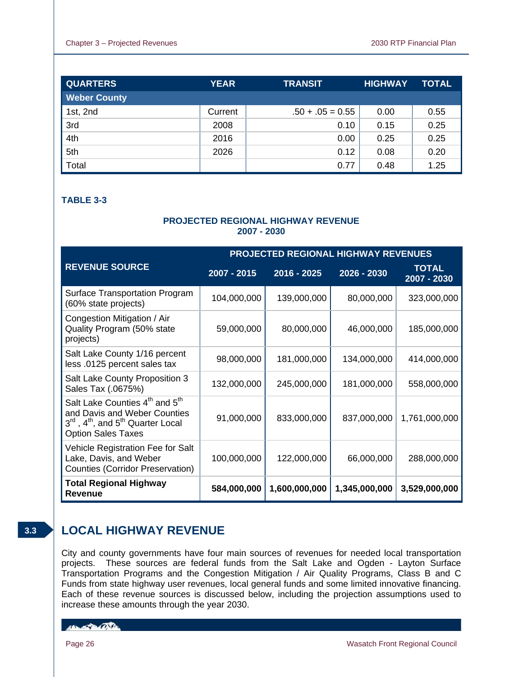| <b>QUARTERS</b>     | <b>YEAR</b> | <b>TRANSIT</b>     | <b>HIGHWAY</b> | <b>TOTAL</b> |
|---------------------|-------------|--------------------|----------------|--------------|
| <b>Weber County</b> |             |                    |                |              |
| 1st, 2nd            | Current     | $.50 + .05 = 0.55$ | 0.00           | 0.55         |
| 3rd                 | 2008        | 0.10               | 0.15           | 0.25         |
| 4th                 | 2016        | 0.00               | 0.25           | 0.25         |
| 5th                 | 2026        | 0.12               | 0.08           | 0.20         |
| Total               |             | 0.77               | 0.48           | 1.25         |

#### **TABLE 3-3**

L

#### **PROJECTED REGIONAL HIGHWAY REVENUE 2007 - 2030**

|                                                                                                                                                                                              | <b>PROJECTED REGIONAL HIGHWAY REVENUES</b> |               |               |                             |
|----------------------------------------------------------------------------------------------------------------------------------------------------------------------------------------------|--------------------------------------------|---------------|---------------|-----------------------------|
| <b>REVENUE SOURCE</b>                                                                                                                                                                        | 2007 - 2015                                | $2016 - 2025$ | 2026 - 2030   | <b>TOTAL</b><br>2007 - 2030 |
| <b>Surface Transportation Program</b><br>(60% state projects)                                                                                                                                | 104,000,000                                | 139,000,000   | 80,000,000    | 323,000,000                 |
| Congestion Mitigation / Air<br>Quality Program (50% state<br>projects)                                                                                                                       | 59,000,000                                 | 80,000,000    | 46,000,000    | 185,000,000                 |
| Salt Lake County 1/16 percent<br>less .0125 percent sales tax                                                                                                                                | 98,000,000                                 | 181,000,000   | 134,000,000   | 414,000,000                 |
| Salt Lake County Proposition 3<br>Sales Tax (.0675%)                                                                                                                                         | 132,000,000                                | 245,000,000   | 181,000,000   | 558,000,000                 |
| Salt Lake Counties 4 <sup>th</sup> and 5 <sup>th</sup><br>and Davis and Weber Counties<br>3 <sup>rd</sup> , 4 <sup>th</sup> , and 5 <sup>th</sup> Quarter Local<br><b>Option Sales Taxes</b> | 91,000,000                                 | 833,000,000   | 837,000,000   | 1,761,000,000               |
| Vehicle Registration Fee for Salt<br>Lake, Davis, and Weber<br><b>Counties (Corridor Preservation)</b>                                                                                       | 100,000,000                                | 122,000,000   | 66,000,000    | 288,000,000                 |
| <b>Total Regional Highway</b><br><b>Revenue</b>                                                                                                                                              | 584,000,000                                | 1,600,000,000 | 1,345,000,000 | 3,529,000,000               |

#### **3.3**

## **LOCAL HIGHWAY REVENUE**

City and county governments have four main sources of revenues for needed local transportation projects. These sources are federal funds from the Salt Lake and Ogden - Layton Surface Transportation Programs and the Congestion Mitigation / Air Quality Programs, Class B and C Funds from state highway user revenues, local general funds and some limited innovative financing. Each of these revenue sources is discussed below, including the projection assumptions used to increase these amounts through the year 2030.

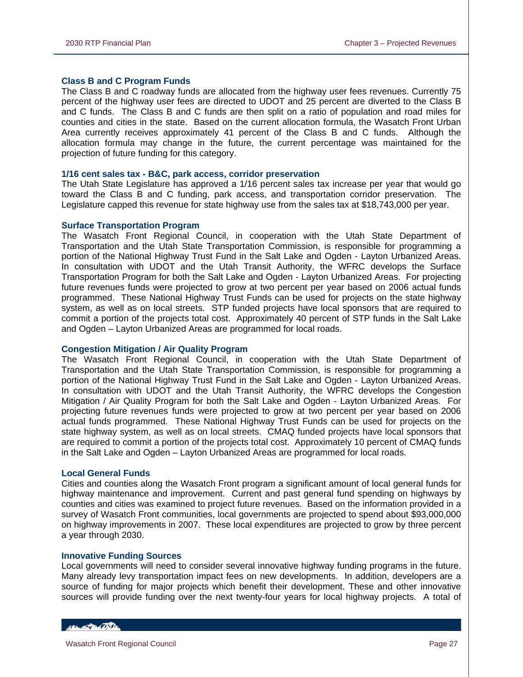#### **Class B and C Program Funds**

The Class B and C roadway funds are allocated from the highway user fees revenues. Currently 75 percent of the highway user fees are directed to UDOT and 25 percent are diverted to the Class B and C funds. The Class B and C funds are then split on a ratio of population and road miles for counties and cities in the state. Based on the current allocation formula, the Wasatch Front Urban Area currently receives approximately 41 percent of the Class B and C funds. Although the allocation formula may change in the future, the current percentage was maintained for the projection of future funding for this category.

#### **1/16 cent sales tax - B&C, park access, corridor preservation**

The Utah State Legislature has approved a 1/16 percent sales tax increase per year that would go toward the Class B and C funding, park access, and transportation corridor preservation. The Legislature capped this revenue for state highway use from the sales tax at \$18,743,000 per year.

#### **Surface Transportation Program**

The Wasatch Front Regional Council, in cooperation with the Utah State Department of Transportation and the Utah State Transportation Commission, is responsible for programming a portion of the National Highway Trust Fund in the Salt Lake and Ogden - Layton Urbanized Areas. In consultation with UDOT and the Utah Transit Authority, the WFRC develops the Surface Transportation Program for both the Salt Lake and Ogden - Layton Urbanized Areas. For projecting future revenues funds were projected to grow at two percent per year based on 2006 actual funds programmed. These National Highway Trust Funds can be used for projects on the state highway system, as well as on local streets. STP funded projects have local sponsors that are required to commit a portion of the projects total cost. Approximately 40 percent of STP funds in the Salt Lake and Ogden – Layton Urbanized Areas are programmed for local roads.

#### **Congestion Mitigation / Air Quality Program**

The Wasatch Front Regional Council, in cooperation with the Utah State Department of Transportation and the Utah State Transportation Commission, is responsible for programming a portion of the National Highway Trust Fund in the Salt Lake and Ogden - Layton Urbanized Areas. In consultation with UDOT and the Utah Transit Authority, the WFRC develops the Congestion Mitigation / Air Quality Program for both the Salt Lake and Ogden - Layton Urbanized Areas. For projecting future revenues funds were projected to grow at two percent per year based on 2006 actual funds programmed. These National Highway Trust Funds can be used for projects on the state highway system, as well as on local streets. CMAQ funded projects have local sponsors that are required to commit a portion of the projects total cost. Approximately 10 percent of CMAQ funds in the Salt Lake and Ogden – Layton Urbanized Areas are programmed for local roads.

#### **Local General Funds**

Cities and counties along the Wasatch Front program a significant amount of local general funds for highway maintenance and improvement. Current and past general fund spending on highways by counties and cities was examined to project future revenues. Based on the information provided in a survey of Wasatch Front communities, local governments are projected to spend about \$93,000,000 on highway improvements in 2007. These local expenditures are projected to grow by three percent a year through 2030.

#### **Innovative Funding Sources**

Local governments will need to consider several innovative highway funding programs in the future. Many already levy transportation impact fees on new developments. In addition, developers are a source of funding for major projects which benefit their development. These and other innovative sources will provide funding over the next twenty-four years for local highway projects. A total of

150 Bally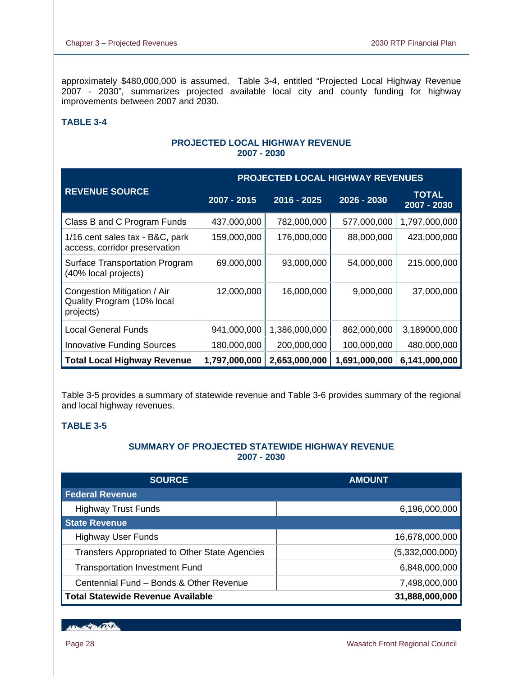approximately \$480,000,000 is assumed. Table 3-4, entitled "Projected Local Highway Revenue 2007 - 2030", summarizes projected available local city and county funding for highway improvements between 2007 and 2030.

#### **TABLE 3-4**

L

| ENUJECTED EUGAE HIGHWAT NEVENUE<br>2007 - 2030                         |                                         |               |               |                             |
|------------------------------------------------------------------------|-----------------------------------------|---------------|---------------|-----------------------------|
|                                                                        | <b>PROJECTED LOCAL HIGHWAY REVENUES</b> |               |               |                             |
| <b>REVENUE SOURCE</b>                                                  | $2007 - 2015$                           | $2016 - 2025$ | 2026 - 2030   | <b>TOTAL</b><br>2007 - 2030 |
| Class B and C Program Funds                                            | 437,000,000                             | 782,000,000   | 577,000,000   | 1,797,000,000               |
| 1/16 cent sales tax - B&C, park<br>access, corridor preservation       | 159,000,000                             | 176,000,000   | 88,000,000    | 423,000,000                 |
| <b>Surface Transportation Program</b><br>(40% local projects)          | 69,000,000                              | 93,000,000    | 54,000,000    | 215,000,000                 |
| Congestion Mitigation / Air<br>Quality Program (10% local<br>projects) | 12,000,000                              | 16,000,000    | 9,000,000     | 37,000,000                  |
| <b>Local General Funds</b>                                             | 941,000,000                             | 1,386,000,000 | 862,000,000   | 3,189000,000                |
| <b>Innovative Funding Sources</b>                                      | 180,000,000                             | 200,000,000   | 100,000,000   | 480,000,000                 |
| <b>Total Local Highway Revenue</b>                                     | 1,797,000,000                           | 2,653,000,000 | 1,691,000,000 | 6,141,000,000               |

## **PROJECTED LOCAL HIGHWAY REVENUE**

Table 3-5 provides a summary of statewide revenue and Table 3-6 provides summary of the regional and local highway revenues.

#### **TABLE 3-5**

#### **SUMMARY OF PROJECTED STATEWIDE HIGHWAY REVENUE 2007 - 2030**

| <b>SOURCE</b>                                  | <b>AMOUNT</b>   |
|------------------------------------------------|-----------------|
| <b>Federal Revenue</b>                         |                 |
| <b>Highway Trust Funds</b>                     | 6,196,000,000   |
| <b>State Revenue</b>                           |                 |
| <b>Highway User Funds</b>                      | 16,678,000,000  |
| Transfers Appropriated to Other State Agencies | (5,332,000,000) |
| <b>Transportation Investment Fund</b>          | 6,848,000,000   |
| Centennial Fund - Bonds & Other Revenue        | 7,498,000,000   |
| <b>Total Statewide Revenue Available</b>       | 31,888,000,000  |

Hamps College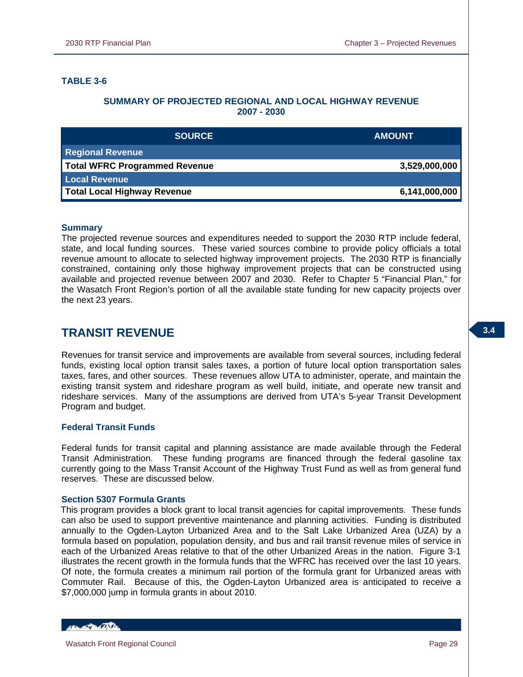#### **TABLE 3-6**

L

#### **SUMMARY OF PROJECTED REGIONAL AND LOCAL HIGHWAY REVENUE 2007 - 2030**

| <b>SOURCE</b>                        | <b>AMOUNT</b> |
|--------------------------------------|---------------|
| <b>Regional Revenue</b>              |               |
| <b>Total WFRC Programmed Revenue</b> | 3,529,000,000 |
| <b>Local Revenue</b>                 |               |
| Total Local Highway Revenue          | 6,141,000,000 |

#### **Summary**

The projected revenue sources and expenditures needed to support the 2030 RTP include federal, state, and local funding sources. These varied sources combine to provide policy officials a total revenue amount to allocate to selected highway improvement projects. The 2030 RTP is financially constrained, containing only those highway improvement projects that can be constructed using available and projected revenue between 2007 and 2030. Refer to Chapter 5 "Financial Plan," for the Wasatch Front Region's portion of all the available state funding for new capacity projects over the next 23 years.

### **TRANSIT REVENUE**

Revenues for transit service and improvements are available from several sources, including federal funds, existing local option transit sales taxes, a portion of future local option transportation sales taxes, fares, and other sources. These revenues allow UTA to administer, operate, and maintain the existing transit system and rideshare program as well build, initiate, and operate new transit and rideshare services. Many of the assumptions are derived from UTA's 5-year Transit Development Program and budget.

#### **Federal Transit Funds**

Federal funds for transit capital and planning assistance are made available through the Federal Transit Administration. These funding programs are financed through the federal gasoline tax currently going to the Mass Transit Account of the Highway Trust Fund as well as from general fund reserves. These are discussed below.

#### **Section 5307 Formula Grants**

This program provides a block grant to local transit agencies for capital improvements. These funds can also be used to support preventive maintenance and planning activities. Funding is distributed annually to the Ogden-Layton Urbanized Area and to the Salt Lake Urbanized Area (UZA) by a formula based on population, population density, and bus and rail transit revenue miles of service in each of the Urbanized Areas relative to that of the other Urbanized Areas in the nation. Figure 3-1 illustrates the recent growth in the formula funds that the WFRC has received over the last 10 years. Of note, the formula creates a minimum rail portion of the formula grant for Urbanized areas with Commuter Rail. Because of this, the Ogden-Layton Urbanized area is anticipated to receive a \$7,000,000 jump in formula grants in about 2010.

**Brand Del OSTA**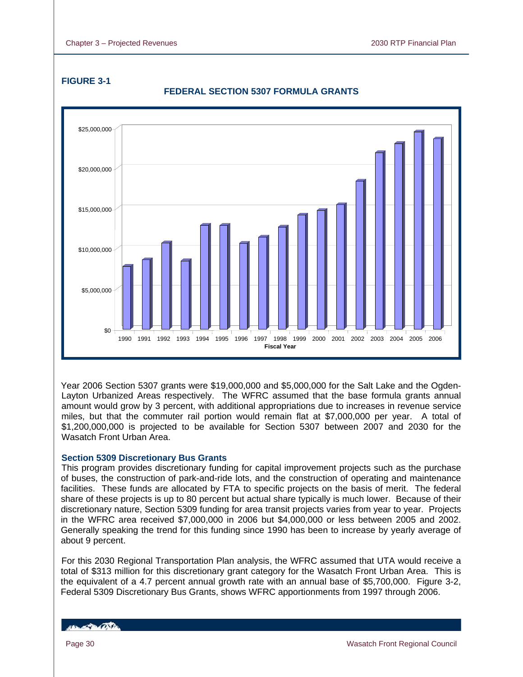#### **FIGURE 3-1**

L

\$0 \$5,000,000 \$10,000,000 \$15,000,000 \$20,000,000 \$25,000,000 1990 1991 1992 1993 1994 1995 1996 1997 1998 1999 2000 2001 2002 2003 2004 2005 2006 **Fiscal Year**

#### **FEDERAL SECTION 5307 FORMULA GRANTS**

Year 2006 Section 5307 grants were \$19,000,000 and \$5,000,000 for the Salt Lake and the Ogden-Layton Urbanized Areas respectively. The WFRC assumed that the base formula grants annual amount would grow by 3 percent, with additional appropriations due to increases in revenue service miles, but that the commuter rail portion would remain flat at \$7,000,000 per year. A total of \$1,200,000,000 is projected to be available for Section 5307 between 2007 and 2030 for the Wasatch Front Urban Area.

#### **Section 5309 Discretionary Bus Grants**

This program provides discretionary funding for capital improvement projects such as the purchase of buses, the construction of park-and-ride lots, and the construction of operating and maintenance facilities. These funds are allocated by FTA to specific projects on the basis of merit. The federal share of these projects is up to 80 percent but actual share typically is much lower. Because of their discretionary nature, Section 5309 funding for area transit projects varies from year to year. Projects in the WFRC area received \$7,000,000 in 2006 but \$4,000,000 or less between 2005 and 2002. Generally speaking the trend for this funding since 1990 has been to increase by yearly average of about 9 percent.

For this 2030 Regional Transportation Plan analysis, the WFRC assumed that UTA would receive a total of \$313 million for this discretionary grant category for the Wasatch Front Urban Area. This is the equivalent of a 4.7 percent annual growth rate with an annual base of \$5,700,000. Figure 3-2, Federal 5309 Discretionary Bus Grants, shows WFRC apportionments from 1997 through 2006.

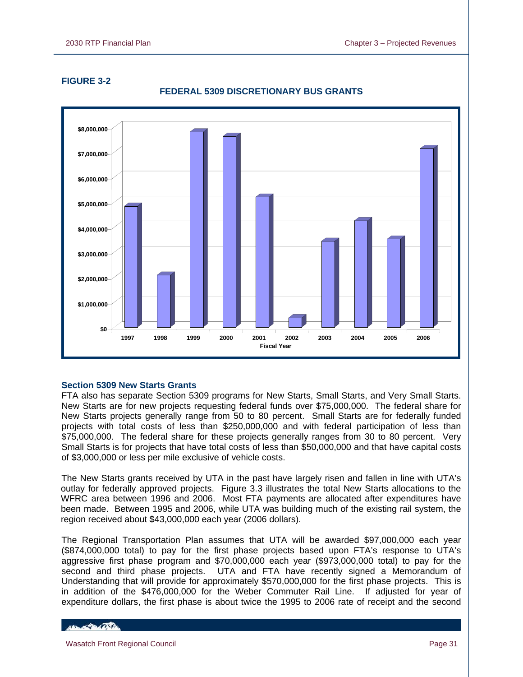

#### **FIGURE 3-2**

L

**FEDERAL 5309 DISCRETIONARY BUS GRANTS** 

### **Section 5309 New Starts Grants**

FTA also has separate Section 5309 programs for New Starts, Small Starts, and Very Small Starts. New Starts are for new projects requesting federal funds over \$75,000,000. The federal share for New Starts projects generally range from 50 to 80 percent. Small Starts are for federally funded projects with total costs of less than \$250,000,000 and with federal participation of less than \$75,000,000. The federal share for these projects generally ranges from 30 to 80 percent. Very Small Starts is for projects that have total costs of less than \$50,000,000 and that have capital costs of \$3,000,000 or less per mile exclusive of vehicle costs.

The New Starts grants received by UTA in the past have largely risen and fallen in line with UTA's outlay for federally approved projects. Figure 3.3 illustrates the total New Starts allocations to the WFRC area between 1996 and 2006. Most FTA payments are allocated after expenditures have been made. Between 1995 and 2006, while UTA was building much of the existing rail system, the region received about \$43,000,000 each year (2006 dollars).

The Regional Transportation Plan assumes that UTA will be awarded \$97,000,000 each year (\$874,000,000 total) to pay for the first phase projects based upon FTA's response to UTA's aggressive first phase program and \$70,000,000 each year (\$973,000,000 total) to pay for the second and third phase projects. UTA and FTA have recently signed a Memorandum of Understanding that will provide for approximately \$570,000,000 for the first phase projects. This is in addition of the \$476,000,000 for the Weber Commuter Rail Line. If adjusted for year of expenditure dollars, the first phase is about twice the 1995 to 2006 rate of receipt and the second

HELL OF THE CONTROL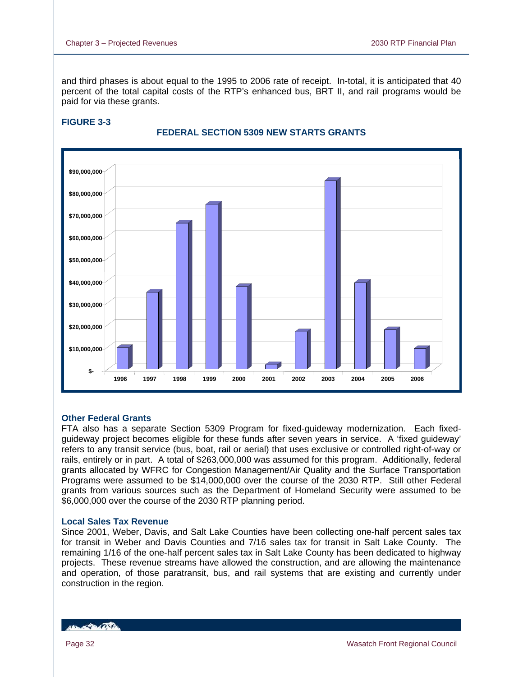and third phases is about equal to the 1995 to 2006 rate of receipt. In-total, it is anticipated that 40 percent of the total capital costs of the RTP's enhanced bus, BRT II, and rail programs would be paid for via these grants.

## **FIGURE 3-3**

L

# **FEDERAL SECTION 5309 NEW STARTS GRANTS**



### **Other Federal Grants**

FTA also has a separate Section 5309 Program for fixed-guideway modernization. Each fixedguideway project becomes eligible for these funds after seven years in service. A 'fixed guideway' refers to any transit service (bus, boat, rail or aerial) that uses exclusive or controlled right-of-way or rails, entirely or in part. A total of \$263,000,000 was assumed for this program. Additionally, federal grants allocated by WFRC for Congestion Management/Air Quality and the Surface Transportation Programs were assumed to be \$14,000,000 over the course of the 2030 RTP. Still other Federal grants from various sources such as the Department of Homeland Security were assumed to be \$6,000,000 over the course of the 2030 RTP planning period.

#### **Local Sales Tax Revenue**

Since 2001, Weber, Davis, and Salt Lake Counties have been collecting one-half percent sales tax for transit in Weber and Davis Counties and 7/16 sales tax for transit in Salt Lake County. The remaining 1/16 of the one-half percent sales tax in Salt Lake County has been dedicated to highway projects. These revenue streams have allowed the construction, and are allowing the maintenance and operation, of those paratransit, bus, and rail systems that are existing and currently under construction in the region.

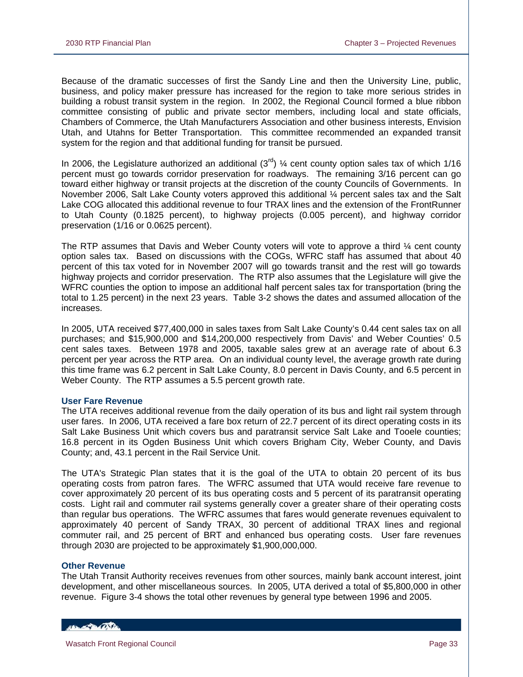Because of the dramatic successes of first the Sandy Line and then the University Line, public, business, and policy maker pressure has increased for the region to take more serious strides in building a robust transit system in the region. In 2002, the Regional Council formed a blue ribbon committee consisting of public and private sector members, including local and state officials, Chambers of Commerce, the Utah Manufacturers Association and other business interests, Envision Utah, and Utahns for Better Transportation. This committee recommended an expanded transit system for the region and that additional funding for transit be pursued.

In 2006, the Legislature authorized an additional  $(3<sup>rd</sup>)$  ¼ cent county option sales tax of which 1/16 percent must go towards corridor preservation for roadways. The remaining 3/16 percent can go toward either highway or transit projects at the discretion of the county Councils of Governments. In November 2006, Salt Lake County voters approved this additional ¼ percent sales tax and the Salt Lake COG allocated this additional revenue to four TRAX lines and the extension of the FrontRunner to Utah County (0.1825 percent), to highway projects (0.005 percent), and highway corridor preservation (1/16 or 0.0625 percent).

The RTP assumes that Davis and Weber County voters will vote to approve a third  $\frac{1}{4}$  cent county option sales tax. Based on discussions with the COGs, WFRC staff has assumed that about 40 percent of this tax voted for in November 2007 will go towards transit and the rest will go towards highway projects and corridor preservation. The RTP also assumes that the Legislature will give the WFRC counties the option to impose an additional half percent sales tax for transportation (bring the total to 1.25 percent) in the next 23 years. Table 3-2 shows the dates and assumed allocation of the increases.

In 2005, UTA received \$77,400,000 in sales taxes from Salt Lake County's 0.44 cent sales tax on all purchases; and \$15,900,000 and \$14,200,000 respectively from Davis' and Weber Counties' 0.5 cent sales taxes. Between 1978 and 2005, taxable sales grew at an average rate of about 6.3 percent per year across the RTP area. On an individual county level, the average growth rate during this time frame was 6.2 percent in Salt Lake County, 8.0 percent in Davis County, and 6.5 percent in Weber County. The RTP assumes a 5.5 percent growth rate.

#### **User Fare Revenue**

The UTA receives additional revenue from the daily operation of its bus and light rail system through user fares. In 2006, UTA received a fare box return of 22.7 percent of its direct operating costs in its Salt Lake Business Unit which covers bus and paratransit service Salt Lake and Tooele counties; 16.8 percent in its Ogden Business Unit which covers Brigham City, Weber County, and Davis County; and, 43.1 percent in the Rail Service Unit.

The UTA's Strategic Plan states that it is the goal of the UTA to obtain 20 percent of its bus operating costs from patron fares. The WFRC assumed that UTA would receive fare revenue to cover approximately 20 percent of its bus operating costs and 5 percent of its paratransit operating costs. Light rail and commuter rail systems generally cover a greater share of their operating costs than regular bus operations. The WFRC assumes that fares would generate revenues equivalent to approximately 40 percent of Sandy TRAX, 30 percent of additional TRAX lines and regional commuter rail, and 25 percent of BRT and enhanced bus operating costs. User fare revenues through 2030 are projected to be approximately \$1,900,000,000.

#### **Other Revenue**

The Utah Transit Authority receives revenues from other sources, mainly bank account interest, joint development, and other miscellaneous sources. In 2005, UTA derived a total of \$5,800,000 in other revenue. Figure 3-4 shows the total other revenues by general type between 1996 and 2005.

#### 150 Bally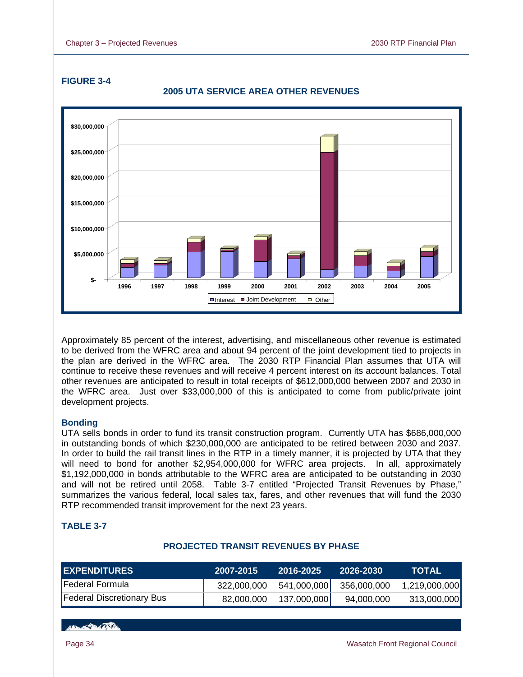

# **FIGURE 3-4**

L

**2005 UTA SERVICE AREA OTHER REVENUES**

Approximately 85 percent of the interest, advertising, and miscellaneous other revenue is estimated to be derived from the WFRC area and about 94 percent of the joint development tied to projects in the plan are derived in the WFRC area. The 2030 RTP Financial Plan assumes that UTA will continue to receive these revenues and will receive 4 percent interest on its account balances. Total other revenues are anticipated to result in total receipts of \$612,000,000 between 2007 and 2030 in the WFRC area. Just over \$33,000,000 of this is anticipated to come from public/private joint development projects.

# **Bonding**

UTA sells bonds in order to fund its transit construction program. Currently UTA has \$686,000,000 in outstanding bonds of which \$230,000,000 are anticipated to be retired between 2030 and 2037. In order to build the rail transit lines in the RTP in a timely manner, it is projected by UTA that they will need to bond for another \$2,954,000,000 for WFRC area projects. In all, approximately \$1,192,000,000 in bonds attributable to the WFRC area are anticipated to be outstanding in 2030 and will not be retired until 2058. Table 3-7 entitled "Projected Transit Revenues by Phase," summarizes the various federal, local sales tax, fares, and other revenues that will fund the 2030 RTP recommended transit improvement for the next 23 years.

# **TABLE 3-7**

| <b>LEXPENDITURES</b>             | 2007-2015   | 2016-2025   | 2026-2030  | <b>TOTAL</b> |
|----------------------------------|-------------|-------------|------------|--------------|
| <b>IFederal Formula</b>          | 322,000,000 | 541,000,000 |            |              |
| <b>Federal Discretionary Bus</b> | 82,000,000  | 137,000,000 | 94,000,000 | 313,000,000  |

**ARACTER COSTA**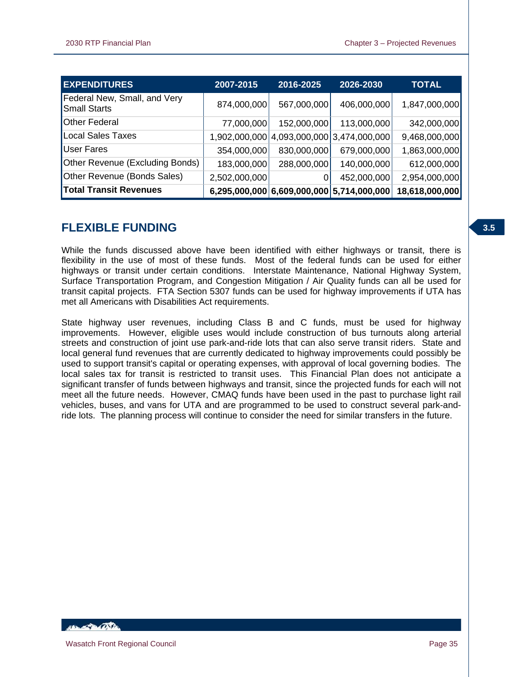| <b>EXPENDITURES</b>                                 | 2007-2015     | 2016-2025                                   | 2026-2030   | <b>TOTAL</b>   |
|-----------------------------------------------------|---------------|---------------------------------------------|-------------|----------------|
| Federal New, Small, and Very<br><b>Small Starts</b> | 874,000,000   | 567,000,000                                 | 406,000,000 | 1,847,000,000  |
| <b>Other Federal</b>                                | 77,000,000    | 152,000,000                                 | 113,000,000 | 342,000,000    |
| Local Sales Taxes                                   |               | 1,902,000,000 4,093,000,000 3,474,000,000   |             | 9,468,000,000  |
| <b>User Fares</b>                                   | 354,000,000   | 830,000,000                                 | 679,000,000 | 1,863,000,000  |
| Other Revenue (Excluding Bonds)                     | 183,000,000   | 288,000,000                                 | 140,000,000 | 612,000,000    |
| Other Revenue (Bonds Sales)                         | 2,502,000,000 |                                             | 452,000,000 | 2,954,000,000  |
| <b>Total Transit Revenues</b>                       |               | $6,295,000,000 6,609,000,000 5,714,000,000$ |             | 18,618,000,000 |

# **FLEXIBLE FUNDING**

While the funds discussed above have been identified with either highways or transit, there is flexibility in the use of most of these funds. Most of the federal funds can be used for either highways or transit under certain conditions. Interstate Maintenance, National Highway System, Surface Transportation Program, and Congestion Mitigation / Air Quality funds can all be used for transit capital projects. FTA Section 5307 funds can be used for highway improvements if UTA has met all Americans with Disabilities Act requirements.

State highway user revenues, including Class B and C funds, must be used for highway improvements. However, eligible uses would include construction of bus turnouts along arterial streets and construction of joint use park-and-ride lots that can also serve transit riders. State and local general fund revenues that are currently dedicated to highway improvements could possibly be used to support transit's capital or operating expenses, with approval of local governing bodies. The local sales tax for transit is restricted to transit uses. This Financial Plan does not anticipate a significant transfer of funds between highways and transit, since the projected funds for each will not meet all the future needs. However, CMAQ funds have been used in the past to purchase light rail vehicles, buses, and vans for UTA and are programmed to be used to construct several park-andride lots. The planning process will continue to consider the need for similar transfers in the future.

 **3.5**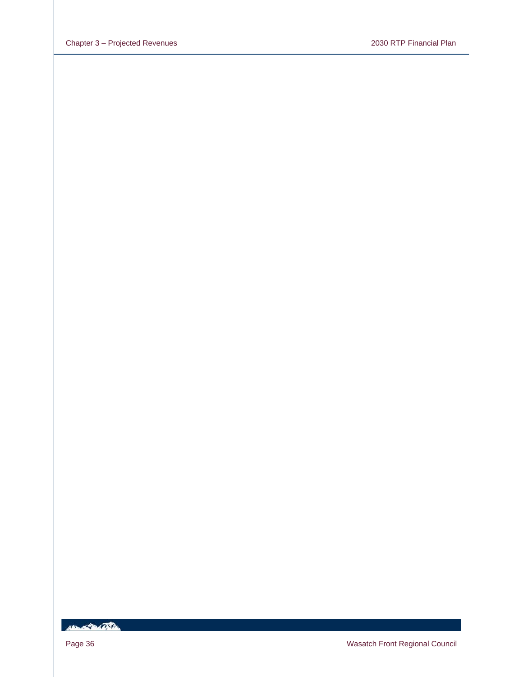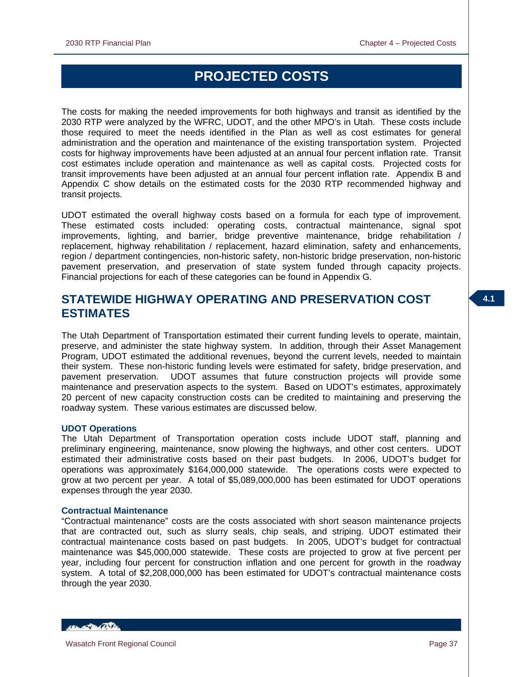# **PROJECTED COSTS**

The costs for making the needed improvements for both highways and transit as identified by the 2030 RTP were analyzed by the WFRC, UDOT, and the other MPO's in Utah. These costs include those required to meet the needs identified in the Plan as well as cost estimates for general administration and the operation and maintenance of the existing transportation system. Projected costs for highway improvements have been adjusted at an annual four percent inflation rate. Transit cost estimates include operation and maintenance as well as capital costs. Projected costs for transit improvements have been adjusted at an annual four percent inflation rate. Appendix B and Appendix C show details on the estimated costs for the 2030 RTP recommended highway and transit projects.

UDOT estimated the overall highway costs based on a formula for each type of improvement. These estimated costs included: operating costs, contractual maintenance, signal spot improvements, lighting, and barrier, bridge preventive maintenance, bridge rehabilitation / replacement, highway rehabilitation / replacement, hazard elimination, safety and enhancements, region / department contingencies, non-historic safety, non-historic bridge preservation, non-historic pavement preservation, and preservation of state system funded through capacity projects. Financial projections for each of these categories can be found in Appendix G.

# **STATEWIDE HIGHWAY OPERATING AND PRESERVATION COST ESTIMATES**

The Utah Department of Transportation estimated their current funding levels to operate, maintain, preserve, and administer the state highway system. In addition, through their Asset Management Program, UDOT estimated the additional revenues, beyond the current levels, needed to maintain their system. These non-historic funding levels were estimated for safety, bridge preservation, and pavement preservation. UDOT assumes that future construction projects will provide some maintenance and preservation aspects to the system. Based on UDOT's estimates, approximately 20 percent of new capacity construction costs can be credited to maintaining and preserving the roadway system. These various estimates are discussed below.

#### **UDOT Operations**

The Utah Department of Transportation operation costs include UDOT staff, planning and preliminary engineering, maintenance, snow plowing the highways, and other cost centers. UDOT estimated their administrative costs based on their past budgets. In 2006, UDOT's budget for operations was approximately \$164,000,000 statewide. The operations costs were expected to grow at two percent per year. A total of \$5,089,000,000 has been estimated for UDOT operations expenses through the year 2030.

#### **Contractual Maintenance**

"Contractual maintenance" costs are the costs associated with short season maintenance projects that are contracted out, such as slurry seals, chip seals, and striping. UDOT estimated their contractual maintenance costs based on past budgets. In 2005, UDOT's budget for contractual maintenance was \$45,000,000 statewide. These costs are projected to grow at five percent per year, including four percent for construction inflation and one percent for growth in the roadway system. A total of \$2,208,000,000 has been estimated for UDOT's contractual maintenance costs through the year 2030.

150 Bally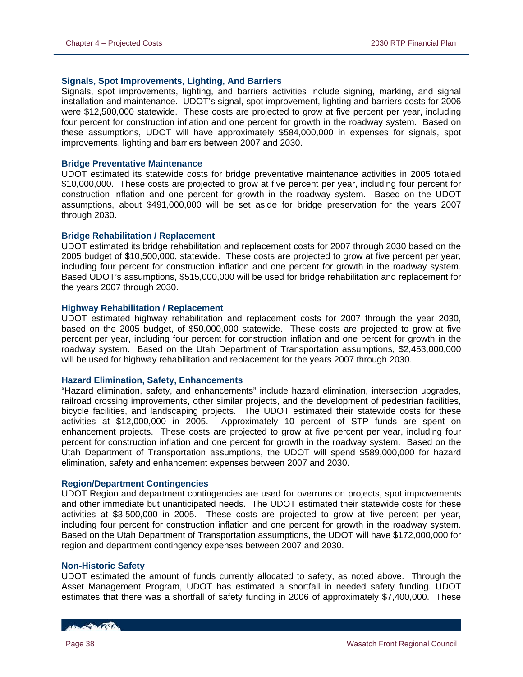#### **Signals, Spot Improvements, Lighting, And Barriers**

Signals, spot improvements, lighting, and barriers activities include signing, marking, and signal installation and maintenance. UDOT's signal, spot improvement, lighting and barriers costs for 2006 were \$12,500,000 statewide. These costs are projected to grow at five percent per year, including four percent for construction inflation and one percent for growth in the roadway system. Based on these assumptions, UDOT will have approximately \$584,000,000 in expenses for signals, spot improvements, lighting and barriers between 2007 and 2030.

#### **Bridge Preventative Maintenance**

UDOT estimated its statewide costs for bridge preventative maintenance activities in 2005 totaled \$10,000,000. These costs are projected to grow at five percent per year, including four percent for construction inflation and one percent for growth in the roadway system. Based on the UDOT assumptions, about \$491,000,000 will be set aside for bridge preservation for the years 2007 through 2030.

#### **Bridge Rehabilitation / Replacement**

UDOT estimated its bridge rehabilitation and replacement costs for 2007 through 2030 based on the 2005 budget of \$10,500,000, statewide. These costs are projected to grow at five percent per year, including four percent for construction inflation and one percent for growth in the roadway system. Based UDOT's assumptions, \$515,000,000 will be used for bridge rehabilitation and replacement for the years 2007 through 2030.

#### **Highway Rehabilitation / Replacement**

UDOT estimated highway rehabilitation and replacement costs for 2007 through the year 2030, based on the 2005 budget, of \$50,000,000 statewide. These costs are projected to grow at five percent per year, including four percent for construction inflation and one percent for growth in the roadway system. Based on the Utah Department of Transportation assumptions, \$2,453,000,000 will be used for highway rehabilitation and replacement for the years 2007 through 2030.

#### **Hazard Elimination, Safety, Enhancements**

"Hazard elimination, safety, and enhancements" include hazard elimination, intersection upgrades, railroad crossing improvements, other similar projects, and the development of pedestrian facilities, bicycle facilities, and landscaping projects. The UDOT estimated their statewide costs for these activities at \$12,000,000 in 2005. Approximately 10 percent of STP funds are spent on enhancement projects. These costs are projected to grow at five percent per year, including four percent for construction inflation and one percent for growth in the roadway system. Based on the Utah Department of Transportation assumptions, the UDOT will spend \$589,000,000 for hazard elimination, safety and enhancement expenses between 2007 and 2030.

#### **Region/Department Contingencies**

UDOT Region and department contingencies are used for overruns on projects, spot improvements and other immediate but unanticipated needs. The UDOT estimated their statewide costs for these activities at \$3,500,000 in 2005. These costs are projected to grow at five percent per year, including four percent for construction inflation and one percent for growth in the roadway system. Based on the Utah Department of Transportation assumptions, the UDOT will have \$172,000,000 for region and department contingency expenses between 2007 and 2030.

#### **Non-Historic Safety**

UDOT estimated the amount of funds currently allocated to safety, as noted above. Through the Asset Management Program, UDOT has estimated a shortfall in needed safety funding. UDOT estimates that there was a shortfall of safety funding in 2006 of approximately \$7,400,000. These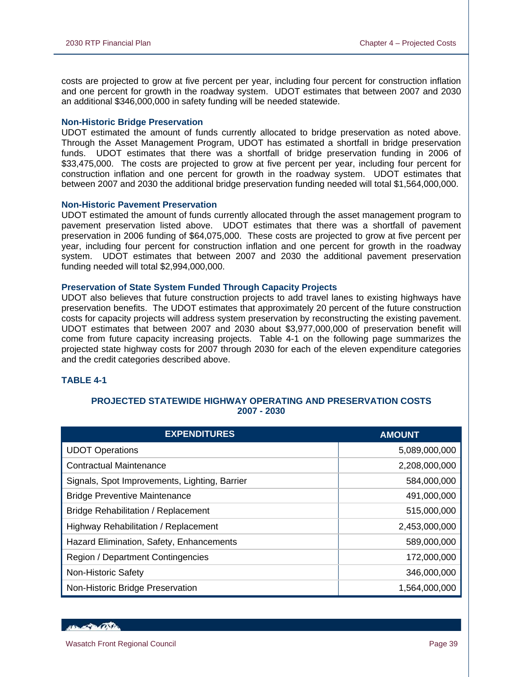costs are projected to grow at five percent per year, including four percent for construction inflation and one percent for growth in the roadway system. UDOT estimates that between 2007 and 2030 an additional \$346,000,000 in safety funding will be needed statewide.

#### **Non-Historic Bridge Preservation**

UDOT estimated the amount of funds currently allocated to bridge preservation as noted above. Through the Asset Management Program, UDOT has estimated a shortfall in bridge preservation funds. UDOT estimates that there was a shortfall of bridge preservation funding in 2006 of \$33,475,000. The costs are projected to grow at five percent per year, including four percent for construction inflation and one percent for growth in the roadway system. UDOT estimates that between 2007 and 2030 the additional bridge preservation funding needed will total \$1,564,000,000.

#### **Non-Historic Pavement Preservation**

UDOT estimated the amount of funds currently allocated through the asset management program to pavement preservation listed above. UDOT estimates that there was a shortfall of pavement preservation in 2006 funding of \$64,075,000. These costs are projected to grow at five percent per year, including four percent for construction inflation and one percent for growth in the roadway system. UDOT estimates that between 2007 and 2030 the additional pavement preservation funding needed will total \$2,994,000,000.

#### **Preservation of State System Funded Through Capacity Projects**

UDOT also believes that future construction projects to add travel lanes to existing highways have preservation benefits. The UDOT estimates that approximately 20 percent of the future construction costs for capacity projects will address system preservation by reconstructing the existing pavement. UDOT estimates that between 2007 and 2030 about \$3,977,000,000 of preservation benefit will come from future capacity increasing projects.Table 4-1 on the following page summarizes the projected state highway costs for 2007 through 2030 for each of the eleven expenditure categories and the credit categories described above.

#### **TABLE 4-1**

## **PROJECTED STATEWIDE HIGHWAY OPERATING AND PRESERVATION COSTS 2007 - 2030**

| <b>EXPENDITURES</b>                           | <b>AMOUNT</b> |
|-----------------------------------------------|---------------|
| <b>UDOT Operations</b>                        | 5,089,000,000 |
| <b>Contractual Maintenance</b>                | 2,208,000,000 |
| Signals, Spot Improvements, Lighting, Barrier | 584,000,000   |
| <b>Bridge Preventive Maintenance</b>          | 491,000,000   |
| <b>Bridge Rehabilitation / Replacement</b>    | 515,000,000   |
| Highway Rehabilitation / Replacement          | 2,453,000,000 |
| Hazard Elimination, Safety, Enhancements      | 589,000,000   |
| <b>Region / Department Contingencies</b>      | 172,000,000   |
| Non-Historic Safety                           | 346,000,000   |
| Non-Historic Bridge Preservation              | 1,564,000,000 |

**Brand De Contractor**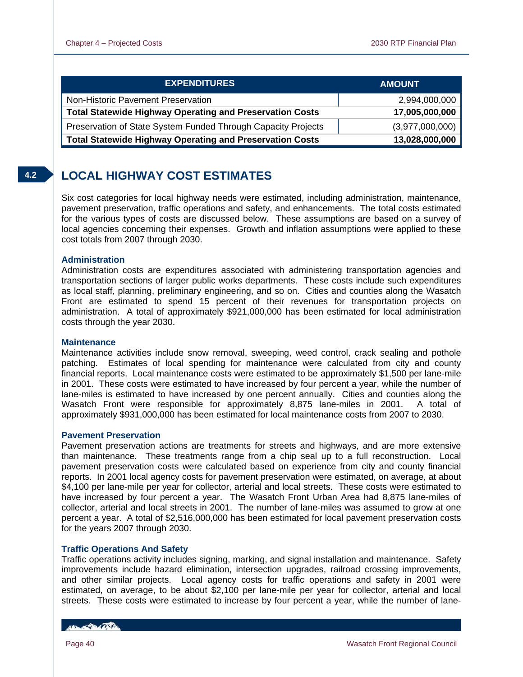**4.2** 

| <b>EXPENDITURES</b>                                             | <b>AMOUNT</b>   |
|-----------------------------------------------------------------|-----------------|
| Non-Historic Pavement Preservation                              | 2,994,000,000   |
| <b>Total Statewide Highway Operating and Preservation Costs</b> | 17,005,000,000  |
| Preservation of State System Funded Through Capacity Projects   | (3,977,000,000) |
| <b>Total Statewide Highway Operating and Preservation Costs</b> | 13,028,000,000  |

# **LOCAL HIGHWAY COST ESTIMATES**

Six cost categories for local highway needs were estimated, including administration, maintenance, pavement preservation, traffic operations and safety, and enhancements. The total costs estimated for the various types of costs are discussed below. These assumptions are based on a survey of local agencies concerning their expenses. Growth and inflation assumptions were applied to these cost totals from 2007 through 2030.

#### **Administration**

Administration costs are expenditures associated with administering transportation agencies and transportation sections of larger public works departments. These costs include such expenditures as local staff, planning, preliminary engineering, and so on. Cities and counties along the Wasatch Front are estimated to spend 15 percent of their revenues for transportation projects on administration. A total of approximately \$921,000,000 has been estimated for local administration costs through the year 2030.

#### **Maintenance**

Maintenance activities include snow removal, sweeping, weed control, crack sealing and pothole patching. Estimates of local spending for maintenance were calculated from city and county financial reports. Local maintenance costs were estimated to be approximately \$1,500 per lane-mile in 2001. These costs were estimated to have increased by four percent a year, while the number of lane-miles is estimated to have increased by one percent annually. Cities and counties along the Wasatch Front were responsible for approximately 8,875 lane-miles in 2001. A total of approximately \$931,000,000 has been estimated for local maintenance costs from 2007 to 2030.

#### **Pavement Preservation**

Pavement preservation actions are treatments for streets and highways, and are more extensive than maintenance. These treatments range from a chip seal up to a full reconstruction. Local pavement preservation costs were calculated based on experience from city and county financial reports. In 2001 local agency costs for pavement preservation were estimated, on average, at about \$4,100 per lane-mile per year for collector, arterial and local streets. These costs were estimated to have increased by four percent a year. The Wasatch Front Urban Area had 8,875 lane-miles of collector, arterial and local streets in 2001. The number of lane-miles was assumed to grow at one percent a year. A total of \$2,516,000,000 has been estimated for local pavement preservation costs for the years 2007 through 2030.

#### **Traffic Operations And Safety**

Traffic operations activity includes signing, marking, and signal installation and maintenance. Safety improvements include hazard elimination, intersection upgrades, railroad crossing improvements, and other similar projects. Local agency costs for traffic operations and safety in 2001 were estimated, on average, to be about \$2,100 per lane-mile per year for collector, arterial and local streets. These costs were estimated to increase by four percent a year, while the number of lane-

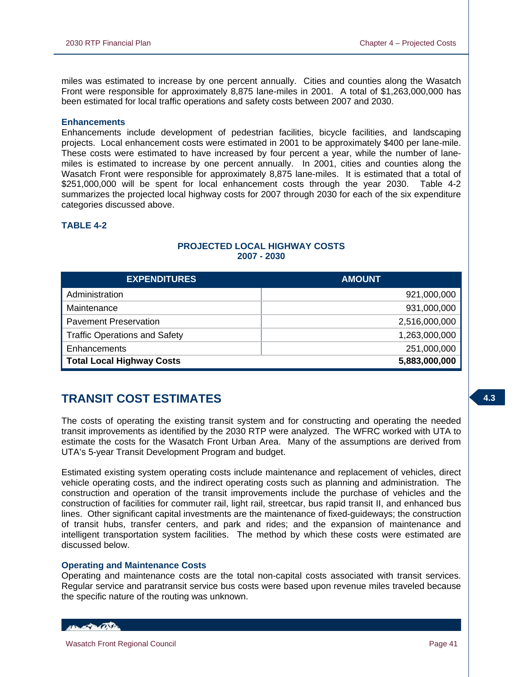miles was estimated to increase by one percent annually. Cities and counties along the Wasatch Front were responsible for approximately 8,875 lane-miles in 2001. A total of \$1,263,000,000 has been estimated for local traffic operations and safety costs between 2007 and 2030.

#### **Enhancements**

L

Enhancements include development of pedestrian facilities, bicycle facilities, and landscaping projects. Local enhancement costs were estimated in 2001 to be approximately \$400 per lane-mile. These costs were estimated to have increased by four percent a year, while the number of lanemiles is estimated to increase by one percent annually. In 2001, cities and counties along the Wasatch Front were responsible for approximately 8,875 lane-miles. It is estimated that a total of \$251,000,000 will be spent for local enhancement costs through the year 2030. Table 4-2 summarizes the projected local highway costs for 2007 through 2030 for each of the six expenditure categories discussed above.

> **PROJECTED LOCAL HIGHWAY COSTS 2007 - 2030**

#### **TABLE 4-2**

# **EXPENDITURES** AMOUNT Administration 1921,000,000 **Administration** 1921,000,000 **PM** 1921,000,000 **PM** 1921,000,000 **PM** 1921,000,000 **PM** Maintenance 931,000,000 **Maintenance** 931,000,000 **Maintenance** 931,000,000 **Maintenance** 931,000,000 **Maintenance** Pavement Preservation **Provides and COVID-1000** and COVID-100000 and COVID-100000 and COVID-100000 and COVID-100 Traffic Operations and Safety 1,263,000,000 and 1,263,000,000 and 1,263,000,000 Enhancements 251,000,000 **Total Local Highway Costs 5,883,000,000**

# **TRANSIT COST ESTIMATES**

The costs of operating the existing transit system and for constructing and operating the needed transit improvements as identified by the 2030 RTP were analyzed. The WFRC worked with UTA to estimate the costs for the Wasatch Front Urban Area. Many of the assumptions are derived from UTA's 5-year Transit Development Program and budget.

Estimated existing system operating costs include maintenance and replacement of vehicles, direct vehicle operating costs, and the indirect operating costs such as planning and administration. The construction and operation of the transit improvements include the purchase of vehicles and the construction of facilities for commuter rail, light rail, streetcar, bus rapid transit II, and enhanced bus lines. Other significant capital investments are the maintenance of fixed-guideways; the construction of transit hubs, transfer centers, and park and rides; and the expansion of maintenance and intelligent transportation system facilities. The method by which these costs were estimated are discussed below.

#### **Operating and Maintenance Costs**

Operating and maintenance costs are the total non-capital costs associated with transit services. Regular service and paratransit service bus costs were based upon revenue miles traveled because the specific nature of the routing was unknown.

**Brand De Contractor**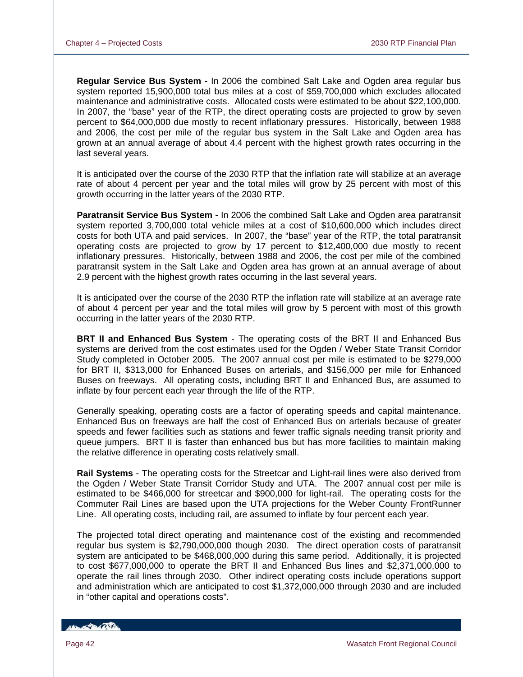**Regular Service Bus System** - In 2006 the combined Salt Lake and Ogden area regular bus system reported 15,900,000 total bus miles at a cost of \$59,700,000 which excludes allocated maintenance and administrative costs. Allocated costs were estimated to be about \$22,100,000. In 2007, the "base" year of the RTP, the direct operating costs are projected to grow by seven percent to \$64,000,000 due mostly to recent inflationary pressures. Historically, between 1988 and 2006, the cost per mile of the regular bus system in the Salt Lake and Ogden area has grown at an annual average of about 4.4 percent with the highest growth rates occurring in the last several years.

It is anticipated over the course of the 2030 RTP that the inflation rate will stabilize at an average rate of about 4 percent per year and the total miles will grow by 25 percent with most of this growth occurring in the latter years of the 2030 RTP.

**Paratransit Service Bus System** - In 2006 the combined Salt Lake and Ogden area paratransit system reported 3,700,000 total vehicle miles at a cost of \$10,600,000 which includes direct costs for both UTA and paid services. In 2007, the "base" year of the RTP, the total paratransit operating costs are projected to grow by 17 percent to \$12,400,000 due mostly to recent inflationary pressures. Historically, between 1988 and 2006, the cost per mile of the combined paratransit system in the Salt Lake and Ogden area has grown at an annual average of about 2.9 percent with the highest growth rates occurring in the last several years.

It is anticipated over the course of the 2030 RTP the inflation rate will stabilize at an average rate of about 4 percent per year and the total miles will grow by 5 percent with most of this growth occurring in the latter years of the 2030 RTP.

**BRT II and Enhanced Bus System** - The operating costs of the BRT II and Enhanced Bus systems are derived from the cost estimates used for the Ogden / Weber State Transit Corridor Study completed in October 2005. The 2007 annual cost per mile is estimated to be \$279,000 for BRT II, \$313,000 for Enhanced Buses on arterials, and \$156,000 per mile for Enhanced Buses on freeways. All operating costs, including BRT II and Enhanced Bus, are assumed to inflate by four percent each year through the life of the RTP.

Generally speaking, operating costs are a factor of operating speeds and capital maintenance. Enhanced Bus on freeways are half the cost of Enhanced Bus on arterials because of greater speeds and fewer facilities such as stations and fewer traffic signals needing transit priority and queue jumpers. BRT II is faster than enhanced bus but has more facilities to maintain making the relative difference in operating costs relatively small.

**Rail Systems** - The operating costs for the Streetcar and Light-rail lines were also derived from the Ogden / Weber State Transit Corridor Study and UTA. The 2007 annual cost per mile is estimated to be \$466,000 for streetcar and \$900,000 for light-rail. The operating costs for the Commuter Rail Lines are based upon the UTA projections for the Weber County FrontRunner Line. All operating costs, including rail, are assumed to inflate by four percent each year.

The projected total direct operating and maintenance cost of the existing and recommended regular bus system is \$2,790,000,000 though 2030. The direct operation costs of paratransit system are anticipated to be \$468,000,000 during this same period. Additionally, it is projected to cost \$677,000,000 to operate the BRT II and Enhanced Bus lines and \$2,371,000,000 to operate the rail lines through 2030. Other indirect operating costs include operations support and administration which are anticipated to cost \$1,372,000,000 through 2030 and are included in "other capital and operations costs".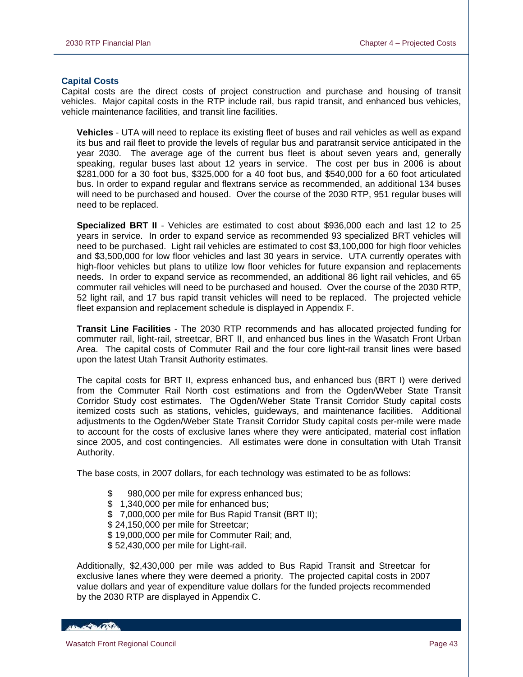#### **Capital Costs**

L

Capital costs are the direct costs of project construction and purchase and housing of transit vehicles. Major capital costs in the RTP include rail, bus rapid transit, and enhanced bus vehicles, vehicle maintenance facilities, and transit line facilities.

**Vehicles** - UTA will need to replace its existing fleet of buses and rail vehicles as well as expand its bus and rail fleet to provide the levels of regular bus and paratransit service anticipated in the year 2030. The average age of the current bus fleet is about seven years and, generally speaking, regular buses last about 12 years in service. The cost per bus in 2006 is about \$281,000 for a 30 foot bus, \$325,000 for a 40 foot bus, and \$540,000 for a 60 foot articulated bus. In order to expand regular and flextrans service as recommended, an additional 134 buses will need to be purchased and housed. Over the course of the 2030 RTP, 951 regular buses will need to be replaced.

**Specialized BRT II** - Vehicles are estimated to cost about \$936,000 each and last 12 to 25 years in service. In order to expand service as recommended 93 specialized BRT vehicles will need to be purchased. Light rail vehicles are estimated to cost \$3,100,000 for high floor vehicles and \$3,500,000 for low floor vehicles and last 30 years in service. UTA currently operates with high-floor vehicles but plans to utilize low floor vehicles for future expansion and replacements needs. In order to expand service as recommended, an additional 86 light rail vehicles, and 65 commuter rail vehicles will need to be purchased and housed. Over the course of the 2030 RTP, 52 light rail, and 17 bus rapid transit vehicles will need to be replaced. The projected vehicle fleet expansion and replacement schedule is displayed in Appendix F.

**Transit Line Facilities** - The 2030 RTP recommends and has allocated projected funding for commuter rail, light-rail, streetcar, BRT II, and enhanced bus lines in the Wasatch Front Urban Area. The capital costs of Commuter Rail and the four core light-rail transit lines were based upon the latest Utah Transit Authority estimates.

The capital costs for BRT II, express enhanced bus, and enhanced bus (BRT I) were derived from the Commuter Rail North cost estimations and from the Ogden/Weber State Transit Corridor Study cost estimates. The Ogden/Weber State Transit Corridor Study capital costs itemized costs such as stations, vehicles, guideways, and maintenance facilities. Additional adjustments to the Ogden/Weber State Transit Corridor Study capital costs per-mile were made to account for the costs of exclusive lanes where they were anticipated, material cost inflation since 2005, and cost contingencies. All estimates were done in consultation with Utah Transit Authority.

The base costs, in 2007 dollars, for each technology was estimated to be as follows:

- \$ 980,000 per mile for express enhanced bus;
- \$ 1,340,000 per mile for enhanced bus;
- \$ 7,000,000 per mile for Bus Rapid Transit (BRT II);
- \$ 24,150,000 per mile for Streetcar;
- \$ 19,000,000 per mile for Commuter Rail; and,
- \$ 52,430,000 per mile for Light-rail.

Additionally, \$2,430,000 per mile was added to Bus Rapid Transit and Streetcar for exclusive lanes where they were deemed a priority. The projected capital costs in 2007 value dollars and year of expenditure value dollars for the funded projects recommended by the 2030 RTP are displayed in Appendix C.

150 Bally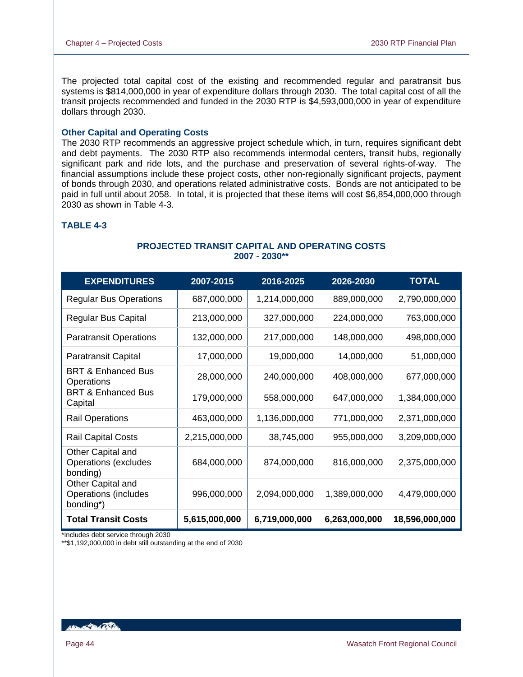The projected total capital cost of the existing and recommended regular and paratransit bus systems is \$814,000,000 in year of expenditure dollars through 2030. The total capital cost of all the transit projects recommended and funded in the 2030 RTP is \$4,593,000,000 in year of expenditure dollars through 2030.

#### **Other Capital and Operating Costs**

The 2030 RTP recommends an aggressive project schedule which, in turn, requires significant debt and debt payments. The 2030 RTP also recommends intermodal centers, transit hubs, regionally significant park and ride lots, and the purchase and preservation of several rights-of-way. The financial assumptions include these project costs, other non-regionally significant projects, payment of bonds through 2030, and operations related administrative costs. Bonds are not anticipated to be paid in full until about 2058. In total, it is projected that these items will cost \$6,854,000,000 through 2030 as shown in Table 4-3.

### **TABLE 4-3**

| <b>EXPENDITURES</b>                                                 | 2007-2015     | 2016-2025     | 2026-2030     | <b>TOTAL</b>   |
|---------------------------------------------------------------------|---------------|---------------|---------------|----------------|
| <b>Regular Bus Operations</b>                                       | 687,000,000   | 1,214,000,000 | 889,000,000   | 2,790,000,000  |
| Regular Bus Capital                                                 | 213,000,000   | 327,000,000   | 224,000,000   | 763,000,000    |
| <b>Paratransit Operations</b>                                       | 132,000,000   | 217,000,000   | 148,000,000   | 498,000,000    |
| <b>Paratransit Capital</b>                                          | 17,000,000    | 19,000,000    | 14,000,000    | 51,000,000     |
| <b>BRT &amp; Enhanced Bus</b><br>Operations                         | 28,000,000    | 240,000,000   | 408,000,000   | 677,000,000    |
| <b>BRT &amp; Enhanced Bus</b><br>Capital                            | 179,000,000   | 558,000,000   | 647,000,000   | 1,384,000,000  |
| <b>Rail Operations</b>                                              | 463,000,000   | 1,136,000,000 | 771,000,000   | 2,371,000,000  |
| <b>Rail Capital Costs</b>                                           | 2,215,000,000 | 38,745,000    | 955,000,000   | 3,209,000,000  |
| Other Capital and<br><b>Operations (excludes</b><br>bonding)        | 684,000,000   | 874,000,000   | 816,000,000   | 2,375,000,000  |
| Other Capital and<br>Operations (includes<br>bonding <sup>*</sup> ) | 996,000,000   | 2,094,000,000 | 1,389,000,000 | 4,479,000,000  |
| <b>Total Transit Costs</b>                                          | 5,615,000,000 | 6,719,000,000 | 6,263,000,000 | 18,596,000,000 |

### **PROJECTED TRANSIT CAPITAL AND OPERATING COSTS 2007 - 2030\*\***

\*Includes debt service through 2030

\*\*\$1,192,000,000 in debt still outstanding at the end of 2030

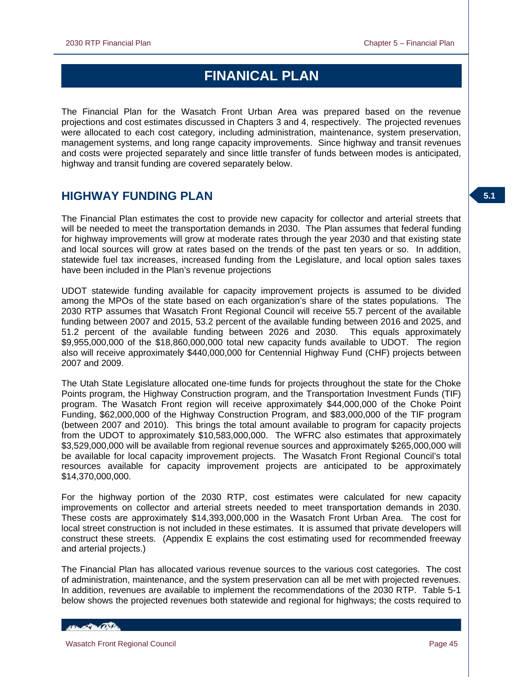# **FINANICAL PLAN**

The Financial Plan for the Wasatch Front Urban Area was prepared based on the revenue projections and cost estimates discussed in Chapters 3 and 4, respectively. The projected revenues were allocated to each cost category, including administration, maintenance, system preservation, management systems, and long range capacity improvements. Since highway and transit revenues and costs were projected separately and since little transfer of funds between modes is anticipated, highway and transit funding are covered separately below.

# **HIGHWAY FUNDING PLAN**

The Financial Plan estimates the cost to provide new capacity for collector and arterial streets that will be needed to meet the transportation demands in 2030. The Plan assumes that federal funding for highway improvements will grow at moderate rates through the year 2030 and that existing state and local sources will grow at rates based on the trends of the past ten years or so. In addition, statewide fuel tax increases, increased funding from the Legislature, and local option sales taxes have been included in the Plan's revenue projections

UDOT statewide funding available for capacity improvement projects is assumed to be divided among the MPOs of the state based on each organization's share of the states populations. The 2030 RTP assumes that Wasatch Front Regional Council will receive 55.7 percent of the available funding between 2007 and 2015, 53.2 percent of the available funding between 2016 and 2025, and 51.2 percent of the available funding between 2026 and 2030. This equals approximately \$9,955,000,000 of the \$18,860,000,000 total new capacity funds available to UDOT. The region also will receive approximately \$440,000,000 for Centennial Highway Fund (CHF) projects between 2007 and 2009.

The Utah State Legislature allocated one-time funds for projects throughout the state for the Choke Points program, the Highway Construction program, and the Transportation Investment Funds (TIF) program. The Wasatch Front region will receive approximately \$44,000,000 of the Choke Point Funding, \$62,000,000 of the Highway Construction Program, and \$83,000,000 of the TIF program (between 2007 and 2010). This brings the total amount available to program for capacity projects from the UDOT to approximately \$10,583,000,000. The WFRC also estimates that approximately \$3,529,000,000 will be available from regional revenue sources and approximately \$265,000,000 will be available for local capacity improvement projects. The Wasatch Front Regional Council's total resources available for capacity improvement projects are anticipated to be approximately \$14,370,000,000.

For the highway portion of the 2030 RTP, cost estimates were calculated for new capacity improvements on collector and arterial streets needed to meet transportation demands in 2030. These costs are approximately \$14,393,000,000 in the Wasatch Front Urban Area. The cost for local street construction is not included in these estimates. It is assumed that private developers will construct these streets. (Appendix E explains the cost estimating used for recommended freeway and arterial projects.)

The Financial Plan has allocated various revenue sources to the various cost categories. The cost of administration, maintenance, and the system preservation can all be met with projected revenues. In addition, revenues are available to implement the recommendations of the 2030 RTP. Table 5-1 below shows the projected revenues both statewide and regional for highways; the costs required to

**ABON AND ARTIST**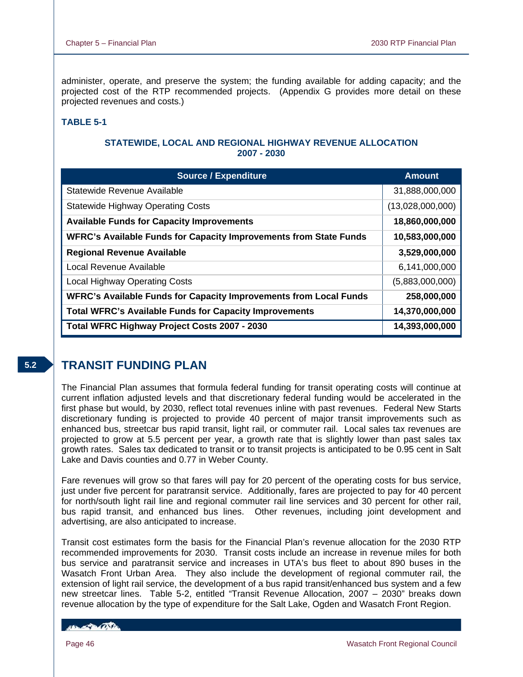administer, operate, and preserve the system; the funding available for adding capacity; and the projected cost of the RTP recommended projects. (Appendix G provides more detail on these projected revenues and costs.)

### **TABLE 5-1**

L

#### **STATEWIDE, LOCAL AND REGIONAL HIGHWAY REVENUE ALLOCATION 2007 - 2030**

| <b>Source / Expenditure</b>                                       | <b>Amount</b>    |
|-------------------------------------------------------------------|------------------|
| Statewide Revenue Available                                       | 31,888,000,000   |
| <b>Statewide Highway Operating Costs</b>                          | (13,028,000,000) |
| <b>Available Funds for Capacity Improvements</b>                  | 18,860,000,000   |
| WFRC's Available Funds for Capacity Improvements from State Funds | 10,583,000,000   |
| <b>Regional Revenue Available</b>                                 | 3,529,000,000    |
| Local Revenue Available                                           | 6,141,000,000    |
| <b>Local Highway Operating Costs</b>                              | (5,883,000,000)  |
| WFRC's Available Funds for Capacity Improvements from Local Funds | 258,000,000      |
| <b>Total WFRC's Available Funds for Capacity Improvements</b>     | 14,370,000,000   |
| <b>Total WFRC Highway Project Costs 2007 - 2030</b>               | 14,393,000,000   |

#### **5.2**

# **TRANSIT FUNDING PLAN**

The Financial Plan assumes that formula federal funding for transit operating costs will continue at current inflation adjusted levels and that discretionary federal funding would be accelerated in the first phase but would, by 2030, reflect total revenues inline with past revenues. Federal New Starts discretionary funding is projected to provide 40 percent of major transit improvements such as enhanced bus, streetcar bus rapid transit, light rail, or commuter rail. Local sales tax revenues are projected to grow at 5.5 percent per year, a growth rate that is slightly lower than past sales tax growth rates. Sales tax dedicated to transit or to transit projects is anticipated to be 0.95 cent in Salt Lake and Davis counties and 0.77 in Weber County.

Fare revenues will grow so that fares will pay for 20 percent of the operating costs for bus service, just under five percent for paratransit service. Additionally, fares are projected to pay for 40 percent for north/south light rail line and regional commuter rail line services and 30 percent for other rail, bus rapid transit, and enhanced bus lines. Other revenues, including joint development and advertising, are also anticipated to increase.

Transit cost estimates form the basis for the Financial Plan's revenue allocation for the 2030 RTP recommended improvements for 2030. Transit costs include an increase in revenue miles for both bus service and paratransit service and increases in UTA's bus fleet to about 890 buses in the Wasatch Front Urban Area. They also include the development of regional commuter rail, the extension of light rail service, the development of a bus rapid transit/enhanced bus system and a few new streetcar lines. Table 5-2, entitled "Transit Revenue Allocation, 2007 – 2030" breaks down revenue allocation by the type of expenditure for the Salt Lake, Ogden and Wasatch Front Region.

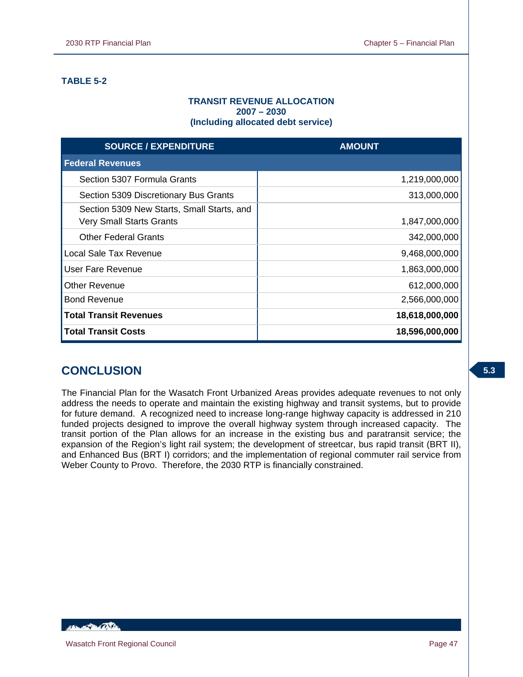## **TABLE 5-2**

L

#### **TRANSIT REVENUE ALLOCATION 2007 – 2030 (Including allocated debt service)**

| <b>SOURCE / EXPENDITURE</b>                                                   | <b>AMOUNT</b>  |
|-------------------------------------------------------------------------------|----------------|
| <b>Federal Revenues</b>                                                       |                |
| Section 5307 Formula Grants                                                   | 1,219,000,000  |
| Section 5309 Discretionary Bus Grants                                         | 313,000,000    |
| Section 5309 New Starts, Small Starts, and<br><b>Very Small Starts Grants</b> | 1,847,000,000  |
| <b>Other Federal Grants</b>                                                   | 342,000,000    |
| Local Sale Tax Revenue                                                        | 9,468,000,000  |
| <b>User Fare Revenue</b>                                                      | 1,863,000,000  |
| <b>Other Revenue</b>                                                          | 612,000,000    |
| <b>Bond Revenue</b>                                                           | 2,566,000,000  |
| <b>Total Transit Revenues</b>                                                 | 18,618,000,000 |
| <b>Total Transit Costs</b>                                                    | 18,596,000,000 |

# **CONCLUSION**

The Financial Plan for the Wasatch Front Urbanized Areas provides adequate revenues to not only address the needs to operate and maintain the existing highway and transit systems, but to provide for future demand. A recognized need to increase long-range highway capacity is addressed in 210 funded projects designed to improve the overall highway system through increased capacity. The transit portion of the Plan allows for an increase in the existing bus and paratransit service; the expansion of the Region's light rail system; the development of streetcar, bus rapid transit (BRT II), and Enhanced Bus (BRT I) corridors; and the implementation of regional commuter rail service from Weber County to Provo. Therefore, the 2030 RTP is financially constrained.

 **5.3**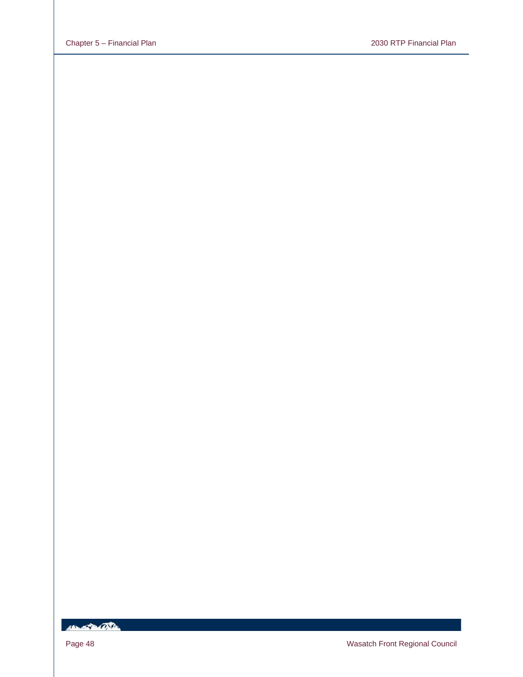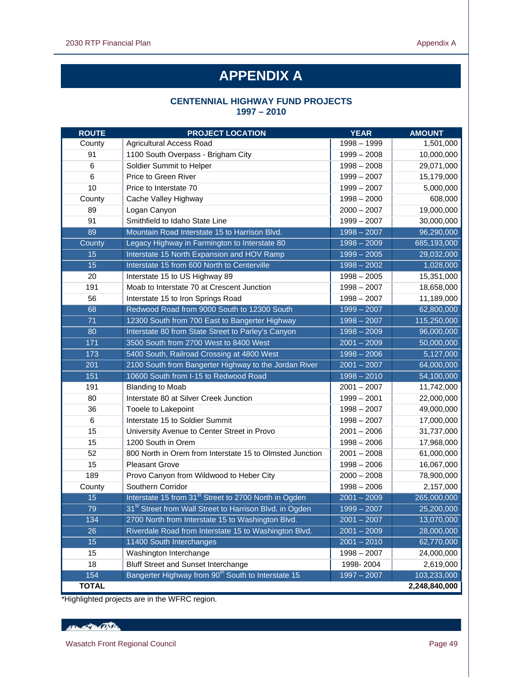# **APPENDIX A - CENTENNIAL HIGHWAY FUND PROJECTS: 1997 – 2010 APPENDIX A**

## **CENTENNIAL HIGHWAY FUND PROJECTS 1997 – 2010**

| <b>ROUTE</b> | <b>PROJECT LOCATION</b>                                             | <b>YEAR</b>   | <b>AMOUNT</b> |
|--------------|---------------------------------------------------------------------|---------------|---------------|
| County       | Agricultural Access Road                                            | $1998 - 1999$ | 1,501,000     |
| 91           | 1100 South Overpass - Brigham City                                  | $1999 - 2008$ | 10,000,000    |
| 6            | Soldier Summit to Helper                                            | $1998 - 2008$ | 29,071,000    |
| 6            | Price to Green River                                                | $1999 - 2007$ | 15,179,000    |
| 10           | Price to Interstate 70                                              | $1999 - 2007$ | 5,000,000     |
| County       | Cache Valley Highway                                                | $1998 - 2000$ | 608,000       |
| 89           | Logan Canyon                                                        | $2000 - 2007$ | 19,000,000    |
| 91           | Smithfield to Idaho State Line                                      | $1999 - 2007$ | 30,000,000    |
| 89           | Mountain Road Interstate 15 to Harrison Blvd.                       | $1998 - 2007$ | 96,290,000    |
| County       | Legacy Highway in Farmington to Interstate 80                       | $1998 - 2009$ | 685,193,000   |
| 15           | Interstate 15 North Expansion and HOV Ramp                          | $1999 - 2005$ | 29,032,000    |
| 15           | Interstate 15 from 600 North to Centerville                         | $1998 - 2002$ | 1,028,000     |
| 20           | Interstate 15 to US Highway 89                                      | $1998 - 2005$ | 15,351,000    |
| 191          | Moab to Interstate 70 at Crescent Junction                          | $1998 - 2007$ | 18,658,000    |
| 56           | Interstate 15 to Iron Springs Road                                  | $1998 - 2007$ | 11,189,000    |
| 68           | Redwood Road from 9000 South to 12300 South                         | $1999 - 2007$ | 62,800,000    |
| 71           | 12300 South from 700 East to Bangerter Highway                      | $1998 - 2007$ | 115,250,000   |
| 80           | Interstate 80 from State Street to Parley's Canyon                  | $1998 - 2009$ | 96,000,000    |
| 171          | 3500 South from 2700 West to 8400 West                              | $2001 - 2009$ | 50,000,000    |
| 173          | 5400 South, Railroad Crossing at 4800 West                          | $1998 - 2006$ | 5,127,000     |
| 201          | 2100 South from Bangerter Highway to the Jordan River               | $2001 - 2007$ | 64,000,000    |
| 151          | 10600 South from I-15 to Redwood Road                               | $1998 - 2010$ | 54,100,000    |
| 191          | <b>Blanding to Moab</b>                                             | $2001 - 2007$ | 11,742,000    |
| 80           | Interstate 80 at Silver Creek Junction                              | $1999 - 2001$ | 22,000,000    |
| 36           | Tooele to Lakepoint                                                 | $1998 - 2007$ | 49,000,000    |
| 6            | Interstate 15 to Soldier Summit                                     | $1998 - 2007$ | 17,000,000    |
| 15           | University Avenue to Center Street in Provo                         | $2001 - 2006$ | 31,737,000    |
| 15           | 1200 South in Orem                                                  | $1998 - 2006$ | 17,968,000    |
| 52           | 800 North in Orem from Interstate 15 to Olmsted Junction            | $2001 - 2008$ | 61,000,000    |
| 15           | <b>Pleasant Grove</b>                                               | $1998 - 2006$ | 16,067,000    |
| 189          | Provo Canyon from Wildwood to Heber City                            | $2000 - 2008$ | 78,900,000    |
| County       | Southern Corridor                                                   | $1998 - 2006$ | 2,157,000     |
| 15           | Interstate 15 from 31 <sup>st</sup> Street to 2700 North in Ogden   | $2001 - 2009$ | 265,000,000   |
| 79           | 31 <sup>st</sup> Street from Wall Street to Harrison Blvd. in Ogden | $1999 - 2007$ | 25,200,000    |
| 134          | 2700 North from Interstate 15 to Washington Blvd.                   | $2001 - 2007$ | 13,070,000    |
| 26           | Riverdale Road from Interstate 15 to Washington Blvd.               | $2001 - 2009$ | 28,000,000    |
| 15           | 11400 South Interchanges                                            | $2001 - 2010$ | 62,770,000    |
| 15           | Washington Interchange                                              | $1998 - 2007$ | 24,000,000    |
| 18           | Bluff Street and Sunset Interchange                                 | 1998-2004     | 2,619,000     |
| 154          | Bangerter Highway from 90 <sup>th</sup> South to Interstate 15      | $1997 - 2007$ | 103,233,000   |
| <b>TOTAL</b> |                                                                     |               | 2,248,840,000 |

\*Highlighted projects are in the WFRC region.

North College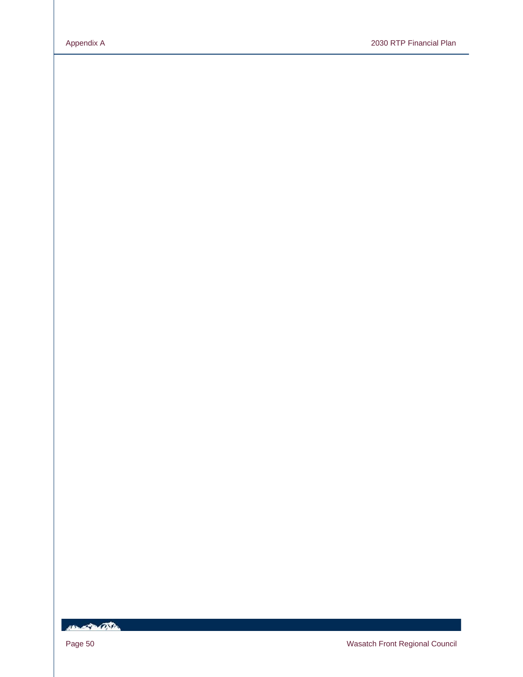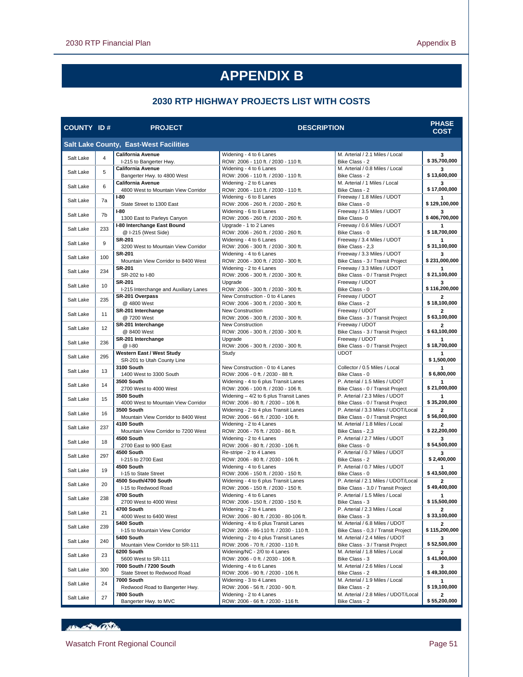# **APPENDIX B -** 2030 RTP HIGHWAY PROJECTS LIST **APPENDIX B**

# **2030 RTP HIGHWAY PROJECTS LIST WITH COSTS**

| <b>COUNTY ID#</b> |                | <b>PROJECT</b>                                     | <b>DESCRIPTION</b>                                                             |                                                                      | <b>PHASE</b><br><b>COST</b> |
|-------------------|----------------|----------------------------------------------------|--------------------------------------------------------------------------------|----------------------------------------------------------------------|-----------------------------|
|                   |                | <b>Salt Lake County, East-West Facilities</b>      |                                                                                |                                                                      |                             |
|                   |                | <b>California Avenue</b>                           | Widening - 4 to 6 Lanes                                                        | M. Arterial / 2.1 Miles / Local                                      | 3                           |
| Salt Lake         | $\overline{4}$ | I-215 to Bangerter Hwy.                            | ROW: 2006 - 110 ft. / 2030 - 110 ft.                                           | Bike Class - 2                                                       | \$35,700,000                |
|                   | 5              | <b>California Avenue</b>                           | Widening - 4 to 6 Lanes                                                        | M. Arterial / 0.8 Miles / Local                                      | 3                           |
| Salt Lake         |                | Bangerter Hwy. to 4800 West                        | ROW: 2006 - 110 ft. / 2030 - 110 ft.                                           | Bike Class - 2                                                       | \$13,600,000                |
| Salt Lake         | 6              | <b>California Avenue</b>                           | Widening - 2 to 6 Lanes                                                        | M. Arterial / 1 Miles / Local                                        | 3                           |
|                   |                | 4800 West to Mountain View Corridor                | ROW: 2006 - 110 ft. / 2030 - 110 ft.                                           | Bike Class - 2                                                       | \$17,000,000                |
| Salt Lake         | 7a             | $I-80$                                             | Widening - 6 to 8 Lanes                                                        | Freeway / 1.8 Miles / UDOT                                           |                             |
|                   |                | State Street to 1300 East                          | ROW: 2006 - 260 ft. / 2030 - 260 ft.                                           | Bike Class - 0                                                       | \$129,100,000               |
| Salt Lake         | 7 <sub>b</sub> | $I-80$                                             | Widening - 6 to 8 Lanes                                                        | Freeway / 3.5 Miles / UDOT                                           | 3                           |
|                   |                | 1300 East to Parleys Canyon                        | ROW: 2006 - 260 ft. / 2030 - 260 ft.                                           | Bike Class-0                                                         | \$406,700,000               |
| Salt Lake         | 233            | I-80 Interchange East Bound<br>@ I-215 (West Side) | Upgrade - 1 to 2 Lanes<br>ROW: 2006 - 260 ft. / 2030 - 260 ft.                 | Freeway / 0.6 Miles / UDOT<br>Bike Class - 0                         | 1<br>\$18,700,000           |
|                   |                | SR-201                                             | Widening - 4 to 6 Lanes                                                        | Freeway / 3.4 Miles / UDOT                                           |                             |
| Salt Lake         | 9              | 3200 West to Mountain View Corridor                | ROW: 2006 - 300 ft. / 2030 - 300 ft.                                           | Bike Class - 2,3                                                     | \$31,100,000                |
|                   |                | SR-201                                             | Widening - 4 to 6 Lanes                                                        | Freeway / 3.3 Miles / UDOT                                           | 3                           |
| Salt Lake         | 100            | Mountain View Corridor to 8400 West                | ROW: 2006 - 300 ft. / 2030 - 300 ft.                                           | Bike Class - 3 / Transit Project                                     | \$231,000,000               |
|                   |                | <b>SR-201</b>                                      | Widening - 2 to 4 Lanes                                                        | Freeway / 3.3 Miles / UDOT                                           | 1                           |
| Salt Lake         | 234            | SR-202 to I-80                                     | ROW: 2006 - 300 ft. / 2030 - 300 ft.                                           | Bike Class - 0 / Transit Project                                     | \$21,100,000                |
|                   |                | SR-201                                             | Upgrade                                                                        | Freeway / UDOT                                                       | 3                           |
| Salt Lake         | 10             | I-215 Interchange and Auxiliary Lanes              | ROW: 2006 - 300 ft. / 2030 - 300 ft.                                           | Bike Class - 0                                                       | \$116,200,000               |
|                   |                | SR-201 Overpass                                    | New Construction - 0 to 4 Lanes                                                | Freeway / UDOT                                                       | $\mathbf{2}$                |
| Salt Lake         | 235            | @ 4800 West                                        | ROW: 2006 - 300 ft. / 2030 - 300 ft.                                           | Bike Class - 2                                                       | \$18,100,000                |
| Salt Lake         |                | SR-201 Interchange                                 | <b>New Construction</b>                                                        | Freeway / UDOT                                                       | 2                           |
|                   | 11             | @7200 West                                         | ROW: 2006 - 300 ft. / 2030 - 300 ft.                                           | Bike Class - 3 / Transit Project                                     | \$63,100,000                |
| Salt Lake         | 12             | SR-201 Interchange                                 | New Construction                                                               | Freeway / UDOT                                                       | $\mathbf{2}$                |
|                   |                | @ 8400 West                                        | ROW: 2006 - 300 ft. / 2030 - 300 ft.                                           | Bike Class - 3 / Transit Project                                     | \$63.100.000                |
| Salt Lake         | 236            | SR-201 Interchange                                 | Upgrade                                                                        | Freeway / UDOT                                                       | 1                           |
|                   |                | @ I-80                                             | ROW: 2006 - 300 ft. / 2030 - 300 ft.                                           | Bike Class - 0 / Transit Project                                     | \$18,700,000                |
| Salt Lake         | 295            | <b>Western East / West Study</b>                   | Study                                                                          | <b>UDOT</b>                                                          | 1                           |
|                   |                | SR-201 to Utah County Line                         |                                                                                |                                                                      | \$1,500,000                 |
| Salt Lake         | 13             | 3100 South                                         | New Construction - 0 to 4 Lanes                                                | Collector / 0.5 Miles / Local                                        | 1                           |
|                   |                | 1400 West to 3300 South                            | ROW: 2006 - 0 ft. / 2030 - 88 ft.                                              | Bike Class - 0                                                       | \$6,800,000                 |
| Salt Lake         | 14             | 3500 South                                         | Widening - 4 to 6 plus Transit Lanes                                           | P. Arterial / 1.5 Miles / UDOT                                       | \$21,000,000                |
|                   |                | 2700 West to 4000 West<br>3500 South               | ROW: 2006 - 100 ft. / 2030 - 106 ft.<br>Widening - 4/2 to 6 plus Transit Lanes | Bike Class - 0 / Transit Project<br>P. Arterial / 2.3 Miles / UDOT   | 1                           |
| Salt Lake         | 15             | 4000 West to Mountain View Corridor                | ROW: 2006 - 80 ft. / 2030 - 106 ft.                                            | Bike Class - 0 / Transit Project                                     | \$35,200,000                |
|                   |                | 3500 South                                         | Widening - 2 to 4 plus Transit Lanes                                           | P. Arterial / 3.3 Miles / UDOT/Local                                 | $\mathbf{2}$                |
| Salt Lake         | 16             | Mountain View Corridor to 8400 West                | ROW: 2006 - 66 ft. / 2030 - 106 ft.                                            | Bike Class - 0 / Transit Project                                     | \$56,000,000                |
|                   |                | 4100 South                                         | Widening - 2 to 4 Lanes                                                        | M. Arterial / 1.8 Miles / Local                                      | 2                           |
| Salt Lake         | 237            | Mountain View Corridor to 7200 West                | ROW: 2006 - 76 ft. / 2030 - 86 ft.                                             | Bike Class - 2,3                                                     | \$22,200,000                |
|                   |                | 4500 South                                         | Widening - 2 to 4 Lanes                                                        | P. Arterial / 2.7 Miles / UDOT                                       | 3                           |
| Salt Lake         | 18             | 2700 East to 900 East                              | ROW: 2006 - 80 ft. / 2030 - 106 ft.                                            | Bike Class - 0                                                       | \$54,500,000                |
|                   |                | 4500 South                                         | Re-stripe - 2 to 4 Lanes                                                       | P. Arterial / 0.7 Miles / UDOT                                       | 3                           |
| Salt Lake         | 297            | I-215 to 2700 East                                 | ROW: 2006 - 80 ft. / 2030 - 106 ft.                                            | Bike Class - 2                                                       | \$2,400,000                 |
| Salt Lake         | 19             | 4500 South                                         | Widening - 4 to 6 Lanes                                                        | P. Arterial / 0.7 Miles / UDOT                                       | 1                           |
|                   |                | I-15 to State Street                               | ROW: 2006 - 150 ft. / 2030 - 150 ft.                                           | Bike Class - 0                                                       | \$43,500,000                |
| Salt Lake         | 20             | 4500 South/4700 South                              | Widening - 4 to 6 plus Transit Lanes                                           | P. Arterial / 2.1 Miles / UDOT/Local                                 | $\mathbf{2}$                |
|                   |                | I-15 to Redwood Road                               | ROW: 2006 - 150 ft. / 2030 - 150 ft.                                           | Bike Class - 3,0 / Transit Project                                   | \$49,400,000                |
| Salt Lake         | 238            | 4700 South                                         | Widening - 4 to 6 Lanes                                                        | P. Arterial / 1.5 Miles / Local                                      | 1                           |
|                   |                | 2700 West to 4000 West                             | ROW: 2006 - 150 ft. / 2030 - 150 ft.                                           | Bike Class - 3                                                       | \$15,500,000                |
| Salt Lake         | 21             | 4700 South                                         | Widening - 2 to 4 Lanes                                                        | P. Arterial / 2.3 Miles / Local                                      | $\overline{2}$              |
|                   |                | 4000 West to 6400 West                             | ROW: 2006 - 80 ft. / 2030 - 80-106 ft.                                         | Bike Class - 3                                                       | \$33,100,000                |
| Salt Lake         | 239            | 5400 South                                         | Widening - 4 to 6 plus Transit Lanes                                           | M. Arterial / 6.8 Miles / UDOT                                       | $\mathbf{2}$                |
|                   |                | I-15 to Mountain View Corridor                     | ROW: 2006 - 86-110 ft. / 2030 - 110 ft.                                        | Bike Class - 0,3 / Transit Project<br>M. Arterial / 2.4 Miles / UDOT | \$115,200,000               |
| Salt Lake         | 240            | 5400 South<br>Mountain View Corridor to SR-111     | Widening - 2 to 4 plus Transit Lanes                                           | Bike Class - 3 / Transit Project                                     | 3<br>\$52,500,000           |
|                   |                | 6200 South                                         | ROW: 2006 - 70 ft. / 2030 - 110 ft.<br>Widening/NC - 2/0 to 4 Lanes            | M. Arterial / 1.8 Miles / Local                                      |                             |
| Salt Lake         | 23             | 5600 West to SR-111                                | ROW: 2006 - 0 ft. / 2030 - 106 ft.                                             | Bike Class - 3                                                       | 2<br>\$41,900,000           |
|                   |                | 7000 South / 7200 South                            | Widening - 4 to 6 Lanes                                                        | M. Arterial / 2.6 Miles / Local                                      | 3                           |
| Salt Lake         | 300            | State Street to Redwood Road                       | ROW: 2006 - 90 ft. / 2030 - 106 ft.                                            | Bike Class - 2                                                       | \$49,300,000                |
|                   |                | 7000 South                                         | Widening - 3 to 4 Lanes                                                        | M. Arterial / 1.9 Miles / Local                                      | 1                           |
| Salt Lake         | 24             | Redwood Road to Bangerter Hwy.                     | ROW: 2006 - 56 ft. / 2030 - 90 ft.                                             | Bike Class - 2                                                       | \$19,100,000                |
|                   |                | 7800 South                                         | Widening - 2 to 4 Lanes                                                        | M. Arterial / 2.8 Miles / UDOT/Local                                 | 2                           |
| Salt Lake         | 27             | Bangerter Hwy. to MVC                              | ROW: 2006 - 66 ft. / 2030 - 116 ft.                                            | Bike Class - 2                                                       | \$55,200,000                |

Hand Martin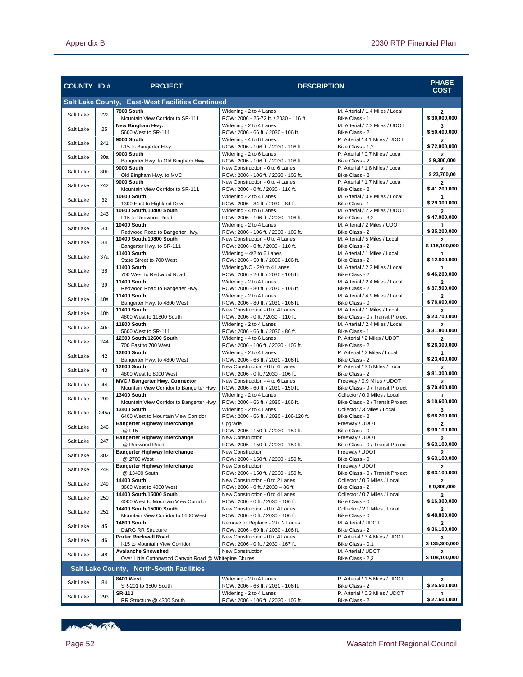| <b>COUNTY ID#</b> |                 | <b>PROJECT</b>                                                                    | <b>DESCRIPTION</b>                                                     |                                                                | <b>PHASE</b><br>COST         |
|-------------------|-----------------|-----------------------------------------------------------------------------------|------------------------------------------------------------------------|----------------------------------------------------------------|------------------------------|
|                   |                 | <b>Salt Lake County, East-West Facilities Continued</b>                           |                                                                        |                                                                |                              |
|                   | 222             | <b>7800 South</b>                                                                 | Widening - 2 to 4 Lanes                                                | M. Arterial / 1.4 Miles / Local                                | $\overline{2}$               |
| Salt Lake         |                 | Mountain View Corridor to SR-111                                                  | ROW: 2006 - 25-72 ft. / 2030 - 116 ft.                                 | Bike Class - 1                                                 | \$30,000,000                 |
| Salt Lake         | 25              | New Bingham Hwy.                                                                  | Widening - 2 to 4 Lanes                                                | M. Arterial / 2.3 Miles / UDOT                                 | 3                            |
|                   |                 | 5600 West to SR-111<br>9000 South                                                 | ROW: 2006 - 66 ft. / 2030 - 106 ft.                                    | Bike Class - 2<br>P. Arterial / 4.1 Miles / UDOT               | \$50,400,000                 |
| Salt Lake         | 241             | I-15 to Bangerter Hwy.                                                            | Widening - 4 to 6 Lanes<br>ROW: 2006 - 106 ft. / 2030 - 106 ft.        | Bike Class - 1,2                                               | 2<br>\$72,000,000            |
|                   |                 | 9000 South                                                                        | Widening - 2 to 6 Lanes                                                | P. Arterial / 0.7 Miles / Local                                | 2                            |
| Salt Lake         | 30a             | Bangerter Hwy. to Old Bingham Hwy.                                                | ROW: 2006 - 106 ft. / 2030 - 106 ft.                                   | Bike Class - 2                                                 | \$9,300,000                  |
| Salt Lake         | 30b             | 9000 South                                                                        | New Construction - 0 to 6 Lanes                                        | P. Arterial / 1.8 Miles / Local                                | 2                            |
|                   |                 | Old Bingham Hwy. to MVC                                                           | ROW: 2006 - 106 ft. / 2030 - 106 ft.                                   | Bike Class - 2                                                 | \$23,700,00                  |
| Salt Lake         | 242             | 9000 South                                                                        | New Construction - 0 to 4 Lanes                                        | P. Arterial / 1.7 Miles / Local<br>Bike Class - 2              | $\mathbf{2}$<br>\$41,200,000 |
|                   |                 | Mountain View Corridor to SR-111<br><b>10600 South</b>                            | ROW: 2006 - 0 ft. / 2030 - 116 ft.<br>Widening - 2 to 4 Lanes          | M. Arterial / 0.9 Miles / Local                                | 1                            |
| Salt Lake         | 32              | 1300 East to Highland Drive                                                       | ROW: 2006 - 84 ft. / 2030 - 84 ft.                                     | Bike Class - 1                                                 | \$29,300,000                 |
| Salt Lake         | 243             | 10600 South/10400 South                                                           | Widening - 4 to 6 Lanes                                                | M. Arterial / 2.2 Miles / UDOT                                 | 2                            |
|                   |                 | I-15 to Redwood Road                                                              | ROW: 2006 - 106 ft. / 2030 - 106 ft.                                   | Bike Class - 3,2                                               | \$47,000,000                 |
| Salt Lake         | 33              | 10400 South                                                                       | Widening - 2 to 4 Lanes                                                | M. Arterial / 2 Miles / UDOT                                   | 1                            |
|                   |                 | Redwood Road to Bangerter Hwy.                                                    | ROW: 2006 - 106 ft. / 2030 - 106 ft.                                   | Bike Class - 2<br>M. Arterial / 5 Miles / Local                | \$35,200,000                 |
| Salt Lake         | 34              | 10400 South/10800 South<br>Bangerter Hwy. to SR-111                               | New Construction - 0 to 4 Lanes<br>ROW: 2006 - 0 ft. / 2030 - 110 ft.  | Bike Class - 2                                                 | 2<br>\$118,100,000           |
|                   |                 | <b>11400 South</b>                                                                | Widening $-4/2$ to 6 Lanes                                             | M. Arterial / 1 Miles / Local                                  | 1                            |
| Salt Lake         | 37a             | State Street to 700 West                                                          | ROW: 2006 - 50 ft. / 2030 - 106 ft.                                    | Bike Class - 2                                                 | \$12,800,000                 |
| Salt Lake         | 38              | 11400 South                                                                       | Widening/NC - 2/0 to 4 Lanes                                           | M. Arterial / 2.3 Miles / Local                                | 1                            |
|                   |                 | 700 West to Redwood Road                                                          | ROW: 2006 - 20 ft. / 2030 - 106 ft.                                    | Bike Class - 2                                                 | \$46,200,000                 |
| Salt Lake         | 39              | 11400 South                                                                       | Widening - 2 to 4 Lanes                                                | M. Arterial / 2.4 Miles / Local<br>Bike Class - 2              | 2<br>\$37,500,000            |
|                   |                 | Redwood Road to Bangerter Hwy.<br><b>11400 South</b>                              | ROW: 2006 - 80 ft. / 2030 - 106 ft.<br>Widening - 2 to 4 Lanes         | M. Arterial / 4.9 Miles / Local                                | 2                            |
| Salt Lake         | 40a             | Bangerter Hwy. to 4800 West                                                       | ROW: 2006 - 80 ft. / 2030 - 106 ft.                                    | Bike Class - 0                                                 | \$76,600,000                 |
| Salt Lake         | 40 <sub>b</sub> | <b>11400 South</b>                                                                | New Construction - 0 to 4 Lanes                                        | M. Arterial / 1 Miles / Local                                  | $\mathbf{2}$                 |
|                   |                 | 4800 West to 11800 South                                                          | ROW: 2006 - 0 ft. / 2030 - 110 ft.                                     | Bike Class - 0 / Transit Project                               | \$23,700,000                 |
| Salt Lake         | 40c             | <b>11800 South</b>                                                                | Widening - 2 to 4 Lanes                                                | M. Arterial / 2.4 Miles / Local                                | $\overline{2}$               |
|                   |                 | 5600 West to SR-111<br>12300 South/12600 South                                    | ROW: 2006 - 66 ft. / 2030 - 86 ft.                                     | Bike Class - 1<br>P. Arterial / 2 Miles / UDOT                 | \$31,800,000                 |
| Salt Lake         | 244             | 700 East to 700 West                                                              | Widening - 4 to 6 Lanes<br>ROW: 2006 - 106 ft. / 2030 - 106 ft.        | Bike Class - 2                                                 | $\mathbf{2}$<br>\$26,300,000 |
|                   |                 | <b>12600 South</b>                                                                | Widening - 2 to 4 Lanes                                                | P. Arterial / 2 Miles / Local                                  | 1                            |
| Salt Lake         | 42              | Bangerter Hwy. to 4800 West                                                       | ROW: 2006 - 66 ft. / 2030 - 106 ft.                                    | Bike Class - 2                                                 | \$23,400,000                 |
| Salt Lake         | 43              | <b>12600 South</b>                                                                | New Construction - 0 to 4 Lanes                                        | P. Arterial / 3.5 Miles / Local                                | $\mathbf{2}$                 |
|                   |                 | 4800 West to 8000 West                                                            | ROW: 2006 - 0 ft. / 2030 - 106 ft.                                     | Bike Class - 2                                                 | \$81,300,000                 |
| Salt Lake         | 44              | <b>MVC / Bangerter Hwy. Connector</b><br>Mountain View Corridor to Bangerter Hwy. | New Construction - 4 to 6 Lanes<br>ROW: 2006 - 60 ft. / 2030 - 150 ft. | Freeway / 0.9 Miles / UDOT<br>Bike Class - 0 / Transit Project | 2<br>\$70,400,000            |
|                   |                 | 13400 South                                                                       | Widening - 2 to 4 Lanes                                                | Collector / 0.9 Miles / Local                                  | 1                            |
| Salt Lake         | 299             | Mountain View Corridor to Bangerter Hwy.                                          | ROW: 2006 - 66 ft. / 2030 - 106 ft.                                    | Bike Class - 2 / Transit Project                               | \$10,600,000                 |
| Salt Lake         | 245a            | 13400 South                                                                       | Widening - 2 to 4 Lanes                                                | Collector / 3 Miles / Local                                    | 3                            |
|                   |                 | 6400 West to Mountain View Corridor                                               | ROW: 2006 - 66 ft. / 2030 - 106-120 ft.                                | Bike Class - 2                                                 | \$68,200,000                 |
| Salt Lake         | 246             | Bangerter Highway Interchange<br>@ I-15                                           | Upgrade                                                                | Freeway / UDOT                                                 | $\mathbf{2}$<br>\$90,100,000 |
|                   |                 | Bangerter Highway Interchange                                                     | ROW: 2006 - 150 ft. / 2030 - 150 ft.<br>New Construction               | Bike Class - 0<br>Freeway / UDOT                               | $\mathbf{2}$                 |
| Salt Lake         | 247             | @ Redwood Road                                                                    | ROW: 2006 - 150 ft. / 2030 - 150 ft.                                   | Bike Class - 0 / Transit Project                               | \$63,100,000                 |
|                   |                 | <b>Bangerter Highway Interchange</b>                                              | <b>New Construction</b>                                                | Freeway / UDOT                                                 | $\mathbf{2}$                 |
| Salt Lake         | 302             | @ 2700 West                                                                       | ROW: 2006 - 150 ft. / 2030 - 150 ft.                                   | Bike Class - 0                                                 | \$63,100,000                 |
| Salt Lake         | 248             | Bangerter Highway Interchange                                                     | <b>New Construction</b>                                                | Freeway / UDOT                                                 | $\mathbf{2}$                 |
|                   |                 | @ 13400 South                                                                     | ROW: 2006 - 150 ft. / 2030 - 150 ft.                                   | Bike Class - 0 / Transit Project                               | \$63,100,000                 |
| Salt Lake         | 249             | 14400 South<br>3600 West to 4000 West                                             | New Construction - 0 to 2 Lanes<br>ROW: 2006 - 0 ft. / 2030 - 86 ft.   | Collector / 0.5 Miles / Local<br>Bike Class - 2                | 2<br>\$9,800,000             |
|                   |                 | 14400 South/15000 South                                                           | New Construction - 0 to 4 Lanes                                        | Collector / 0.7 Miles / Local                                  | 2                            |
| Salt Lake         | 250             | 4000 West to Mountain View Corridor                                               | ROW: 2006 - 0 ft. / 2030 - 106 ft.                                     | Bike Class - 0                                                 | \$16,300,000                 |
| Salt Lake         | 251             | 14400 South/15000 South                                                           | New Construction - 0 to 4 Lanes                                        | Collector / 2.1 Miles / Local                                  | 2                            |
|                   |                 | Mountain View Corridor to 5600 West                                               | ROW: 2006 - 0 ft. / 2030 - 106 ft.                                     | Bike Class - 0                                                 | \$48,800,000                 |
| Salt Lake         | 45              | <b>14600 South</b>                                                                | Remove or Replace - 2 to 2 Lanes                                       | M. Arterial / UDOT                                             | 2                            |
|                   |                 | <b>D&amp;RG RR Structure</b><br>Porter Rockwell Road                              | ROW: 2006 - 60 ft. / 2030 - 106 ft.<br>New Construction - 0 to 4 Lanes | Bike Class - 2<br>P. Arterial / 3.4 Miles / UDOT               | \$36,100,000                 |
| Salt Lake         | 46              | I-15 to Mountain View Corridor                                                    | ROW: 2006 - 0 ft. / 2030 - 167 ft.                                     | Bike Class - 0,1                                               | 3<br>\$135,300,000           |
|                   |                 | <b>Avalanche Snowshed</b>                                                         | New Construction                                                       | M. Arterial / UDOT                                             | $\mathbf{2}$                 |
| Salt Lake         | 48              | Over Little Cottonwood Canyon Road @ Whitepine Chutes                             |                                                                        | Bike Class - 2,3                                               | \$108,100,000                |
|                   |                 | <b>Salt Lake County, North-South Facilities</b>                                   |                                                                        |                                                                |                              |
|                   |                 | 8400 West                                                                         | Widening - 2 to 4 Lanes                                                | P. Arterial / 1.5 Miles / UDOT                                 | 2                            |
| Salt Lake         | 84              | SR-201 to 3500 South                                                              | ROW: 2006 - 66 ft. / 2030 - 106 ft.                                    | Bike Class - 2                                                 | \$25,500,000                 |
| Salt Lake         | 293             | SR-111                                                                            | Widening - 2 to 4 Lanes                                                | P. Arterial / 0.3 Miles / UDOT                                 | 1                            |
|                   |                 | RR Structure @ 4300 South                                                         | ROW: 2006 - 106 ft. / 2030 - 106 ft.                                   | Bike Class - 2                                                 | \$27,600,000                 |

Remodel Charles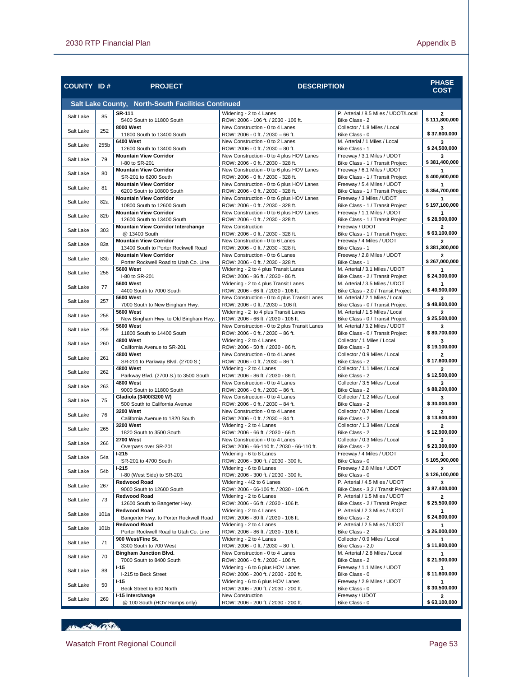| <b>COUNTY ID#</b>                                  |      | <b>PROJECT</b>                                              | <b>DESCRIPTION</b>                                                                  |                                                                       | <b>PHASE</b><br><b>COST</b> |
|----------------------------------------------------|------|-------------------------------------------------------------|-------------------------------------------------------------------------------------|-----------------------------------------------------------------------|-----------------------------|
| Salt Lake County, North-South Facilities Continued |      |                                                             |                                                                                     |                                                                       |                             |
| Salt Lake                                          | 85   | <b>SR-111</b>                                               | Widening - 2 to 4 Lanes                                                             | P. Arterial / 8.5 Miles / UDOT/Local                                  | 2                           |
|                                                    |      | 5400 South to 11800 South<br>8000 West                      | ROW: 2006 - 106 ft. / 2030 - 106 ft.<br>New Construction - 0 to 4 Lanes             | Bike Class - 2<br>Collector / 1.8 Miles / Local                       | \$111,800,000<br>3          |
| Salt Lake                                          | 252  | 11800 South to 13400 South                                  | ROW: 2006 - 0 ft. / 2030 - 66 ft.                                                   | Bike Class - 0                                                        | \$37,600,000                |
| Salt Lake                                          | 255b | <b>6400 West</b><br>12600 South to 13400 South              | New Construction - 0 to 2 Lanes<br>ROW: 2006 - 0 ft. / 2030 - 80 ft.                | M. Arterial / 1 Miles / Local<br>Bike Class - 1                       | 3<br>\$24,500,000           |
| Salt Lake                                          | 79   | <b>Mountain View Corridor</b>                               | New Construction - 0 to 4 plus HOV Lanes                                            | Freeway / 3.1 Miles / UDOT                                            | 3                           |
|                                                    |      | I-80 to SR-201<br><b>Mountain View Corridor</b>             | ROW: 2006 - 0 ft. / 2030 - 328 ft.<br>New Construction - 0 to 6 plus HOV Lanes      | Bike Class - 1 / Transit Project<br>Freeway / 6.1 Miles / UDOT        | \$381,400,000<br>1          |
| Salt Lake                                          | 80   | SR-201 to 6200 South                                        | ROW: 2006 - 0 ft. / 2030 - 328 ft.                                                  | Bike Class - 1 / Transit Project                                      | \$400,600,000               |
| Salt Lake                                          | 81   | <b>Mountain View Corridor</b><br>6200 South to 10800 South  | New Construction - 0 to 6 plus HOV Lanes<br>ROW: 2006 - 0 ft. / 2030 - 328 ft.      | Freeway / 5.4 Miles / UDOT<br>Bike Class - 1 / Transit Project        | \$354,700,000               |
| Salt Lake                                          | 82a  | <b>Mountain View Corridor</b>                               | New Construction - 0 to 6 plus HOV Lanes                                            | Freeway / 3 Miles / UDOT                                              | 1                           |
|                                                    |      | 10800 South to 12600 South<br><b>Mountain View Corridor</b> | ROW: 2006 - 0 ft. / 2030 - 328 ft.<br>New Construction - 0 to 6 plus HOV Lanes      | Bike Class - 1 / Transit Project<br>Freeway / 1.1 Miles / UDOT        | \$197,100,000               |
| Salt Lake                                          | 82b  | 12600 South to 13400 South                                  | ROW: 2006 - 0 ft. / 2030 - 328 ft.                                                  | Bike Class - 1 / Transit Project                                      | \$28,900,000                |
| Salt Lake                                          | 303  | <b>Mountain View Corridor Interchange</b>                   | <b>New Construction</b>                                                             | Freeway / UDOT                                                        | 2<br>\$63,100,000           |
|                                                    |      | @ 13400 South<br><b>Mountain View Corridor</b>              | ROW: 2006 - 0 ft. / 2030 - 328 ft.<br>New Construction - 0 to 6 Lanes               | Bike Class - 1 / Transit Project<br>Freeway / 4 Miles / UDOT          | 2                           |
| Salt Lake                                          | 83a  | 13400 South to Porter Rockwell Road                         | ROW: 2006 - 0 ft. / 2030 - 328 ft.                                                  | Bike Class - 1                                                        | \$381,300,000               |
| Salt Lake                                          | 83b  | <b>Mountain View Corridor</b>                               | New Construction - 0 to 6 Lanes                                                     | Freeway / 2.8 Miles / UDOT                                            | 2                           |
|                                                    |      | Porter Rockwell Road to Utah Co. Line<br><b>5600 West</b>   | ROW: 2006 - 0 ft. / 2030 - 328 ft.<br>Widening - 2 to 4 plus Transit Lanes          | Bike Class - 1<br>M. Arterial / 3.1 Miles / UDOT                      | \$267,000,000<br>1          |
| Salt Lake                                          | 256  | I-80 to SR-201                                              | ROW: 2006 - 86 ft. / 2030 - 86 ft.                                                  | Bike Class - 2 / Transit Project                                      | \$24,300,000                |
| Salt Lake                                          | 77   | <b>5600 West</b>                                            | Widening - 2 to 4 plus Transit Lanes                                                | M. Arterial / 3.5 Miles / UDOT                                        | 1                           |
|                                                    |      | 4400 South to 7000 South<br><b>5600 West</b>                | ROW: 2006 - 66 ft. / 2030 - 106 ft.<br>New Construction - 0 to 4 plus Transit Lanes | Bike Class - 2,0 / Transit Project<br>M. Arterial / 2.1 Miles / Local | \$40,900,000<br>2           |
| Salt Lake                                          | 257  | 7000 South to New Bingham Hwy.                              | ROW: 2006 - 0 ft. / 2030 - 106 ft.                                                  | Bike Class - 0 / Transit Project                                      | \$48,800,000                |
| Salt Lake                                          | 258  | <b>5600 West</b>                                            | Widening - 2 to 4 plus Transit Lanes                                                | M. Arterial / 1.5 Miles / Local                                       | 2                           |
|                                                    |      | New Bingham Hwy. to Old Bingham Hwy.<br><b>5600 West</b>    | ROW: 2006 - 66 ft. / 2030 - 106 ft.<br>New Construction - 0 to 2 plus Transit Lanes | Bike Class - 0 / Transit Project<br>M. Arterial / 3.2 Miles / UDOT    | \$25,500,000                |
| Salt Lake                                          | 259  | 11800 South to 14400 South                                  | ROW: 2006 - 0 ft. / 2030 - 86 ft.                                                   | Bike Class - 0 / Transit Project                                      | \$80,700,000                |
| Salt Lake                                          | 260  | <b>4800 West</b>                                            | Widening - 2 to 4 Lanes<br>ROW: 2006 - 50 ft. / 2030 - 86 ft.                       | Collector / 1 Miles / Local<br>Bike Class - 3                         | 3<br>\$19,100,000           |
|                                                    |      | California Avenue to SR-201<br><b>4800 West</b>             | New Construction - 0 to 4 Lanes                                                     | Collector / 0.9 Miles / Local                                         | 2                           |
| Salt Lake                                          | 261  | SR-201 to Parkway Blvd. (2700 S.)                           | ROW: 2006 - 0 ft. / 2030 - 86 ft.                                                   | Bike Class - 2                                                        | \$17,600,000                |
| Salt Lake                                          | 262  | <b>4800 West</b><br>Parkway Blvd. (2700 S.) to 3500 South   | Widening - 2 to 4 Lanes<br>ROW: 2006 - 86 ft. / 2030 - 86 ft.                       | Collector / 1.1 Miles / Local<br>Bike Class - 2                       | 2<br>\$12,500,000           |
| Salt Lake                                          | 263  | <b>4800 West</b>                                            | New Construction - 0 to 4 Lanes                                                     | Collector / 3.5 Miles / Local                                         | 3                           |
|                                                    |      | 9000 South to 11800 South                                   | ROW: 2006 - 0 ft. / 2030 - 86 ft.                                                   | Bike Class - 2                                                        | \$88,200,000                |
| Salt Lake                                          | 75   | Gladiola (3400/3200 W)<br>500 South to California Avenue    | New Construction - 0 to 4 Lanes<br>ROW: 2006 - 0 ft. / 2030 - 84 ft.                | Collector / 1.2 Miles / Local<br>Bike Class - 2                       | 3<br>\$30,000,000           |
| Salt Lake                                          | 76   | <b>3200 West</b>                                            | New Construction - 0 to 4 Lanes                                                     | Collector / 0.7 Miles / Local                                         | 2                           |
|                                                    |      | California Avenue to 1820 South                             | ROW: 2006 - 0 ft. / 2030 - 84 ft.                                                   | Bike Class - 2<br>Collector / 1.3 Miles / Local                       | \$13,600,000                |
| Salt Lake                                          | 265  | <b>3200 West</b><br>1820 South to 3500 South                | Widening - 2 to 4 Lanes<br>ROW: 2006 - 66 ft. / 2030 - 66 ft.                       | Bike Class - 2                                                        | 2<br>\$12,900,000           |
| Salt Lake                                          | 266  | <b>2700 West</b>                                            | New Construction - 0 to 4 Lanes                                                     | Collector / 0.3 Miles / Local                                         | 3                           |
|                                                    |      | Overpass over SR-201<br>$I - 215$                           | ROW: 2006 - 66-110 ft. / 2030 - 66-110 ft.<br>Widening - 6 to 8 Lanes               | Bike Class - 2<br>Freeway / 4 Miles / UDOT                            | \$23,300,000<br>1           |
| Salt Lake                                          | 54a  | SR-201 to 4700 South                                        | ROW: 2006 - 300 ft. / 2030 - 300 ft.                                                | Bike Class - 0                                                        | \$105,900,000               |
| Salt Lake                                          | 54b  | $1 - 215$                                                   | Widening - 6 to 8 Lanes                                                             | Freeway / 2.8 Miles / UDOT                                            | 2                           |
|                                                    |      | I-80 (West Side) to SR-201<br><b>Redwood Road</b>           | ROW: 2006 - 300 ft. / 2030 - 300 ft.<br>Widening - 4/2 to 6 Lanes                   | Bike Class - 0<br>P. Arterial / 4.5 Miles / UDOT                      | \$126,100,000<br>3          |
| Salt Lake                                          | 267  | 9000 South to 12600 South                                   | ROW: 2006 - 66-106 ft. / 2030 - 106 ft.                                             | Bike Class - 3,2 / Transit Project                                    | \$87,400,000                |
| Salt Lake                                          | 73   | Redwood Road<br>12600 South to Bangerter Hwy.               | Widening - 2 to 6 Lanes<br>ROW: 2006 - 66 ft. / 2030 - 106 ft.                      | P. Arterial / 1.5 Miles / UDOT<br>Bike Class - 2 / Transit Project    | 2<br>\$25,500,000           |
|                                                    |      | Redwood Road                                                | Widening - 2 to 4 Lanes                                                             | P. Arterial / 2.3 Miles / UDOT                                        | 1                           |
| Salt Lake                                          | 101a | Bangerter Hwy. to Porter Rockwell Road                      | ROW: 2006 - 80 ft. / 2030 - 106 ft.                                                 | Bike Class - 2                                                        | \$24,800,000                |
| Salt Lake                                          | 101b | Redwood Road<br>Porter Rockwell Road to Utah Co. Line       | Widening - 2 to 4 Lanes<br>ROW: 2006 - 86 ft. / 2030 - 106 ft.                      | P. Arterial / 2.5 Miles / UDOT<br>Bike Class - 2                      | 1<br>\$26,000,000           |
| Salt Lake                                          | 71   | 900 West/Fine St.                                           | Widening - 2 to 4 Lanes                                                             | Collector / 0.9 Miles / Local                                         |                             |
|                                                    |      | 3300 South to 700 West                                      | ROW: 2006 - 0 ft. / 2030 - 80 ft.                                                   | Bike Class - 2,0                                                      | \$11,800,000                |
| Salt Lake                                          | 70   | <b>Bingham Junction Blvd.</b><br>7000 South to 8400 South   | New Construction - 0 to 4 Lanes<br>ROW: 2006 - 0 ft. / 2030 - 106 ft.               | M. Arterial / 2.8 Miles / Local<br>Bike Class - 2                     | \$21,900,000                |
| Salt Lake                                          | 88   | $I - 15$                                                    | Widening - 6 to 6 plus HOV Lanes                                                    | Freeway / 1.1 Miles / UDOT                                            | 1                           |
|                                                    |      | I-215 to Beck Street<br>$1 - 15$                            | ROW: 2006 - 200 ft. / 2030 - 200 ft.                                                | Bike Class - 0<br>Freeway / 2.9 Miles / UDOT                          | \$11,600,000                |
| Salt Lake                                          | 50   | Beck Street to 600 North                                    | Widening - 6 to 6 plus HOV Lanes<br>ROW: 2006 - 200 ft. / 2030 - 200 ft.            | Bike Class - 0                                                        | 1<br>\$30,500,000           |
| Salt Lake                                          | 269  | I-15 Interchange                                            | New Construction                                                                    | Freeway / UDOT                                                        | $\mathbf{2}$                |
|                                                    |      | @ 100 South (HOV Ramps only)                                | ROW: 2006 - 200 ft. / 2030 - 200 ft.                                                | Bike Class - 0                                                        | \$63,100,000                |

REAL PROPERTY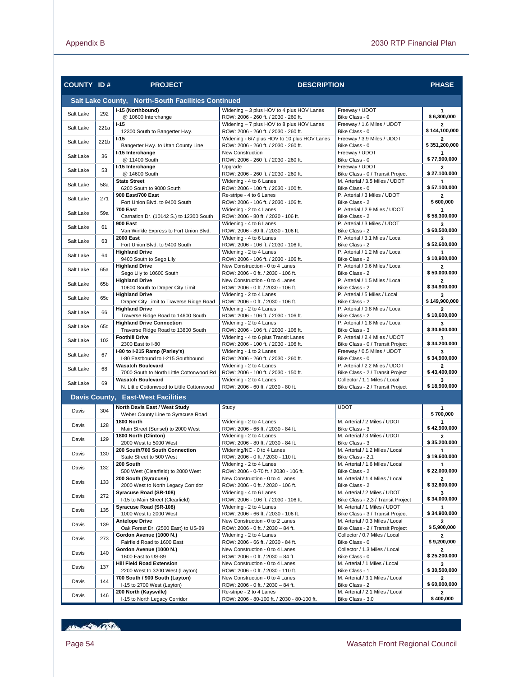| <b>COUNTY ID#</b>                                  |      | <b>PROJECT</b>                                                         | <b>DESCRIPTION</b>                                                                   | <b>PHASE</b>                                                        |                               |  |  |  |  |
|----------------------------------------------------|------|------------------------------------------------------------------------|--------------------------------------------------------------------------------------|---------------------------------------------------------------------|-------------------------------|--|--|--|--|
| Salt Lake County, North-South Facilities Continued |      |                                                                        |                                                                                      |                                                                     |                               |  |  |  |  |
| Salt Lake                                          | 292  | I-15 (Northbound)<br>@ 10600 Interchange                               | Widening - 3 plus HOV to 4 plus HOV Lanes<br>ROW: 2006 - 260 ft. / 2030 - 260 ft.    | Freeway / UDOT<br>Bike Class - 0                                    | 1<br>\$6,300,000              |  |  |  |  |
| Salt Lake                                          | 221a | $1 - 15$<br>12300 South to Bangerter Hwy.                              | Widening - 7 plus HOV to 8 plus HOV Lanes<br>ROW: 2006 - 260 ft. / 2030 - 260 ft.    | Freeway / 1.6 Miles / UDOT<br>Bike Class - 0                        | $\mathbf{2}$<br>\$144,100,000 |  |  |  |  |
| Salt Lake                                          | 221b | $1 - 15$<br>Bangerter Hwy. to Utah County Line                         | Widening - 6/7 plus HOV to 10 plus HOV Lanes<br>ROW: 2006 - 260 ft. / 2030 - 260 ft. | Freeway / 3.9 Miles / UDOT<br>Bike Class - 0                        | 2<br>\$351,200,000            |  |  |  |  |
| Salt Lake                                          | 36   | I-15 Interchange<br>@ 11400 South                                      | <b>New Construction</b><br>ROW: 2006 - 260 ft. / 2030 - 260 ft.                      | Freeway / UDOT<br>Bike Class - 0                                    | 1<br>\$77,900,000             |  |  |  |  |
| Salt Lake                                          | 53   | I-15 Interchange<br>@ 14600 South                                      | Upgrade<br>ROW: 2006 - 260 ft. / 2030 - 260 ft.                                      | Freeway / UDOT<br>Bike Class - 0 / Transit Project                  | 2<br>\$27,100,000             |  |  |  |  |
| Salt Lake                                          | 58a  | <b>State Street</b><br>6200 South to 9000 South                        | Widening - 4 to 6 Lanes<br>ROW: 2006 - 100 ft. / 2030 - 100 ft.                      | M. Arterial / 3.5 Miles / UDOT<br>Bike Class - 0                    | 1<br>\$57,100,000             |  |  |  |  |
| Salt Lake                                          | 271  | 900 East/700 East<br>Fort Union Blvd. to 9400 South                    | Re-stripe - 4 to 6 Lanes<br>ROW: 2006 - 106 ft. / 2030 - 106 ft.                     | P. Arterial / 3 Miles / UDOT<br>Bike Class - 2                      | $\mathbf{2}$<br>\$600,000     |  |  |  |  |
| Salt Lake                                          | 59a  | <b>700 East</b><br>Carnation Dr. (10142 S.) to 12300 South             | Widening - 2 to 4 Lanes<br>ROW: 2006 - 80 ft. / 2030 - 106 ft.                       | P. Arterial / 2.9 Miles / UDOT<br>Bike Class - 2                    | 1<br>\$58,300,000             |  |  |  |  |
| Salt Lake                                          | 61   | 900 East<br>Van Winkle Express to Fort Union Blvd.                     | Widening - 4 to 6 Lanes<br>ROW: 2006 - 80 ft. / 2030 - 106 ft.                       | P. Arterial / 3 Miles / UDOT<br>Bike Class - 2                      | 3<br>\$60,500,000             |  |  |  |  |
| Salt Lake                                          | 63   | <b>2000 East</b><br>Fort Union Blvd. to 9400 South                     | Widening - 4 to 6 Lanes<br>ROW: 2006 - 106 ft. / 2030 - 106 ft.                      | P. Arterial / 3.1 Miles / Local<br>Bike Class - 2                   | 3<br>\$52,600,000             |  |  |  |  |
| Salt Lake                                          | 64   | <b>Highland Drive</b><br>9400 South to Sego Lily                       | Widening - 2 to 4 Lanes<br>ROW: 2006 - 106 ft. / 2030 - 106 ft.                      | P. Arterial / 1.2 Miles / Local<br>Bike Class - 2                   | 1<br>\$10,900,000             |  |  |  |  |
| Salt Lake                                          | 65a  | <b>Highland Drive</b><br>Sego Lily to 10600 South                      | New Construction - 0 to 4 Lanes<br>ROW: 2006 - 0 ft. / 2030 - 106 ft.                | P. Arterial / 0.6 Miles / Local<br>Bike Class - 2                   | $\mathbf{2}$<br>\$50,000,000  |  |  |  |  |
| Salt Lake                                          | 65b  | <b>Highland Drive</b><br>10600 South to Draper City Limit              | New Construction - 0 to 4 Lanes<br>ROW: 2006 - 0 ft. / 2030 - 106 ft.                | P. Arterial / 1.5 Miles / Local<br>Bike Class - 2                   | 2<br>\$34,900,000             |  |  |  |  |
| Salt Lake                                          | 65c  | <b>Highland Drive</b><br>Draper City Limit to Traverse Ridge Road      | Widening - 2 to 4 Lanes<br>ROW: 2006 - 0 ft. / 2030 - 106 ft.                        | P. Arterial / 5 Miles / Local<br>Bike Class - 2                     | \$149,900,000                 |  |  |  |  |
| Salt Lake                                          | 66   | <b>Highland Drive</b><br>Traverse Ridge Road to 14600 South            | Widening - 2 to 4 Lanes<br>ROW: 2006 - 106 ft. / 2030 - 106 ft.                      | P. Arterial / 0.8 Miles / Local<br>Bike Class - 2                   | 2<br>\$10,600,000             |  |  |  |  |
| Salt Lake                                          | 65d  | <b>Highland Drive Connection</b><br>Traverse Ridge Road to 13800 South | Widening - 2 to 4 Lanes<br>ROW: 2006 - 106 ft. / 2030 - 106 ft.                      | P. Arterial / 1.8 Miles / Local<br>Bike Class - 3                   | 3<br>\$30,600,000             |  |  |  |  |
| Salt Lake                                          | 102  | <b>Foothill Drive</b><br>2300 East to I-80                             | Widening - 4 to 6 plus Transit Lanes<br>ROW: 2006 - 100 ft. / 2030 - 106 ft.         | P. Arterial / 2.4 Miles / UDOT<br>Bike Class - 0 / Transit Project  | 1<br>\$34,200,000             |  |  |  |  |
| Salt Lake                                          | 67   | I-80 to I-215 Ramp (Parley's)<br>I-80 Eastbound to I-215 Southbound    | Widening - 1 to 2 Lanes<br>ROW: 2006 - 260 ft. / 2030 - 260 ft.                      | Freeway / 0.5 Miles / UDOT<br>Bike Class - 0                        | 3<br>\$34,900,000             |  |  |  |  |
| Salt Lake                                          | 68   | <b>Wasatch Boulevard</b><br>7000 South to North Little Cottonwood Rd   | Widening - 2 to 4 Lanes<br>ROW: 2006 - 100 ft. / 2030 - 150 ft.                      | P. Arterial / 2.2 Miles / UDOT<br>Bike Class - 2 / Transit Project  | 2<br>\$43,400,000             |  |  |  |  |
| Salt Lake                                          | 69   | <b>Wasatch Boulevard</b><br>N. Little Cottonwood to Little Cottonwood  | Widening - 2 to 4 Lanes<br>ROW: 2006 - 60 ft. / 2030 - 80 ft.                        | Collector / 1.1 Miles / Local<br>Bike Class - 2 / Transit Project   | 3<br>\$18,900,000             |  |  |  |  |
|                                                    |      | Davis County, East-West Facilities                                     |                                                                                      |                                                                     |                               |  |  |  |  |
| Davis                                              | 304  | North Davis East / West Study<br>Weber County Line to Syracuse Road    | Study                                                                                | <b>UDOT</b>                                                         | 1<br>\$700,000                |  |  |  |  |
| Davis                                              | 128  | 1800 North<br>Main Street (Sunset) to 2000 West                        | Widening - 2 to 4 Lanes<br>ROW: 2006 - 66 ft. / 2030 - 84 ft.                        | M. Arterial / 2 Miles / UDOT<br>Bike Class - 3                      | 1<br>\$42,900,000             |  |  |  |  |
| Davis                                              | 129  | 1800 North (Clinton)<br>2000 West to 5000 West                         | Widening - 2 to 4 Lanes<br>ROW: 2006 - 80 ft. / 2030 - 84 ft.                        | M. Arterial / 3 Miles / UDOT<br>Bike Class - 3                      | $\mathbf{2}$<br>\$35,200,000  |  |  |  |  |
| Davis                                              | 130  | 200 South/700 South Connection<br>State Street to 500 West             | Widening/NC - 0 to 4 Lanes<br>ROW: 2006 - 0 ft. / 2030 - 110 ft.                     | M. Arterial / 1.2 Miles / Local<br>Bike Class - 2,1                 | $\mathbf{1}$<br>\$19,600,000  |  |  |  |  |
| Davis                                              | 132  | 200 South<br>500 West (Clearfield) to 2000 West                        | Widening - 2 to 4 Lanes<br>ROW: 2006 - 0-70 ft. / 2030 - 106 ft.                     | M. Arterial / 1.6 Miles / Local<br>Bike Class - 2                   | 1<br>\$22,000,000             |  |  |  |  |
| Davis                                              | 133  | 200 South (Syracuse)<br>2000 West to North Legacy Corridor             | New Construction - 0 to 4 Lanes<br>ROW: 2006 - 0 ft. / 2030 - 106 ft.                | M. Arterial / 1.4 Miles / Local<br>Bike Class - 2                   | 2<br>\$32,600,000             |  |  |  |  |
| Davis                                              | 272  | Syracuse Road (SR-108)<br>I-15 to Main Street (Clearfield)             | Widening - 4 to 6 Lanes<br>ROW: 2006 - 106 ft. / 2030 - 106 ft.                      | M. Arterial / 2 Miles / UDOT<br>Bike Class - 2,3 / Transit Project  | 3<br>\$34,000,000             |  |  |  |  |
| Davis                                              | 135  | Syracuse Road (SR-108)<br>1000 West to 2000 West                       | Widening - 2 to 4 Lanes<br>ROW: 2006 - 66 ft. / 2030 - 106 ft.                       | M. Arterial / 1 Miles / UDOT<br>Bike Class - 3 / Transit Project    | 1.<br>\$34,900,000            |  |  |  |  |
| Davis                                              | 139  | <b>Antelope Drive</b><br>Oak Forest Dr. (2500 East) to US-89           | New Construction - 0 to 2 Lanes<br>ROW: 2006 - 0 ft. / 2030 - 84 ft.                 | M. Arterial / 0.3 Miles / Local<br>Bike Class - 2 / Transit Project | 2<br>\$5,900,000              |  |  |  |  |
| Davis                                              | 273  | Gordon Avenue (1000 N.)<br>Fairfield Road to 1600 East                 | Widening - 2 to 4 Lanes<br>ROW: 2006 - 66 ft. / 2030 - 84 ft.                        | Collector / 0.7 Miles / Local<br>Bike Class - 0                     | 2<br>\$9,200,000              |  |  |  |  |
| Davis                                              | 140  | Gordon Avenue (1000 N.)<br>1600 East to US-89                          | New Construction - 0 to 4 Lanes<br>ROW: 2006 - 0 ft. / 2030 - 84 ft.                 | Collector / 1.3 Miles / Local<br>Bike Class - 0                     | 2<br>\$25,200,000             |  |  |  |  |
| Davis                                              | 137  | <b>Hill Field Road Extension</b><br>2200 West to 3200 West (Layton)    | New Construction - 0 to 4 Lanes<br>ROW: 2006 - 0 ft. / 2030 - 110 ft.                | M. Arterial / 1 Miles / Local<br>Bike Class - 1                     | з.<br>\$30,500,000            |  |  |  |  |
| Davis                                              | 144  | 700 South / 900 South (Layton)<br>I-15 to 2700 West (Layton)           | New Construction - 0 to 4 Lanes<br>ROW: 2006 - 0 ft. / 2030 - 84 ft.                 | M. Arterial / 3.1 Miles / Local<br>Bike Class - 2                   | 2<br>\$60,000,000             |  |  |  |  |
| Davis                                              | 146  | 200 North (Kaysville)<br>I-15 to North Legacy Corridor                 | Re-stripe - 2 to 4 Lanes<br>ROW: 2006 - 80-100 ft. / 2030 - 80-100 ft.               | M. Arterial / 2.1 Miles / Local<br>Bike Class - 3,0                 | $\mathbf{2}$<br>\$400,000     |  |  |  |  |

Hand Martin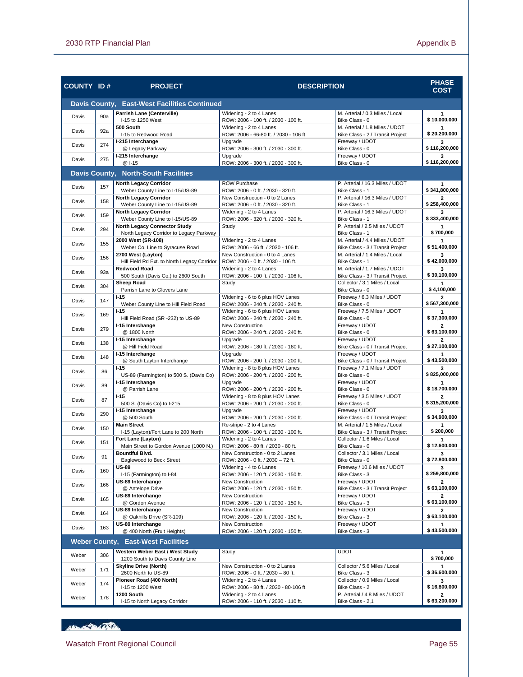| <b>COUNTY ID#</b> |     | <b>PROJECT</b>                                                     | <b>DESCRIPTION</b>                                                       | <b>PHASE</b><br><b>COST</b>                                         |                               |
|-------------------|-----|--------------------------------------------------------------------|--------------------------------------------------------------------------|---------------------------------------------------------------------|-------------------------------|
|                   |     | <b>Davis County. East-West Facilities Continued</b>                |                                                                          |                                                                     |                               |
| Davis             | 90a | Parrish Lane (Centerville)                                         | Widening - 2 to 4 Lanes                                                  | M. Arterial / 0.3 Miles / Local                                     | 1                             |
|                   |     | I-15 to 1250 West<br>500 South                                     | ROW: 2006 - 100 ft. / 2030 - 100 ft.<br>Widening - 2 to 4 Lanes          | Bike Class - 0<br>M. Arterial / 1.8 Miles / UDOT                    | \$10,000,000<br>1             |
| Davis             | 92a | I-15 to Redwood Road                                               | ROW: 2006 - 66-80 ft. / 2030 - 106 ft.                                   | Bike Class - 2 / Transit Project                                    | \$20,200,000                  |
| Davis             | 274 | I-215 Interchange                                                  | Upgrade                                                                  | Freeway / UDOT                                                      | 3                             |
|                   |     | @ Legacy Parkway<br>I-215 Interchange                              | ROW: 2006 - 300 ft. / 2030 - 300 ft.<br>Upgrade                          | Bike Class - 0<br>Freeway / UDOT                                    | \$116,200,000<br>3            |
| Davis             | 275 | @ I-15                                                             | ROW: 2006 - 300 ft. / 2030 - 300 ft.                                     | Bike Class - 0                                                      | \$116,200,000                 |
|                   |     | Davis County, North-South Facilities                               |                                                                          |                                                                     |                               |
| Davis             | 157 | <b>North Legacy Corridor</b>                                       | <b>ROW Purchase</b>                                                      | P. Arterial / 16.3 Miles / UDOT                                     | 1<br>\$341.800.000            |
|                   |     | Weber County Line to I-15/US-89<br><b>North Legacy Corridor</b>    | ROW: 2006 - 0 ft. / 2030 - 320 ft.<br>New Construction - 0 to 2 Lanes    | Bike Class - 1<br>P. Arterial / 16.3 Miles / UDOT                   | $\mathbf{2}$                  |
| Davis             | 158 | Weber County Line to I-15/US-89                                    | ROW: 2006 - 0 ft. / 2030 - 320 ft.                                       | Bike Class - 1                                                      | \$258,400,000                 |
| Davis             | 159 | <b>North Legacy Corridor</b><br>Weber County Line to I-15/US-89    | Widening - 2 to 4 Lanes<br>ROW: 2006 - 320 ft. / 2030 - 320 ft.          | P. Arterial / 16.3 Miles / UDOT<br>Bike Class - 1                   | 3<br>\$333,400,000            |
|                   | 294 | <b>North Legacy Connector Study</b>                                | Study                                                                    | P. Arterial / 2.5 Miles / UDOT                                      | 1                             |
| Davis             |     | North Legacy Corridor to Legacy Parkway                            |                                                                          | Bike Class - 1                                                      | \$700,000                     |
| Davis             | 155 | 2000 West (SR-108)<br>Weber Co. Line to Syracuse Road              | Widening - 2 to 4 Lanes<br>ROW: 2006 - 66 ft. / 2030 - 106 ft.           | M. Arterial / 4.4 Miles / UDOT<br>Bike Class - 3 / Transit Project  | 1<br>\$51,400,000             |
| Davis             | 156 | 2700 West (Layton)                                                 | New Construction - 0 to 4 Lanes                                          | M. Arterial / 1.4 Miles / Local                                     | 3                             |
|                   |     | Hill Field Rd Ext. to North Legacy Corridor                        | ROW: 2006 - 0 ft. / 2030 - 106 ft.                                       | Bike Class - 1                                                      | \$42,000,000                  |
| Davis             | 93a | <b>Redwood Road</b><br>500 South (Davis Co.) to 2600 South         | Widening - 2 to 4 Lanes<br>ROW: 2006 - 100 ft. / 2030 - 106 ft.          | M. Arterial / 1.7 Miles / UDOT<br>Bike Class - 3 / Transit Project  | 3<br>\$30,100,000             |
| Davis             | 304 | <b>Sheep Road</b>                                                  | Study                                                                    | Collector / 3.1 Miles / Local                                       | 1                             |
|                   |     | Parrish Lane to Glovers Lane                                       |                                                                          | Bike Class - 0                                                      | \$4,100,000                   |
| Davis             | 147 | $1 - 15$<br>Weber County Line to Hill Field Road                   | Widening - 6 to 6 plus HOV Lanes<br>ROW: 2006 - 240 ft. / 2030 - 240 ft. | Freeway / 6.3 Miles / UDOT<br>Bike Class - 0                        | 2<br>\$567,300,000            |
| Davis             | 169 | $I-15$                                                             | Widening - 6 to 6 plus HOV Lanes                                         | Freeway / 7.5 Miles / UDOT                                          | 1                             |
|                   |     | Hill Field Road (SR -232) to US-89<br>I-15 Interchange             | ROW: 2006 - 240 ft. / 2030 - 240 ft.<br>New Construction                 | Bike Class - 0<br>Freeway / UDOT                                    | \$37,300,000                  |
| Davis             | 279 | @ 1800 North                                                       | ROW: 2006 - 240 ft. / 2030 - 240 ft.                                     | Bike Class - 0                                                      | $\mathbf{2}$<br>\$63,100,000  |
| Davis             | 138 | I-15 Interchange                                                   | Upgrade                                                                  | Freeway / UDOT                                                      | $\mathbf{2}$                  |
|                   |     | @ Hill Field Road<br>I-15 Interchange                              | ROW: 2006 - 180 ft. / 2030 - 180 ft.<br>Upgrade                          | Bike Class - 0 / Transit Project<br>Freeway / UDOT                  | \$27,100,000                  |
| Davis             | 148 | @ South Layton Interchange                                         | ROW: 2006 - 200 ft. / 2030 - 200 ft.                                     | Bike Class - 0 / Transit Project                                    | \$43,500,000                  |
| Davis             | 86  | $I-15$                                                             | Widening - 8 to 8 plus HOV Lanes                                         | Freeway / 7.1 Miles / UDOT                                          | 3                             |
|                   |     | US-89 (Farmington) to 500 S. (Davis Co)<br>I-15 Interchange        | ROW: 2006 - 200 ft. / 2030 - 200 ft.<br>Upgrade                          | Bike Class - 0<br>Freeway / UDOT                                    | \$825,000,000<br>1            |
| Davis             | 89  | @ Parrish Lane                                                     | ROW: 2006 - 200 ft. / 2030 - 200 ft.                                     | Bike Class - 0                                                      | \$18,700,000                  |
| Davis             | 87  | $I-15$                                                             | Widening - 8 to 8 plus HOV Lanes                                         | Freeway / 3.5 Miles / UDOT                                          | $\mathbf{2}$<br>\$315,200,000 |
|                   |     | 500 S. (Davis Co) to I-215<br>I-15 Interchange                     | ROW: 2006 - 200 ft. / 2030 - 200 ft.<br>Upgrade                          | Bike Class - 0<br>Freeway / UDOT                                    | 3                             |
| Davis             | 290 | @ 500 South                                                        | ROW: 2006 - 200 ft. / 2030 - 200 ft.                                     | Bike Class - 0 / Transit Project                                    | \$34,900,000                  |
| Davis             | 150 | <b>Main Street</b><br>I-15 (Layton)/Fort Lane to 200 North         | Re-stripe - 2 to 4 Lanes<br>ROW: 2006 - 100 ft. / 2030 - 100 ft.         | M. Arterial / 1.5 Miles / Local<br>Bike Class - 3 / Transit Project | 1<br>\$200,000                |
|                   |     | Fort Lane (Layton)                                                 | Widening - 2 to 4 Lanes                                                  | Collector / 1.6 Miles / Local                                       | 1                             |
| Davis             | 151 | Main Street to Gordon Avenue (1000 N.)                             | ROW: 2006 - 80 ft. / 2030 - 80 ft.                                       | Bike Class - 0                                                      | \$12,600,000                  |
| Davis             | 91  | <b>Bountiful Blvd.</b><br>Eaglewood to Beck Street                 | New Construction - 0 to 2 Lanes<br>ROW: 2006 - 0 ft. / 2030 - 72 ft.     | Collector / 3.1 Miles / Local<br>Bike Class - 0                     | 3<br>\$72,800,000             |
|                   |     | <b>US-89</b>                                                       | Widening - 4 to 6 Lanes                                                  | Freeway / 10.6 Miles / UDOT                                         |                               |
| Davis             | 160 | I-15 (Farmington) to I-84                                          | ROW: 2006 - 120 ft. / 2030 - 150 ft.                                     | Bike Class - 3                                                      | \$259,800,000                 |
| Davis             | 166 | US-89 Interchange<br>@ Antelope Drive                              | New Construction<br>ROW: 2006 - 120 ft. / 2030 - 150 ft.                 | Freeway / UDOT<br>Bike Class - 3 / Transit Project                  | \$63,100,000                  |
| Davis             | 165 | US-89 Interchange                                                  | <b>New Construction</b>                                                  | Freeway / UDOT                                                      |                               |
|                   |     | @ Gordon Avenue                                                    | ROW: 2006 - 120 ft. / 2030 - 150 ft.                                     | Bike Class - 3                                                      | \$63,100,000                  |
| Davis             | 164 | US-89 Interchange<br>@ Oakhills Drive (SR-109)                     | New Construction<br>ROW: 2006 - 120 ft. / 2030 - 150 ft.                 | Freeway / UDOT<br>Bike Class - 3                                    | 2<br>\$63,100,000             |
| Davis             | 163 | US-89 Interchange                                                  | New Construction                                                         | Freeway / UDOT                                                      |                               |
|                   |     | @ 400 North (Fruit Heights)                                        | ROW: 2006 - 120 ft. / 2030 - 150 ft.                                     | Bike Class - 3                                                      | \$43,500,000                  |
|                   |     | <b>Weber County, East-West Facilities</b>                          |                                                                          |                                                                     |                               |
| Weber             | 306 | Western Weber East / West Study<br>1200 South to Davis County Line | Study                                                                    | <b>UDOT</b>                                                         | 1<br>\$700,000                |
| Weber             | 171 | <b>Skyline Drive (North)</b>                                       | New Construction - 0 to 2 Lanes                                          | Collector / 5.6 Miles / Local                                       |                               |
|                   |     | 2600 North to US-89                                                | ROW: 2006 - 0 ft. / 2030 - 80 ft.                                        | Bike Class - 3                                                      | \$36,600,000                  |
| Weber             | 174 | Pioneer Road (400 North)<br>I-15 to 1200 West                      | Widening - 2 to 4 Lanes<br>ROW: 2006 - 80 ft. / 2030 - 80-106 ft.        | Collector / 0.9 Miles / Local<br>Bike Class - 2                     | \$16,800,000                  |
| Weber             | 178 | 1200 South                                                         | Widening - 2 to 4 Lanes                                                  | P. Arterial / 4.8 Miles / UDOT                                      | 2                             |
|                   |     | I-15 to North Legacy Corridor                                      | ROW: 2006 - 110 ft. / 2030 - 110 ft.                                     | Bike Class - 2,1                                                    | \$63,200,000                  |

Remodel Charles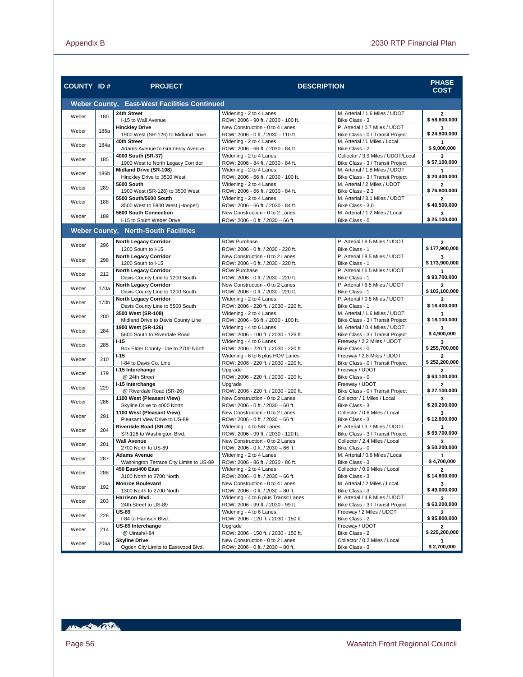| <b>COUNTY ID#</b>                                   |      | <b>PROJECT</b>                                           | <b>DESCRIPTION</b>                                                    | <b>PHASE</b><br><b>COST</b>                                        |                               |  |  |  |  |
|-----------------------------------------------------|------|----------------------------------------------------------|-----------------------------------------------------------------------|--------------------------------------------------------------------|-------------------------------|--|--|--|--|
| <b>Weber County, East-West Facilities Continued</b> |      |                                                          |                                                                       |                                                                    |                               |  |  |  |  |
| Weber                                               | 180  | 24th Street                                              | Widening - 2 to 4 Lanes                                               | M. Arterial / 1.6 Miles / UDOT                                     | 2                             |  |  |  |  |
|                                                     |      | I-15 to Wall Avenue                                      | ROW: 2006 - 90 ft. / 2030 - 100 ft.                                   | Bike Class - 3                                                     | \$58,600,000                  |  |  |  |  |
| Weber                                               | 186a | <b>Hinckley Drive</b>                                    | New Construction - 0 to 4 Lanes                                       | P. Arterial / 0.7 Miles / UDOT                                     |                               |  |  |  |  |
|                                                     |      | 1900 West (SR-126) to Midland Drive<br>40th Street       | ROW: 2006 - 0 ft. / 2030 - 110 ft.<br>Widening - 2 to 4 Lanes         | Bike Class - 0 / Transit Project<br>M. Arterial / 1 Miles / Local  | \$24,900,000                  |  |  |  |  |
| Weber                                               | 184a | Adams Avenue to Gramercy Avenue                          | ROW: 2006 - 66 ft. / 2030 - 84 ft.                                    | Bike Class - 2                                                     | 1<br>\$9,000,000              |  |  |  |  |
|                                                     |      | 4000 South (SR-37)                                       | Widening - 2 to 4 Lanes                                               | Collector / 3.9 Miles / UDOT/Local                                 | 3                             |  |  |  |  |
| Weber                                               | 185  | 1900 West to North Legacy Corridor                       | ROW: 2006 - 84 ft. / 2030 - 84 ft.                                    | Bike Class - 3 / Transit Project                                   | \$57,100,000                  |  |  |  |  |
| Weber                                               | 186b | Midland Drive (SR-108)                                   | Widening - 2 to 4 Lanes                                               | M. Arterial / 1.8 Miles / UDOT                                     | 1                             |  |  |  |  |
|                                                     |      | Hinckley Drive to 3500 West                              | ROW: 2006 - 66 ft. / 2030 - 100 ft.                                   | Bike Class - 3 / Transit Project                                   | \$20,400,000                  |  |  |  |  |
| Weber                                               | 289  | 5600 South<br>1900 West (SR-126) to 3500 West            | Widening - 2 to 4 Lanes<br>ROW: 2006 - 66 ft. / 2030 - 84 ft.         | M. Arterial / 2 Miles / UDOT<br>Bike Class - 2,3                   | 2<br>\$76,800,000             |  |  |  |  |
|                                                     |      | 5500 South/5600 South                                    | Widening - 2 to 4 Lanes                                               | M. Arterial / 3.1 Miles / UDOT                                     | $\mathbf{2}$                  |  |  |  |  |
| Weber                                               | 188  | 3500 West to 5900 West (Hooper)                          | ROW: 2006 - 66 ft. / 2030 - 84 ft.                                    | Bike Class - 3,0                                                   | \$40,500,000                  |  |  |  |  |
|                                                     |      | 5600 South Connection                                    | New Construction - 0 to 2 Lanes                                       | M. Arterial / 1.2 Miles / Local                                    | 3                             |  |  |  |  |
| Weber                                               | 189  | I-15 to South Weber Drive                                | ROW: 2006 - 0 ft. / 2030 - 66 ft.                                     | Bike Class - 0                                                     | \$25,100,000                  |  |  |  |  |
|                                                     |      | <b>Weber County, North-South Facilities</b>              |                                                                       |                                                                    |                               |  |  |  |  |
|                                                     |      |                                                          |                                                                       |                                                                    |                               |  |  |  |  |
| Weber                                               | 296  | <b>North Legacy Corridor</b>                             | <b>ROW Purchase</b>                                                   | P. Arterial / 8.5 Miles / UDOT                                     | $\mathbf{2}$<br>\$177,900,000 |  |  |  |  |
|                                                     |      | 1200 South to I-15<br><b>North Legacy Corridor</b>       | ROW: 2006 - 0 ft. / 2030 - 220 ft.<br>New Construction - 0 to 2 Lanes | Bike Class - 1<br>P. Arterial / 8.5 Miles / UDOT                   | з                             |  |  |  |  |
| Weber                                               | 298  | 1200 South to I-15                                       | ROW: 2006 - 0 ft. / 2030 - 220 ft.                                    | Bike Class - 1                                                     | \$173,900,000                 |  |  |  |  |
|                                                     |      | <b>North Legacy Corridor</b>                             | <b>ROW Purchase</b>                                                   | P. Arterial / 6.5 Miles / UDOT                                     |                               |  |  |  |  |
| Weber                                               | 212  | Davis County Line to 1200 South                          | ROW: 2006 - 0 ft. / 2030 - 220 ft.                                    | Bike Class - 1                                                     | \$93,700,000                  |  |  |  |  |
| Weber                                               | 170a | <b>North Legacy Corridor</b>                             | New Construction - 0 to 2 Lanes                                       | P. Arterial / 6.5 Miles / UDOT                                     | $\mathbf{2}$                  |  |  |  |  |
|                                                     |      | Davis County Line to 1200 South                          | ROW: 2006 - 0 ft. / 2030 - 220 ft.                                    | Bike Class - 1                                                     | \$103,100,000                 |  |  |  |  |
| Weber                                               | 170b | <b>North Legacy Corridor</b>                             | Widening - 2 to 4 Lanes                                               | P. Arterial / 0.8 Miles / UDOT                                     | 3                             |  |  |  |  |
|                                                     |      | Davis County Line to 5500 South                          | ROW: 2006 - 220 ft. / 2030 - 220 ft.                                  | Bike Class - 1                                                     | \$16,400,000                  |  |  |  |  |
| Weber                                               | 200  | 3500 West (SR-108)<br>Midland Drive to Davis County Line | Widening - 2 to 4 Lanes<br>ROW: 2006 - 66 ft. / 2030 - 100 ft.        | M. Arterial / 1.6 Miles / UDOT<br>Bike Class - 3 / Transit Project | 1<br>\$18,100,000             |  |  |  |  |
|                                                     |      | 1900 West (SR-126)                                       | Widening - 4 to 6 Lanes                                               | M. Arterial / 0.4 Miles / UDOT                                     |                               |  |  |  |  |
| Weber                                               | 284  | 5600 South to Riverdale Road                             | ROW: 2006 - 100 ft. / 2030 - 126 ft.                                  | Bike Class - 3 / Transit Project                                   | \$4,900,000                   |  |  |  |  |
| Weber                                               | 285  | $1 - 15$                                                 | Widening - 4 to 6 Lanes                                               | Freeway / 2.2 Miles / UDOT                                         | 3                             |  |  |  |  |
|                                                     |      | Box Elder County Line to 2700 North                      | ROW: 2006 - 220 ft. / 2030 - 220 ft.                                  | Bike Class - 0                                                     | \$255,700,000                 |  |  |  |  |
| Weber                                               | 210  | $1-15$                                                   | Widening - 6 to 6 plus HOV Lanes                                      | Freeway / 2.8 Miles / UDOT                                         | $\mathbf{2}$                  |  |  |  |  |
|                                                     |      | I-84 to Davis Co. Line                                   | ROW: 2006 - 220 ft. / 2030 - 220 ft.                                  | Bike Class - 0 / Transit Project                                   | \$252,200,000                 |  |  |  |  |
| Weber                                               | 179  | I-15 Interchange<br>@ 24th Street                        | Upgrade<br>ROW: 2006 - 220 ft. / 2030 - 220 ft.                       | Freeway / UDOT<br>Bike Class - 0                                   | 2<br>\$63,100,000             |  |  |  |  |
|                                                     |      | I-15 Interchange                                         | Upgrade                                                               | Freeway / UDOT                                                     | 2                             |  |  |  |  |
| Weber                                               | 229  | @ Riverdale Road (SR-26)                                 | ROW: 2006 - 220 ft. / 2030 - 220 ft.                                  | Bike Class - 0 / Transit Project                                   | \$27,100,000                  |  |  |  |  |
| Weber                                               | 286  | 1100 West (Pleasant View)                                | New Construction - 0 to 2 Lanes                                       | Collector / 1 Miles / Local                                        | 3                             |  |  |  |  |
|                                                     |      | Skyline Drive to 4000 North                              | ROW: 2006 - 0 ft. / 2030 - 60 ft.                                     | Bike Class - 3                                                     | \$20,200,000                  |  |  |  |  |
| Weber                                               | 291  | 1100 West (Pleasant View)                                | New Construction - 0 to 2 Lanes                                       | Collector / 0.6 Miles / Local                                      | 3                             |  |  |  |  |
|                                                     |      | Pleasant View Drive to US-89                             | ROW: 2006 - 0 ft. / 2030 - 66 ft.                                     | Bike Class - 3                                                     | \$12,600,000                  |  |  |  |  |
| Weber                                               | 204  | Riverdale Road (SR-26)<br>SR-126 to Washington Blvd.     | Widening - 4 to 5/6 Lanes<br>ROW: 2006 - 99 ft. / 2030 - 120 ft.      | P. Arterial / 3.7 Miles / UDOT<br>Bike Class - 3 / Transit Project | 1<br>\$69,700,000             |  |  |  |  |
|                                                     |      | <b>Wall Avenue</b>                                       | New Construction - 0 to 2 Lanes                                       | Collector / 2.4 Miles / Local                                      | 3                             |  |  |  |  |
| Weber                                               | 201  | 2700 North to US-89                                      | ROW: 2006 - 0 ft. / 2030 - 66 ft.                                     | Bike Class - 0                                                     | \$50,200,000                  |  |  |  |  |
|                                                     |      | <b>Adams Avenue</b>                                      | Widening - 2 to 4 Lanes                                               | M. Arterial / 0.6 Miles / Local                                    | 1                             |  |  |  |  |
| Weber                                               | 287  | Washington Terrace City Limits to US-89                  | ROW: 2006 - 86 ft. / 2030 - 86 ft.                                    | Bike Class - 3                                                     | \$4,700,000                   |  |  |  |  |
| Weber                                               | 288  | 450 East/400 East                                        | Widening - 2 to 4 Lanes                                               | Collector / 0.9 Miles / Local                                      | 2                             |  |  |  |  |
|                                                     |      | 3100 North to 2700 North                                 | ROW: 2006 - 0 ft. / 2030 - 66 ft.                                     | Bike Class - 3                                                     | \$14,600,000                  |  |  |  |  |
| Weber                                               | 192  | <b>Monroe Boulevard</b><br>1300 North to 2700 North      | New Construction - 0 to 4 Lanes<br>ROW: 2006 - 0 ft. / 2030 - 80 ft.  | M. Arterial / 2 Miles / Local<br>Bike Class - 3                    | 3<br>\$49,000,000             |  |  |  |  |
|                                                     |      | Harrison Blvd.                                           | Widening - 4 to 6 plus Transit Lanes                                  | P. Arterial / 4.8 Miles / UDOT                                     | 2                             |  |  |  |  |
| Weber                                               | 203  | 24th Street to US-89                                     | ROW: 2006 - 99 ft. / 2030 - 99 ft.                                    | Bike Class - 3 / Transit Project                                   | \$63,200,000                  |  |  |  |  |
|                                                     |      | <b>US-89</b>                                             | Widening - 4 to 6 Lanes                                               | Freeway / 2 Miles / UDOT                                           | 2                             |  |  |  |  |
| Weber                                               | 226  | I-84 to Harrison Blvd.                                   | ROW: 2006 - 120 ft. / 2030 - 150 ft.                                  | Bike Class - 2                                                     | \$95,800,000                  |  |  |  |  |
| Weber                                               | 214  | US-89 Interchange                                        | Upgrade                                                               | Freeway / UDOT                                                     | 2                             |  |  |  |  |
|                                                     |      | @ Uintah/I-84                                            | ROW: 2006 - 150 ft. / 2030 - 150 ft.                                  | Bike Class - 2                                                     | \$225,200,000                 |  |  |  |  |
| Weber                                               | 206a | <b>Skyline Drive</b>                                     | New Construction - 0 to 2 Lanes                                       | Collector / 0.2 Miles / Local                                      | 1<br>\$2,700,000              |  |  |  |  |
|                                                     |      | Ogden City Limits to Eastwood Blvd.                      | ROW: 2006 - 0 ft. / 2030 - 80 ft.                                     | Bike Class - 3                                                     |                               |  |  |  |  |

Hand Martin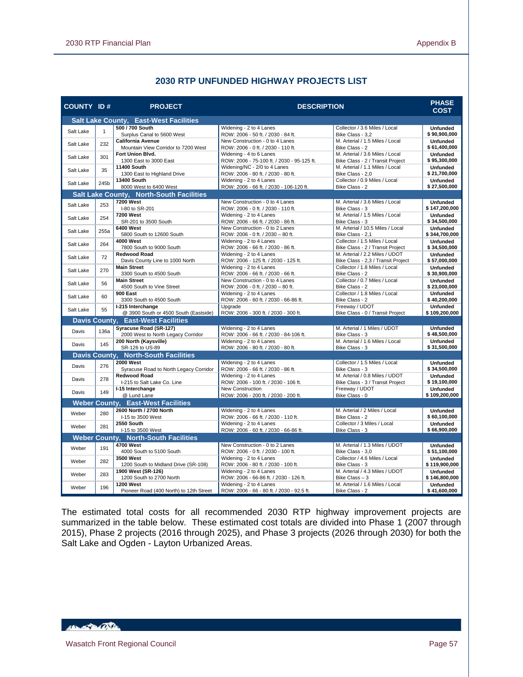## **2030 RTP UNFUNDED HIGHWAY PROJECTS LIST**

| <b>COUNTY ID#</b>    |              | <b>PROJECT</b>                                              | <b>DESCRIPTION</b>                                                   | <b>PHASE</b><br><b>COST</b>                         |                                 |  |  |  |
|----------------------|--------------|-------------------------------------------------------------|----------------------------------------------------------------------|-----------------------------------------------------|---------------------------------|--|--|--|
|                      |              | <b>Salt Lake County, East-West Facilities</b>               |                                                                      |                                                     |                                 |  |  |  |
| Salt Lake            | $\mathbf{1}$ | 500 / 700 South                                             | Widening - 2 to 4 Lanes                                              | Collector / 3.6 Miles / Local                       | <b>Unfunded</b>                 |  |  |  |
|                      |              | Surplus Canal to 5600 West                                  | ROW: 2006 - 50 ft. / 2030 - 84 ft.                                   | Bike Class - 3.2                                    | \$90,900,000                    |  |  |  |
| Salt Lake            | 232          | California Avenue                                           | New Construction - 0 to 4 Lanes                                      | M. Arterial / 1.5 Miles / Local                     | <b>Unfunded</b>                 |  |  |  |
|                      |              | Mountain View Corridor to 7200 West                         | ROW: 2006 - 0 ft. / 2030 - 110 ft.                                   | Bike Class - 2                                      | \$61,400,000                    |  |  |  |
| Salt Lake            | 301          | Fort Union Blvd.                                            | Widening - 4 to 6 Lanes                                              | M. Arterial / 3.6 Miles / Local                     | <b>Unfunded</b>                 |  |  |  |
|                      |              | 1300 East to 3000 East                                      | ROW: 2006 - 75-100 ft. / 2030 - 95-125 ft.                           | Bike Class - 2 / Transit Project                    | \$95,300,000                    |  |  |  |
| Salt Lake            | 35           | <b>11400 South</b>                                          | Widening/NC - 2/0 to 4 Lanes                                         | M. Arterial / 1.1 Miles / Local<br>Bike Class - 2.0 | <b>Unfunded</b>                 |  |  |  |
|                      |              | 1300 East to Highland Drive<br>13400 South                  | ROW: 2006 - 80 ft. / 2030 - 80 ft.<br>Widening - 2 to 4 Lanes        | Collector / 0.9 Miles / Local                       | \$21,700,000<br><b>Unfunded</b> |  |  |  |
| Salt Lake            | 245b         | 8000 West to 6400 West                                      | ROW: 2006 - 66 ft. / 2030 - 106-120 ft.                              | Bike Class - 2                                      | \$27,500,000                    |  |  |  |
|                      |              | <b>Salt Lake County, North-South Facilities</b>             |                                                                      |                                                     |                                 |  |  |  |
|                      |              | <b>7200 West</b>                                            | New Construction - 0 to 4 Lanes                                      | M. Arterial / 3.6 Miles / Local                     | <b>Unfunded</b>                 |  |  |  |
| Salt Lake            | 253          | I-80 to SR-201                                              | ROW: 2006 - 0 ft. / 2030 - 110 ft.                                   | Bike Class - 3                                      | \$147,200,000                   |  |  |  |
|                      |              | <b>7200 West</b>                                            | Widening - 2 to 4 Lanes                                              | M. Arterial / 1.5 Miles / Local                     | <b>Unfunded</b>                 |  |  |  |
| Salt Lake            | 254          | SR-201 to 3500 South                                        | ROW: 2006 - 66 ft. / 2030 - 86 ft.                                   | Bike Class - 3                                      | \$34,500,000                    |  |  |  |
|                      |              | 6400 West                                                   | New Construction - 0 to 2 Lanes                                      | M. Arterial / 10.5 Miles / Local                    | <b>Unfunded</b>                 |  |  |  |
| Salt Lake            | 255a         | 5800 South to 12600 South                                   | ROW: 2006 - 0 ft. / 2030 - 80 ft.                                    | Bike Class - 2,1                                    | \$344,700,000                   |  |  |  |
| Salt Lake            | 264          | 4000 West                                                   | Widening - 2 to 4 Lanes                                              | Collector / 1.5 Miles / Local                       | <b>Unfunded</b>                 |  |  |  |
|                      |              | 7800 South to 9000 South                                    | ROW: 2006 - 66 ft. / 2030 - 86 ft.                                   | Bike Class - 2 / Transit Project                    | \$34.500.000                    |  |  |  |
| Salt Lake            | 72           | <b>Redwood Road</b>                                         | Widening - 2 to 4 Lanes                                              | M. Arterial / 2.2 Miles / UDOT                      | <b>Unfunded</b>                 |  |  |  |
|                      |              | Davis County Line to 1000 North                             | ROW: 2006 - 125 ft. / 2030 - 125 ft.                                 | Bike Class - 2,3 / Transit Project                  | \$57,000,000                    |  |  |  |
| Salt Lake            | 270          | <b>Main Street</b>                                          | Widening - 2 to 4 Lanes                                              | Collector / 1.8 Miles / Local                       | <b>Unfunded</b>                 |  |  |  |
|                      |              | 3300 South to 4500 South                                    | ROW: 2006 - 66 ft. / 2030 - 66 ft.                                   | Bike Class - 2                                      | \$30,900,000                    |  |  |  |
| Salt Lake            | 56           | <b>Main Street</b>                                          | New Construction - 0 to 4 Lanes                                      | Collector / 0.7 Miles / Local                       | <b>Unfunded</b>                 |  |  |  |
|                      |              | 4500 South to Vine Street<br>900 East                       | ROW: 2006 - 0 ft. / 2030 - 80 ft.                                    | Bike Class - 2<br>Collector / 1.8 Miles / Local     | \$23,000,000                    |  |  |  |
| Salt Lake            | 60           | 3300 South to 4500 South                                    | Widening - 2 to 4 Lanes<br>ROW: 2006 - 60 ft. / 2030 - 66-86 ft.     | Bike Class - 2                                      | Unfunded<br>\$40,200,000        |  |  |  |
|                      |              | I-215 Interchange                                           | Upgrade                                                              | Freeway / UDOT                                      | <b>Unfunded</b>                 |  |  |  |
| Salt Lake            | 55           | @ 3900 South or 4500 South (Eastside)                       | ROW: 2006 - 300 ft. / 2030 - 300 ft.                                 | Bike Class - 0 / Transit Project                    | \$109,200,000                   |  |  |  |
| <b>Davis County.</b> |              | <b>East-West Facilities</b>                                 |                                                                      |                                                     |                                 |  |  |  |
|                      |              | Syracuse Road (SR-127)                                      | Widening - 2 to 4 Lanes                                              | M. Arterial / 1 Miles / UDOT                        | <b>Unfunded</b>                 |  |  |  |
| Davis                | 136a         | 2000 West to North Legacy Corridor                          | ROW: 2006 - 66 ft. / 2030 - 84-106 ft.                               | Bike Class - 3                                      | \$48.500.000                    |  |  |  |
|                      |              | 200 North (Kaysville)                                       | Widening - 2 to 4 Lanes                                              | M. Arterial / 1.6 Miles / Local                     | <b>Unfunded</b>                 |  |  |  |
| Davis                | 145          | SR-126 to US-89                                             | ROW: 2006 - 80 ft. / 2030 - 80 ft.                                   | Bike Class - 3                                      | \$31,500,000                    |  |  |  |
|                      |              | <b>Davis County. North-South Facilities</b>                 |                                                                      |                                                     |                                 |  |  |  |
|                      |              | <b>2000 West</b>                                            | Widening - 2 to 4 Lanes                                              | Collector / 1.5 Miles / Local                       | <b>Unfunded</b>                 |  |  |  |
| Davis                | 276          | Syracuse Road to North Legacy Corridor                      | ROW: 2006 - 66 ft. / 2030 - 86 ft.                                   | Bike Class - 3                                      | \$34,500,000                    |  |  |  |
|                      | 278          | <b>Redwood Road</b>                                         | Widening - 2 to 4 Lanes                                              | M. Arterial / 0.8 Miles / UDOT                      | <b>Unfunded</b>                 |  |  |  |
| Davis                |              | I-215 to Salt Lake Co. Line                                 | ROW: 2006 - 100 ft. / 2030 - 106 ft.                                 | Bike Class - 3 / Transit Project                    | \$19,100,000                    |  |  |  |
| Davis                | 149          | I-15 Interchange                                            | New Construction                                                     | Freeway / UDOT                                      | <b>Unfunded</b>                 |  |  |  |
|                      |              | @ Lund Lane                                                 | ROW: 2006 - 200 ft. / 2030 - 200 ft.                                 | Bike Class - 0                                      | \$109,200,000                   |  |  |  |
|                      |              | <b>Weber County, East-West Facilities</b>                   |                                                                      |                                                     |                                 |  |  |  |
| Weber                | 280          | 2600 North / 2700 North                                     | Widening - 2 to 4 Lanes                                              | M. Arterial / 2 Miles / Local                       | <b>Unfunded</b>                 |  |  |  |
|                      |              | I-15 to 3500 West                                           | ROW: 2006 - 66 ft. / 2030 - 110 ft.                                  | Bike Class - 2                                      | \$60,100,000                    |  |  |  |
| Weber                | 281          | 2550 South                                                  | Widening - 2 to 4 Lanes                                              | Collector / 3 Miles / Local                         | <b>Unfunded</b>                 |  |  |  |
|                      |              | I-15 to 3500 West                                           | ROW: 2006 - 60 ft. / 2030 - 66-86 ft.                                | Bike Class - 3                                      | \$66,900,000                    |  |  |  |
|                      |              | <b>Weber County, North-South Facilities</b>                 |                                                                      |                                                     |                                 |  |  |  |
| Weber                | 191          | <b>4700 West</b>                                            | New Construction - 0 to 2 Lanes                                      | M. Arterial / 1.3 Miles / UDOT                      | <b>Unfunded</b>                 |  |  |  |
|                      |              | 4000 South to 5100 South                                    | ROW: 2006 - 0 ft. / 2030 - 100 ft.                                   | Bike Class - 3,0                                    | \$51,100,000                    |  |  |  |
| Weber                | 282          | <b>3500 West</b>                                            | Widening - 2 to 4 Lanes                                              | Collector / 4.6 Miles / Local                       | <b>Unfunded</b>                 |  |  |  |
|                      |              | 1200 South to Midland Drive (SR-108)                        | ROW: 2006 - 80 ft. / 2030 - 100 ft.                                  | Bike Class - 3                                      | \$119,900,000                   |  |  |  |
| Weber                | 283          | 1900 West (SR-126)                                          | Widening - 2 to 4 Lanes                                              | M. Arterial / 4.3 Miles / UDOT                      | <b>Unfunded</b>                 |  |  |  |
|                      |              | 1200 South to 2700 North                                    | ROW: 2006 - 66-86 ft. / 2030 - 126 ft.                               | Bike Class - 3                                      | \$146.800.000                   |  |  |  |
| Weber                | 196          | <b>1200 West</b><br>Pioneer Road (400 North) to 12th Street | Widening - 2 to 4 Lanes<br>ROW: 2006 - 66 - 80 ft. / 2030 - 92.5 ft. | M. Arterial / 1.6 Miles / Local<br>Bike Class - 2   | <b>Unfunded</b><br>\$41,600,000 |  |  |  |
|                      |              |                                                             |                                                                      |                                                     |                                 |  |  |  |

The estimated total costs for all recommended 2030 RTP highway improvement projects are summarized in the table below. These estimated cost totals are divided into Phase 1 (2007 through 2015), Phase 2 projects (2016 through 2025), and Phase 3 projects (2026 through 2030) for both the Salt Lake and Ogden - Layton Urbanized Areas.

HELLED COSTS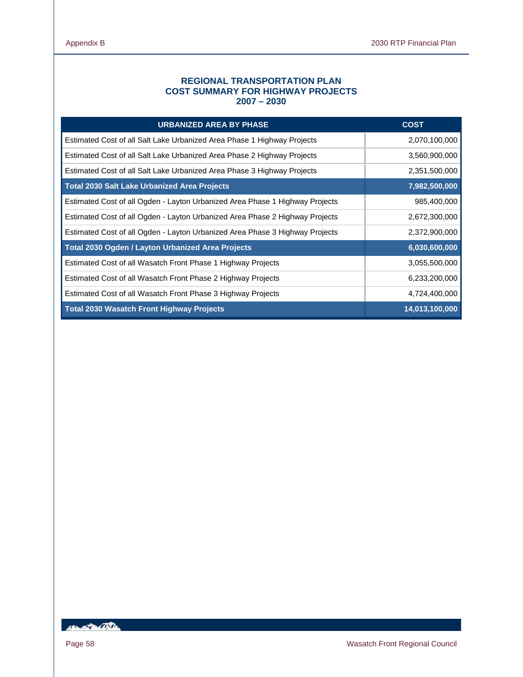#### **REGIONAL TRANSPORTATION PLAN COST SUMMARY FOR HIGHWAY PROJECTS 2007 – 2030**

| <b>URBANIZED AREA BY PHASE</b>                                               | <b>COST</b>    |
|------------------------------------------------------------------------------|----------------|
| Estimated Cost of all Salt Lake Urbanized Area Phase 1 Highway Projects      | 2,070,100,000  |
| Estimated Cost of all Salt Lake Urbanized Area Phase 2 Highway Projects      | 3,560,900,000  |
| Estimated Cost of all Salt Lake Urbanized Area Phase 3 Highway Projects      | 2,351,500,000  |
| <b>Total 2030 Salt Lake Urbanized Area Projects</b>                          | 7,982,500,000  |
| Estimated Cost of all Ogden - Layton Urbanized Area Phase 1 Highway Projects | 985,400,000    |
| Estimated Cost of all Ogden - Layton Urbanized Area Phase 2 Highway Projects | 2,672,300,000  |
| Estimated Cost of all Ogden - Layton Urbanized Area Phase 3 Highway Projects | 2,372,900,000  |
| <b>Total 2030 Ogden / Layton Urbanized Area Projects</b>                     | 6,030,600,000  |
| Estimated Cost of all Wasatch Front Phase 1 Highway Projects                 | 3,055,500,000  |
| Estimated Cost of all Wasatch Front Phase 2 Highway Projects                 | 6,233,200,000  |
| Estimated Cost of all Wasatch Front Phase 3 Highway Projects                 | 4,724,400,000  |
| <b>Total 2030 Wasatch Front Highway Projects</b>                             | 14,013,100,000 |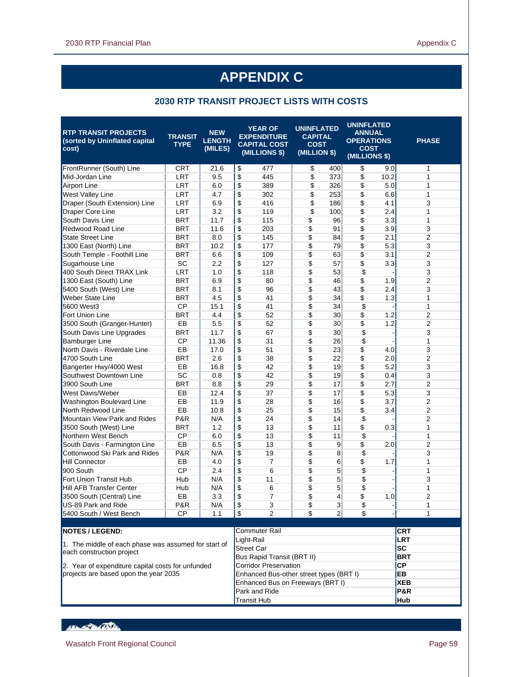# **APPENDIX C -** 2030 RTP TRANSIT PROJECT COSTS **APPENDIX C**

# **2030 RTP TRANSIT PROJECT LISTS WITH COSTS**

| <b>RTP TRANSIT PROJECTS</b><br>(sorted by Uninflated capital<br>cost) | <b>TRANSIT</b><br><b>TYPE</b> | <b>NEW</b><br><b>LENGTH</b><br>(MILES) | <b>YEAR OF</b><br><b>EXPENDITURE</b><br><b>CAPITAL COST</b><br>(MILLIONS \$) |                                         | <b>UNINFLATED</b><br><b>CAPITAL</b><br><b>COST</b><br>(MILLION \$) |                | <b>UNINFLATED</b><br><b>ANNUAL</b><br><b>OPERATIONS</b><br><b>COST</b><br>(MILLIONS \$) |            | <b>PHASE</b>   |
|-----------------------------------------------------------------------|-------------------------------|----------------------------------------|------------------------------------------------------------------------------|-----------------------------------------|--------------------------------------------------------------------|----------------|-----------------------------------------------------------------------------------------|------------|----------------|
| FrontRunner (South) Line                                              | <b>CRT</b>                    | 21.6                                   | \$                                                                           | 477                                     | \$                                                                 | 400            | \$                                                                                      | 9.0        | 1              |
| Mid-Jordan Line                                                       | <b>LRT</b>                    | 9.5                                    | \$                                                                           | 445                                     | \$                                                                 | 373            | \$                                                                                      | 10.2       | 1              |
| Airport Line                                                          | <b>LRT</b>                    | 6.0                                    | \$                                                                           | 389                                     | \$                                                                 | 326            | \$                                                                                      | 5.0        | 1              |
| <b>West Valley Line</b>                                               | LRT                           | 4.7                                    | \$                                                                           | 302                                     | \$                                                                 | 253            | \$                                                                                      | 6.6        | 1              |
| Draper (South Extension) Line                                         | LRT                           | 6.9                                    | \$                                                                           | 416                                     | \$                                                                 | 186            | \$                                                                                      | 4.1        | 3              |
| Draper Core Line                                                      | LRT                           | 3.2                                    | \$                                                                           | 119                                     | \$                                                                 | 100            | \$                                                                                      | 2.4        | 1              |
| South Davis Line                                                      | <b>BRT</b>                    | 11.7                                   | \$                                                                           | 115                                     | \$                                                                 | 96             | \$                                                                                      | 3.3        | $\mathbf{1}$   |
| Redwood Road Line                                                     | <b>BRT</b>                    | 11.6                                   | \$                                                                           | 203                                     | \$                                                                 | 91             | \$                                                                                      | 3.9        | 3              |
| <b>State Street Line</b>                                              | <b>BRT</b>                    | 8.0                                    | \$                                                                           | 145                                     | \$                                                                 | 84             | \$                                                                                      | 2.1        | $\overline{2}$ |
| 1300 East (North) Line                                                | <b>BRT</b>                    | 10.2                                   | \$                                                                           | 177                                     | \$                                                                 | 79             | \$                                                                                      | 5.3        | 3              |
| South Temple - Foothill Line                                          | <b>BRT</b>                    | 6.6                                    | \$                                                                           | 109                                     | \$                                                                 | 63             | \$                                                                                      | 3.1        | $\overline{2}$ |
| Sugarhouse Line                                                       | SC                            | 2.2                                    | \$                                                                           | 127                                     | \$                                                                 | 57             | \$                                                                                      | 3.3        | 3              |
| 400 South Direct TRAX Link                                            | <b>LRT</b>                    | 1.0                                    | \$                                                                           | 118                                     | \$                                                                 | 53             | \$                                                                                      |            | 3              |
| 1300 East (South) Line                                                | <b>BRT</b>                    | 6.9                                    | \$                                                                           | 80                                      | \$                                                                 | 46             | \$                                                                                      | 1.9        | $\overline{2}$ |
| 5400 South (West) Line                                                | <b>BRT</b>                    | 8.1                                    | \$                                                                           | 96                                      | \$                                                                 | 43             | \$                                                                                      | 2.4        | 3              |
| Weber State Line                                                      | <b>BRT</b>                    | 4.5                                    | \$                                                                           | 41                                      | \$                                                                 | 34             | \$                                                                                      | 1.3        | $\mathbf{1}$   |
| 5600 West3                                                            | <b>CP</b>                     | 15.1                                   | \$                                                                           | 41                                      | \$                                                                 | 34             | \$                                                                                      |            | $\mathbf{1}$   |
| Fort Union Line                                                       | <b>BRT</b>                    | 4.4                                    | \$                                                                           | 52                                      | \$                                                                 | 30             | \$                                                                                      | 1.2        | $\overline{2}$ |
| 3500 South (Granger-Hunter)                                           | EВ                            | 5.5                                    | \$                                                                           | 52                                      | \$                                                                 | 30             | \$                                                                                      | 1.2        | 2              |
| South Davis Line Upgrades                                             | <b>BRT</b>                    | 11.7                                   | \$                                                                           | 67                                      | \$                                                                 | 30             | \$                                                                                      |            | 3              |
| <b>Bamburger Line</b>                                                 | <b>CP</b>                     | 11.36                                  | \$                                                                           | 31                                      | \$                                                                 | 26             | \$                                                                                      |            | 1              |
| North Davis - Riverdale Line                                          | EB                            | 17.0                                   | \$                                                                           | 51                                      | \$                                                                 | 23             | \$                                                                                      | 4.0        | 3              |
| 4700 South Line                                                       | <b>BRT</b>                    | 2.6                                    | \$                                                                           | 38                                      | \$                                                                 | 22             | \$                                                                                      | 2.0        | $\overline{2}$ |
| Bangerter Hwy/4000 West                                               | EB                            | 16.8                                   | \$                                                                           | 42                                      | \$                                                                 | 19             | \$                                                                                      | 5.2        | 3              |
| Southwest Downtown Line                                               | SC                            | 0.8                                    | \$                                                                           | 42                                      | \$                                                                 | 19             | \$                                                                                      | 0.4        | 3              |
| 3900 South Line                                                       | <b>BRT</b>                    | 8.8                                    | \$                                                                           | 29                                      | \$                                                                 | 17             | \$                                                                                      | 2.7        | $\overline{2}$ |
| <b>West Davis/Weber</b>                                               | EB                            | 12.4                                   | \$                                                                           | 37                                      | \$                                                                 | 17             | \$                                                                                      | 5.3        | 3              |
| <b>Washington Boulevard Line</b>                                      | EB                            | 11.9                                   | \$                                                                           | 28                                      | \$                                                                 | 16             | \$                                                                                      | 3.7        | $\overline{2}$ |
| North Redwood Line                                                    | EB                            | 10.8                                   | \$                                                                           | 25                                      | \$                                                                 | 15             | \$                                                                                      | 3.4        | $\overline{2}$ |
| Mountain View Park and Rides                                          | P&R                           | N/A                                    | \$                                                                           | 24                                      | \$                                                                 | 14             | \$                                                                                      |            | $\overline{2}$ |
| 3500 South (West) Line                                                | <b>BRT</b>                    | 1.2                                    | \$                                                                           | 13                                      | \$                                                                 | 11             | \$                                                                                      | 0.3        | 1              |
| Northern West Bench                                                   | <b>CP</b>                     | 6.0                                    | \$                                                                           | 13                                      | \$                                                                 | 11             | \$                                                                                      |            | $\mathbf{1}$   |
| South Davis - Farmington Line                                         | EB                            | 6.5                                    | \$                                                                           | 13                                      | \$                                                                 | 9              | \$                                                                                      | 2.0        | $\overline{2}$ |
| Cottonwood Ski Park and Rides                                         | P&R                           | N/A                                    | \$                                                                           | 19                                      | \$                                                                 | 8              | \$                                                                                      |            | 3              |
| <b>Hill Connector</b>                                                 | EВ                            | 4.0                                    | \$                                                                           | $\overline{7}$                          | \$                                                                 | 6              | \$                                                                                      | 1.7        | $\mathbf{1}$   |
| 900 South                                                             | <b>CP</b>                     | 2.4                                    | \$                                                                           | 6                                       | \$                                                                 | 5              | \$                                                                                      |            | $\mathbf{1}$   |
| Fort Union Transit Hub                                                | Hub                           | N/A                                    | \$                                                                           | 11                                      | \$                                                                 | 5              | \$                                                                                      |            | 3              |
| Hill AFB Transfer Center                                              | Hub                           | N/A                                    | \$                                                                           | 6                                       | \$                                                                 | 5              | \$                                                                                      |            | $\mathbf{1}$   |
| 3500 South (Central) Line                                             | EB                            | 3.3                                    | \$                                                                           | $\overline{7}$                          | \$                                                                 | 4              | \$                                                                                      | 1.0        | $\overline{2}$ |
| US-89 Park and Ride                                                   | P&R                           | N/A                                    | \$                                                                           | 3                                       | \$                                                                 | 3              | \$                                                                                      |            | 1              |
| 5400 South / West Bench                                               | <b>CP</b>                     | 1.1                                    | \$                                                                           | $\overline{2}$                          | \$                                                                 | $\overline{2}$ | \$                                                                                      |            | 1              |
|                                                                       |                               |                                        |                                                                              |                                         |                                                                    |                |                                                                                         |            |                |
| <b>NOTES / LEGEND:</b>                                                |                               |                                        |                                                                              | <b>Commuter Rail</b>                    |                                                                    |                |                                                                                         |            | <b>CRT</b>     |
|                                                                       |                               |                                        |                                                                              | Light-Rail                              |                                                                    |                |                                                                                         |            | <b>LRT</b>     |
| 1. The middle of each phase was assumed for start of                  |                               |                                        |                                                                              | <b>Street Car</b>                       |                                                                    |                |                                                                                         |            | <b>SC</b>      |
| each construction project                                             |                               |                                        |                                                                              | <b>Bus Rapid Transit (BRT II)</b>       |                                                                    |                |                                                                                         |            | <b>BRT</b>     |
| 2. Year of expenditure capital costs for unfunded                     |                               |                                        |                                                                              | <b>Corridor Preservation</b>            |                                                                    |                |                                                                                         |            | <b>CP</b>      |
| projects are based upon the year 2035                                 |                               |                                        |                                                                              | Enhanced Bus-other street types (BRT I) |                                                                    |                |                                                                                         |            | EB.            |
|                                                                       |                               |                                        | Enhanced Bus on Freeways (BRT I)                                             |                                         |                                                                    |                |                                                                                         | <b>XEB</b> |                |
|                                                                       |                               |                                        | Park and Ride                                                                |                                         |                                                                    |                |                                                                                         |            | <b>P&amp;R</b> |
|                                                                       |                               |                                        |                                                                              | <b>Transit Hub</b>                      |                                                                    |                |                                                                                         |            | <b>Hub</b>     |
|                                                                       |                               |                                        |                                                                              |                                         |                                                                    |                |                                                                                         |            |                |

Henry Contact Day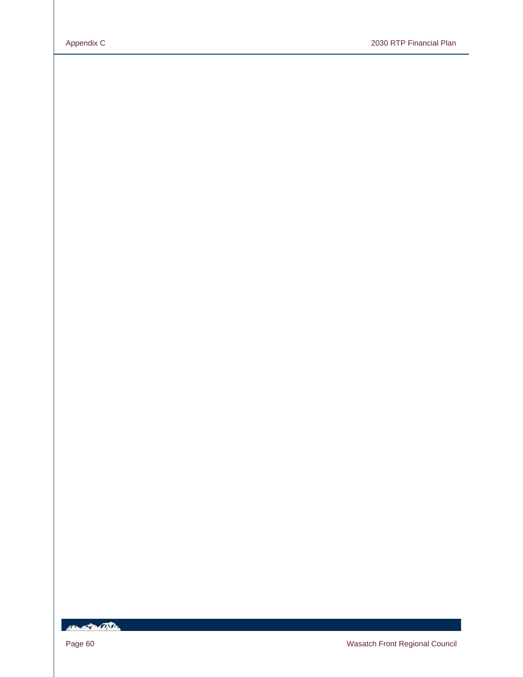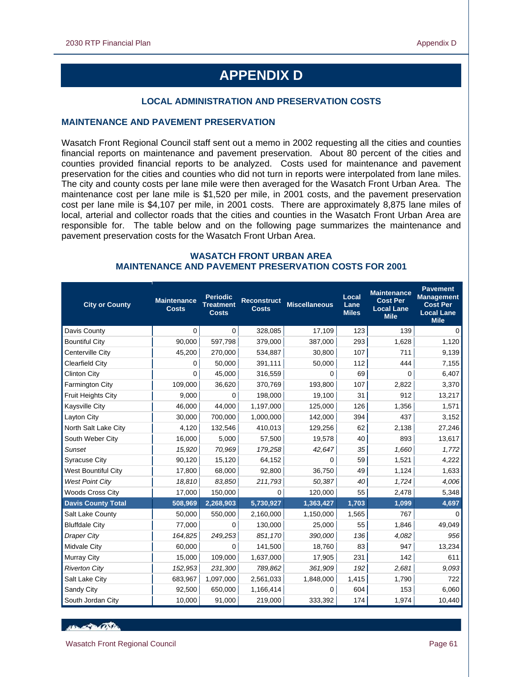# **APPENDIX D -** LOCAL ADMINISTRATION AND PRESERVATION COSTS **APPENDIX D**

## **LOCAL ADMINISTRATION AND PRESERVATION COSTS**

#### **MAINTENANCE AND PAVEMENT PRESERVATION**

Wasatch Front Regional Council staff sent out a memo in 2002 requesting all the cities and counties financial reports on maintenance and pavement preservation. About 80 percent of the cities and counties provided financial reports to be analyzed. Costs used for maintenance and pavement preservation for the cities and counties who did not turn in reports were interpolated from lane miles. The city and county costs per lane mile were then averaged for the Wasatch Front Urban Area. The maintenance cost per lane mile is \$1,520 per mile, in 2001 costs, and the pavement preservation cost per lane mile is \$4,107 per mile, in 2001 costs. There are approximately 8,875 lane miles of local, arterial and collector roads that the cities and counties in the Wasatch Front Urban Area are responsible for. The table below and on the following page summarizes the maintenance and pavement preservation costs for the Wasatch Front Urban Area.

#### **WASATCH FRONT URBAN AREA MAINTENANCE AND PAVEMENT PRESERVATION COSTS FOR 2001**

| <b>City or County</b>      | <b>Periodic</b><br><b>Maintenance</b><br><b>Reconstruct</b><br><b>Treatment</b><br><b>Costs</b><br><b>Costs</b><br><b>Costs</b> |           | <b>Miscellaneous</b> | Local<br>Lane<br><b>Miles</b> | <b>Maintenance</b><br><b>Cost Per</b><br><b>Local Lane</b><br><b>Mile</b> | <b>Pavement</b><br><b>Management</b><br><b>Cost Per</b><br><b>Local Lane</b><br><b>Mile</b> |              |
|----------------------------|---------------------------------------------------------------------------------------------------------------------------------|-----------|----------------------|-------------------------------|---------------------------------------------------------------------------|---------------------------------------------------------------------------------------------|--------------|
| Davis County               | $\Omega$                                                                                                                        | 0         | 328,085              | 17,109                        | 123                                                                       | 139                                                                                         | $\Omega$     |
| <b>Bountiful City</b>      | 90,000                                                                                                                          | 597,798   | 379,000              | 387,000                       | 293                                                                       | 1,628                                                                                       | 1,120        |
| Centerville City           | 45,200                                                                                                                          | 270,000   | 534,887              | 30,800                        | 107                                                                       | 711                                                                                         | 9,139        |
| Clearfield City            | $\mathbf 0$                                                                                                                     | 50,000    | 391,111              | 50,000                        | 112                                                                       | 444                                                                                         | 7,155        |
| <b>Clinton City</b>        | $\Omega$                                                                                                                        | 45,000    | 316,559              | 0                             | 69                                                                        | 0                                                                                           | 6,407        |
| <b>Farmington City</b>     | 109,000                                                                                                                         | 36,620    | 370,769              | 193,800                       | 107                                                                       | 2,822                                                                                       | 3,370        |
| <b>Fruit Heights City</b>  | 9,000                                                                                                                           | 0         | 198,000              | 19,100                        | 31                                                                        | 912                                                                                         | 13,217       |
| <b>Kaysville City</b>      | 46,000                                                                                                                          | 44,000    | 1,197,000            | 125,000                       | 126                                                                       | 1,356                                                                                       | 1,571        |
| Layton City                | 30,000                                                                                                                          | 700,000   | 1,000,000            | 142,000                       | 394                                                                       | 437                                                                                         | 3,152        |
| North Salt Lake City       | 4,120                                                                                                                           | 132,546   | 410,013              | 129,256                       | 62                                                                        | 2,138                                                                                       | 27,246       |
| South Weber City           | 16,000                                                                                                                          | 5,000     | 57,500               | 19,578                        | 40                                                                        | 893                                                                                         | 13,617       |
| <b>Sunset</b>              | 15,920                                                                                                                          | 70,969    | 179,258              | 42,647                        | 35                                                                        | 1,660                                                                                       | 1,772        |
| <b>Syracuse City</b>       | 90,120                                                                                                                          | 15,120    | 64,152               | 0                             | 59                                                                        | 1,521                                                                                       | 4,222        |
| <b>West Bountiful City</b> | 17,800                                                                                                                          | 68,000    | 92,800               | 36,750                        | 49                                                                        | 1,124                                                                                       | 1,633        |
| <b>West Point City</b>     | 18,810                                                                                                                          | 83,850    | 211,793              | 50,387                        | 40                                                                        | 1,724                                                                                       | 4,006        |
| <b>Woods Cross City</b>    | 17,000                                                                                                                          | 150,000   | 0                    | 120,000                       | 55                                                                        | 2,478                                                                                       | 5,348        |
| <b>Davis County Total</b>  | 508,969                                                                                                                         | 2,268,903 | 5,730,927            | 1,363,427                     | 1,703                                                                     | 1,099                                                                                       | 4,697        |
| Salt Lake County           | 50,000                                                                                                                          | 550,000   | 2,160,000            | 1,150,000                     | 1,565                                                                     | 767                                                                                         | <sup>0</sup> |
| <b>Bluffdale City</b>      | 77,000                                                                                                                          | 0         | 130,000              | 25,000                        | 55                                                                        | 1,846                                                                                       | 49,049       |
| <b>Draper City</b>         | 164,825                                                                                                                         | 249,253   | 851,170              | 390,000                       | 136                                                                       | 4,082                                                                                       | 956          |
| <b>Midvale City</b>        | 60,000                                                                                                                          | 0         | 141,500              | 18,760                        | 83                                                                        | 947                                                                                         | 13,234       |
| Murray City                | 15,000                                                                                                                          | 109,000   | 1,637,000            | 17,905                        | 231                                                                       | 142                                                                                         | 611          |
| <b>Riverton City</b>       | 152,953                                                                                                                         | 231,300   | 789,862              | 361,909                       | 192                                                                       | 2,681                                                                                       | 9.093        |
| Salt Lake City             | 683,967                                                                                                                         | 1,097,000 | 2,561,033            | 1,848,000                     | 1,415                                                                     | 1,790                                                                                       | 722          |
| Sandy City                 | 92,500                                                                                                                          | 650,000   | 1,166,414            | 0                             | 604                                                                       | 153                                                                                         | 6,060        |
| South Jordan City          | 10,000                                                                                                                          | 91,000    | 219,000              | 333,392                       | 174                                                                       | 1,974                                                                                       | 10,440       |

**ARCHIVAGE DE DE**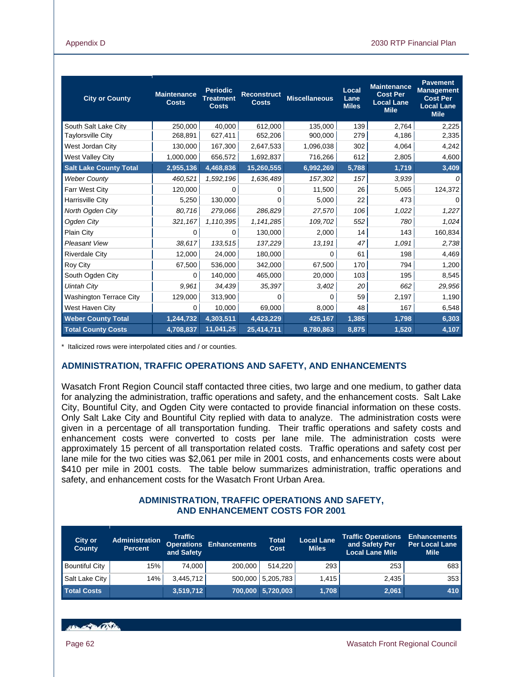| <b>City or County</b>          | <b>Periodic</b><br><b>Maintenance</b><br><b>Reconstruct</b><br><b>Miscellaneous</b><br><b>Treatment</b><br><b>Costs</b><br><b>Costs</b><br><b>Costs</b> |           | Local<br>Lane<br><b>Miles</b> | <b>Maintenance</b><br><b>Cost Per</b><br><b>Local Lane</b><br><b>Mile</b> | <b>Pavement</b><br><b>Management</b><br><b>Cost Per</b><br><b>Local Lane</b><br><b>Mile</b> |       |          |
|--------------------------------|---------------------------------------------------------------------------------------------------------------------------------------------------------|-----------|-------------------------------|---------------------------------------------------------------------------|---------------------------------------------------------------------------------------------|-------|----------|
| South Salt Lake City           | 250.000                                                                                                                                                 | 40.000    | 612.000                       | 135.000                                                                   | 139                                                                                         | 2.764 | 2.225    |
| <b>Taylorsville City</b>       | 268,891                                                                                                                                                 | 627,411   | 652,206                       | 900,000                                                                   | 279                                                                                         | 4,186 | 2,335    |
| West Jordan City               | 130,000                                                                                                                                                 | 167,300   | 2,647,533                     | 1,096,038                                                                 | 302                                                                                         | 4.064 | 4,242    |
| <b>West Valley City</b>        | 1,000,000                                                                                                                                               | 656,572   | 1,692,837                     | 716,266                                                                   | 612                                                                                         | 2,805 | 4,600    |
| <b>Salt Lake County Total</b>  | 2,955,136                                                                                                                                               | 4,468,836 | 15,260,555                    | 6,992,269                                                                 | 5,788                                                                                       | 1,719 | 3,409    |
| <b>Weber County</b>            | 460,521                                                                                                                                                 | 1,592,196 | 1,636,489                     | 157,302                                                                   | 157                                                                                         | 3,939 | 0        |
| Farr West City                 | 120,000                                                                                                                                                 | O         | 0                             | 11,500                                                                    | 26                                                                                          | 5,065 | 124,372  |
| <b>Harrisville City</b>        | 5,250                                                                                                                                                   | 130,000   | 0                             | 5,000                                                                     | 22                                                                                          | 473   | $\Omega$ |
| North Ogden City               | 80,716                                                                                                                                                  | 279,066   | 286,829                       | 27,570                                                                    | 106                                                                                         | 1,022 | 1,227    |
| Ogden City                     | 321,167                                                                                                                                                 | 1,110,395 | 1,141,285                     | 109,702                                                                   | 552                                                                                         | 780   | 1,024    |
| <b>Plain City</b>              | 0                                                                                                                                                       | 0         | 130,000                       | 2,000                                                                     | 14                                                                                          | 143   | 160,834  |
| <b>Pleasant View</b>           | 38,617                                                                                                                                                  | 133,515   | 137,229                       | 13,191                                                                    | 47                                                                                          | 1,091 | 2,738    |
| <b>Riverdale City</b>          | 12,000                                                                                                                                                  | 24,000    | 180,000                       | 0                                                                         | 61                                                                                          | 198   | 4,469    |
| Roy City                       | 67,500                                                                                                                                                  | 536,000   | 342,000                       | 67,500                                                                    | 170                                                                                         | 794   | 1,200    |
| South Ogden City               | 0                                                                                                                                                       | 140,000   | 465,000                       | 20,000                                                                    | 103                                                                                         | 195   | 8,545    |
| <b>Uintah City</b>             | 9.961                                                                                                                                                   | 34,439    | 35,397                        | 3,402                                                                     | 20                                                                                          | 662   | 29,956   |
| <b>Washington Terrace City</b> | 129,000                                                                                                                                                 | 313,900   | 0                             | 0                                                                         | 59                                                                                          | 2,197 | 1,190    |
| West Haven City                | 0                                                                                                                                                       | 10,000    | 69,000                        | 8,000                                                                     | 48                                                                                          | 167   | 6,548    |
| <b>Weber County Total</b>      | 1,244,732                                                                                                                                               | 4,303,511 | 4,423,229                     | 425,167                                                                   | 1,385                                                                                       | 1,798 | 6,303    |
| <b>Total County Costs</b>      | 4,708,837                                                                                                                                               | 11,041,25 | 25,414,711                    | 8,780,863                                                                 | 8,875                                                                                       | 1,520 | 4,107    |

\* Italicized rows were interpolated cities and / or counties.

#### **ADMINISTRATION, TRAFFIC OPERATIONS AND SAFETY, AND ENHANCEMENTS**

Wasatch Front Region Council staff contacted three cities, two large and one medium, to gather data for analyzing the administration, traffic operations and safety, and the enhancement costs. Salt Lake City, Bountiful City, and Ogden City were contacted to provide financial information on these costs. Only Salt Lake City and Bountiful City replied with data to analyze. The administration costs were given in a percentage of all transportation funding. Their traffic operations and safety costs and enhancement costs were converted to costs per lane mile. The administration costs were approximately 15 percent of all transportation related costs. Traffic operations and safety cost per lane mile for the two cities was \$2,061 per mile in 2001 costs, and enhancements costs were about \$410 per mile in 2001 costs. The table below summarizes administration, traffic operations and safety, and enhancement costs for the Wasatch Front Urban Area.

#### **ADMINISTRATION, TRAFFIC OPERATIONS AND SAFETY, AND ENHANCEMENT COSTS FOR 2001**

| <b>City or</b><br><b>County</b> | <b>Administration</b><br><b>Percent</b> | <b>Traffic</b><br>and Safety | <b>Operations Enhancements</b> | <b>Total</b><br><b>Cost</b> | <b>Local Lane</b><br><b>Miles</b> | <b>Traffic Operations</b><br>and Safety Per<br><b>Local Lane Mile</b> | <b>Enhancements</b><br><b>Per Local Lane</b><br><b>Mile</b> |
|---------------------------------|-----------------------------------------|------------------------------|--------------------------------|-----------------------------|-----------------------------------|-----------------------------------------------------------------------|-------------------------------------------------------------|
| Bountiful City                  | 15%                                     | 74.000                       | 200.000                        | 514.220                     | 293                               | 253                                                                   | 683                                                         |
| Salt Lake City                  | 14%                                     | 3,445,712                    |                                | 500,000   5,205,783         | 1.415                             | 2,435                                                                 | 353                                                         |
| <b>Total Costs</b>              |                                         | 3,519,712                    |                                | 700,000 5,720,003           | 1,708                             | 2,061                                                                 | 410                                                         |

Hamat Martin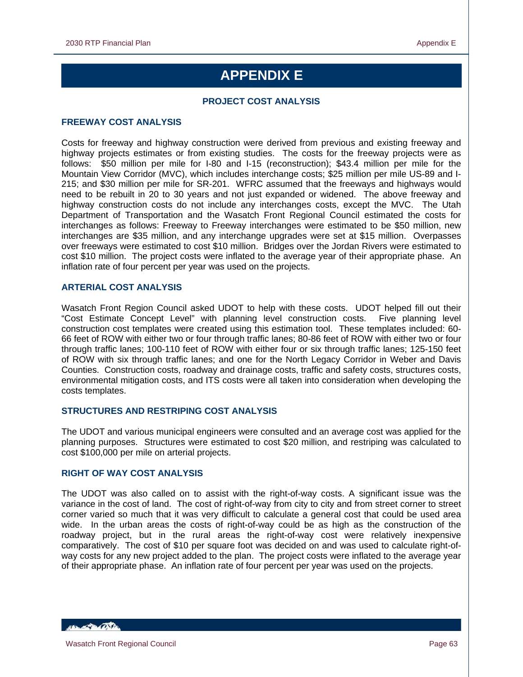# **APPENDIX E**

### **PROJECT COST ANALYSIS**

#### **FREEWAY COST ANALYSIS**

Costs for freeway and highway construction were derived from previous and existing freeway and highway projects estimates or from existing studies. The costs for the freeway projects were as follows: \$50 million per mile for I-80 and I-15 (reconstruction); \$43.4 million per mile for the Mountain View Corridor (MVC), which includes interchange costs; \$25 million per mile US-89 and I-215; and \$30 million per mile for SR-201. WFRC assumed that the freeways and highways would need to be rebuilt in 20 to 30 years and not just expanded or widened. The above freeway and highway construction costs do not include any interchanges costs, except the MVC. The Utah Department of Transportation and the Wasatch Front Regional Council estimated the costs for interchanges as follows: Freeway to Freeway interchanges were estimated to be \$50 million, new interchanges are \$35 million, and any interchange upgrades were set at \$15 million. Overpasses over freeways were estimated to cost \$10 million. Bridges over the Jordan Rivers were estimated to cost \$10 million. The project costs were inflated to the average year of their appropriate phase. An inflation rate of four percent per year was used on the projects.

#### **ARTERIAL COST ANALYSIS**

Wasatch Front Region Council asked UDOT to help with these costs. UDOT helped fill out their "Cost Estimate Concept Level" with planning level construction costs. Five planning level construction cost templates were created using this estimation tool. These templates included: 60- 66 feet of ROW with either two or four through traffic lanes; 80-86 feet of ROW with either two or four through traffic lanes; 100-110 feet of ROW with either four or six through traffic lanes; 125-150 feet of ROW with six through traffic lanes; and one for the North Legacy Corridor in Weber and Davis Counties. Construction costs, roadway and drainage costs, traffic and safety costs, structures costs, environmental mitigation costs, and ITS costs were all taken into consideration when developing the costs templates.

#### **STRUCTURES AND RESTRIPING COST ANALYSIS**

The UDOT and various municipal engineers were consulted and an average cost was applied for the planning purposes. Structures were estimated to cost \$20 million, and restriping was calculated to cost \$100,000 per mile on arterial projects.

#### **RIGHT OF WAY COST ANALYSIS**

The UDOT was also called on to assist with the right-of-way costs. A significant issue was the variance in the cost of land. The cost of right-of-way from city to city and from street corner to street corner varied so much that it was very difficult to calculate a general cost that could be used area wide. In the urban areas the costs of right-of-way could be as high as the construction of the roadway project, but in the rural areas the right-of-way cost were relatively inexpensive comparatively. The cost of \$10 per square foot was decided on and was used to calculate right-ofway costs for any new project added to the plan. The project costs were inflated to the average year of their appropriate phase. An inflation rate of four percent per year was used on the projects.

*ABLACTER COSTA*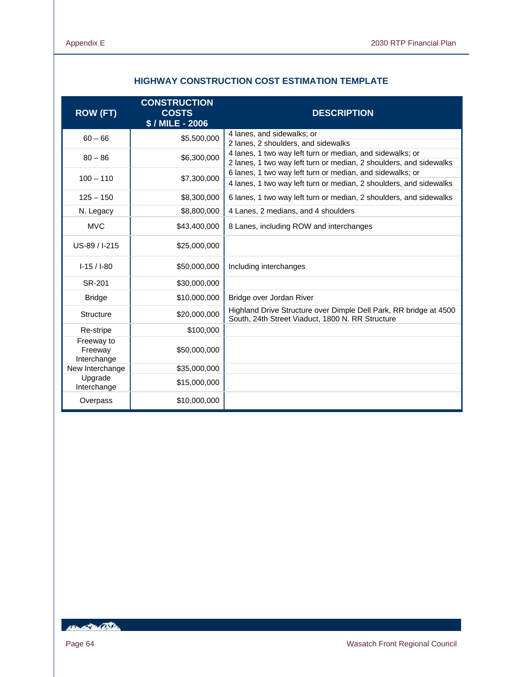# **HIGHWAY CONSTRUCTION COST ESTIMATION TEMPLATE**

| <b>ROW (FT)</b>                      | <b>CONSTRUCTION</b><br><b>COSTS</b><br><b>\$/MILE-2006</b> | <b>DESCRIPTION</b>                                                                                                              |
|--------------------------------------|------------------------------------------------------------|---------------------------------------------------------------------------------------------------------------------------------|
| $60 - 66$                            | \$5,500,000                                                | 4 lanes, and sidewalks; or                                                                                                      |
|                                      |                                                            | 2 lanes, 2 shoulders, and sidewalks                                                                                             |
| $80 - 86$                            | \$6,300,000                                                | 4 lanes, 1 two way left turn or median, and sidewalks; or<br>2 lanes, 1 two way left turn or median, 2 shoulders, and sidewalks |
|                                      |                                                            | 6 lanes, 1 two way left turn or median, and sidewalks; or                                                                       |
| $100 - 110$                          | \$7,300,000                                                | 4 lanes, 1 two way left turn or median, 2 shoulders, and sidewalks                                                              |
|                                      |                                                            |                                                                                                                                 |
| $125 - 150$                          | \$8,300,000                                                | 6 lanes, 1 two way left turn or median, 2 shoulders, and sidewalks                                                              |
| N. Legacy                            | \$8,800,000                                                | 4 Lanes, 2 medians, and 4 shoulders                                                                                             |
| <b>MVC</b>                           | \$43,400,000                                               | 8 Lanes, including ROW and interchanges                                                                                         |
| US-89 / I-215                        | \$25,000,000                                               |                                                                                                                                 |
| $I-15/1-80$                          | \$50,000,000                                               | Including interchanges                                                                                                          |
| SR-201                               | \$30,000,000                                               |                                                                                                                                 |
| <b>Bridge</b>                        | \$10,000,000                                               | Bridge over Jordan River                                                                                                        |
| <b>Structure</b>                     | \$20,000,000                                               | Highland Drive Structure over Dimple Dell Park, RR bridge at 4500<br>South, 24th Street Viaduct, 1800 N. RR Structure           |
| Re-stripe                            | \$100,000                                                  |                                                                                                                                 |
| Freeway to<br>Freeway<br>Interchange | \$50,000,000                                               |                                                                                                                                 |
| New Interchange                      | \$35,000,000                                               |                                                                                                                                 |
| Upgrade<br>Interchange               | \$15,000,000                                               |                                                                                                                                 |
| Overpass                             | \$10,000,000                                               |                                                                                                                                 |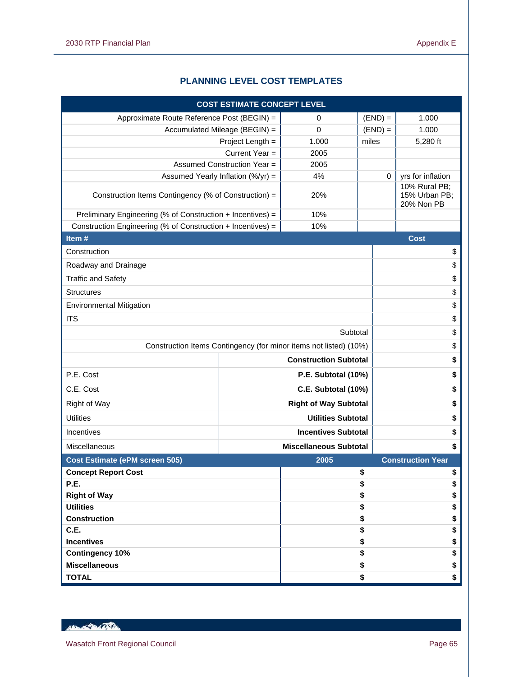# **PLANNING LEVEL COST TEMPLATES**

|                                                             | <b>COST ESTIMATE CONCEPT LEVEL</b> |                                                                   |       |             |                                              |
|-------------------------------------------------------------|------------------------------------|-------------------------------------------------------------------|-------|-------------|----------------------------------------------|
| Approximate Route Reference Post (BEGIN) =                  | 0                                  | $(END) =$                                                         |       | 1.000       |                                              |
| Accumulated Mileage (BEGIN) =                               | $\Omega$                           | $(END) =$                                                         |       | 1.000       |                                              |
|                                                             | Project Length =                   | 1.000                                                             | miles |             | 5,280 ft                                     |
|                                                             | Current Year =                     | 2005                                                              |       |             |                                              |
|                                                             | Assumed Construction Year =        | 2005                                                              |       |             |                                              |
|                                                             | Assumed Yearly Inflation (%/yr) =  | 4%                                                                |       | $\mathbf 0$ | yrs for inflation                            |
| Construction Items Contingency (% of Construction) =        |                                    | 20%                                                               |       |             | 10% Rural PB;<br>15% Urban PB;<br>20% Non PB |
| Preliminary Engineering (% of Construction + Incentives) =  |                                    | 10%                                                               |       |             |                                              |
| Construction Engineering (% of Construction + Incentives) = |                                    | 10%                                                               |       |             |                                              |
| Item $#$                                                    |                                    |                                                                   |       |             | <b>Cost</b>                                  |
| Construction                                                |                                    |                                                                   |       |             | \$                                           |
| Roadway and Drainage                                        |                                    |                                                                   |       |             | \$                                           |
| <b>Traffic and Safety</b>                                   |                                    |                                                                   |       |             | \$                                           |
| <b>Structures</b>                                           |                                    |                                                                   |       |             | \$                                           |
| <b>Environmental Mitigation</b>                             |                                    |                                                                   |       |             | \$                                           |
| <b>ITS</b>                                                  |                                    | \$                                                                |       |             |                                              |
|                                                             | \$<br>Subtotal                     |                                                                   |       |             |                                              |
|                                                             |                                    | Construction Items Contingency (for minor items not listed) (10%) |       |             | \$                                           |
|                                                             |                                    | <b>Construction Subtotal</b>                                      |       |             | \$                                           |
| P.E. Cost                                                   |                                    | P.E. Subtotal (10%)                                               |       |             | \$                                           |
| C.E. Cost                                                   |                                    | C.E. Subtotal (10%)                                               |       |             | \$                                           |
| Right of Way                                                |                                    | <b>Right of Way Subtotal</b>                                      |       |             | \$                                           |
| <b>Utilities</b>                                            |                                    | <b>Utilities Subtotal</b>                                         |       |             | \$                                           |
| Incentives                                                  |                                    | <b>Incentives Subtotal</b>                                        |       |             | \$                                           |
| Miscellaneous                                               |                                    | <b>Miscellaneous Subtotal</b>                                     |       |             | \$                                           |
| <b>Cost Estimate (ePM screen 505)</b>                       |                                    | 2005                                                              |       |             | <b>Construction Year</b>                     |
| <b>Concept Report Cost</b>                                  |                                    |                                                                   | \$    |             | \$                                           |
| P.E.                                                        |                                    |                                                                   | \$    |             | \$                                           |
| <b>Right of Way</b>                                         |                                    |                                                                   | \$    |             | \$                                           |
| <b>Utilities</b>                                            |                                    |                                                                   | \$    |             | \$                                           |
| <b>Construction</b>                                         |                                    | \$                                                                |       | \$          |                                              |
| C.E.                                                        |                                    | \$                                                                |       | \$          |                                              |
| <b>Incentives</b>                                           |                                    | \$                                                                |       | \$          |                                              |
| <b>Contingency 10%</b>                                      |                                    | \$                                                                |       | \$          |                                              |
| <b>Miscellaneous</b>                                        |                                    |                                                                   | \$    |             | \$                                           |
| <b>TOTAL</b>                                                |                                    | \$                                                                |       | \$          |                                              |

North College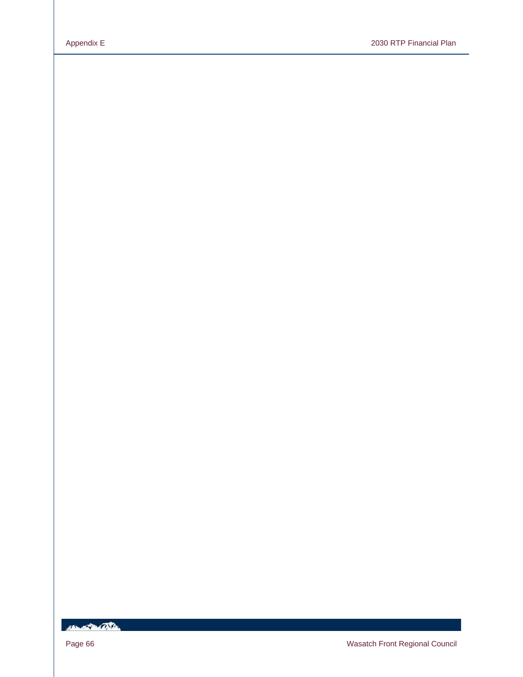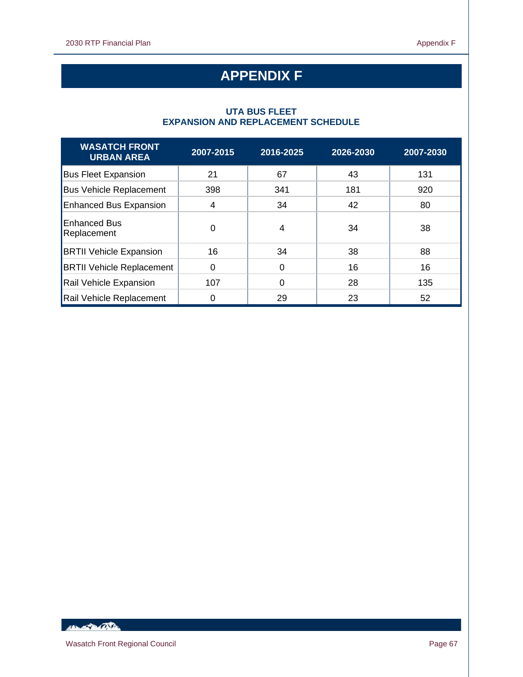# **APPENDIX F - UTA BUS FLEET EXPANSION AND REPLACEMENT SCHEDULE APPENDIX F**

## **UTA BUS FLEET EXPANSION AND REPLACEMENT SCHEDULE**

| <b>WASATCH FRONT</b><br><b>URBAN AREA</b> | 2007-2015 | 2016-2025 | 2026-2030 | 2007-2030 |
|-------------------------------------------|-----------|-----------|-----------|-----------|
| <b>Bus Fleet Expansion</b>                | 21        | 67        | 43        | 131       |
| <b>Bus Vehicle Replacement</b>            | 398       | 341       | 181       | 920       |
| <b>Enhanced Bus Expansion</b>             | 4         | 34        | 42        | 80        |
| <b>Enhanced Bus</b><br>Replacement        | 0         | 4         | 34        | 38        |
| <b>BRTII Vehicle Expansion</b>            | 16        | 34        | 38        | 88        |
| <b>BRTII Vehicle Replacement</b>          | $\Omega$  | 0         | 16        | 16        |
| Rail Vehicle Expansion                    | 107       | 0         | 28        | 135       |
| Rail Vehicle Replacement                  | 0         | 29        | 23        | 52        |

Hand Martin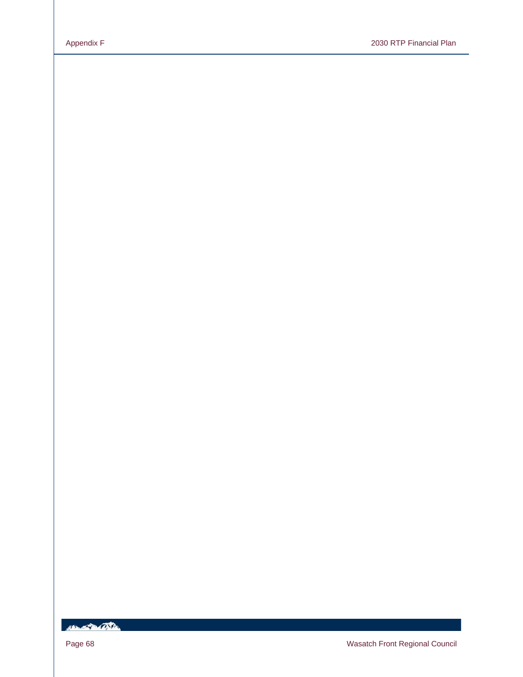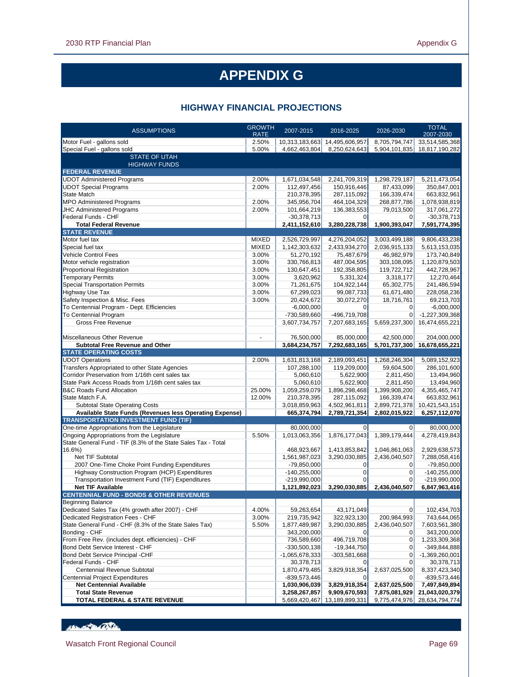#### **APPENDIX G - FINANCIAL PROJECTIONS APPENDIX G**

## **HIGHWAY FINANCIAL PROJECTIONS**

| <b>ASSUMPTIONS</b>                                                                                   | <b>GROWTH</b><br><b>RATE</b> | 2007-2015        | 2016-2025                     | 2026-2030                   | <b>TOTAL</b><br>2007-2030 |
|------------------------------------------------------------------------------------------------------|------------------------------|------------------|-------------------------------|-----------------------------|---------------------------|
| Motor Fuel - gallons sold                                                                            | 2.50%                        |                  | 10,313,183,663 14,495,606,957 | 8,705,794,747               | 33,514,585,368            |
| Special Fuel - gallons sold                                                                          | 5.00%                        | 4,662,463,804    | 8,250,624,643                 | 5,904,101,835               | 18,817,190,282            |
| <b>STATE OF UTAH</b>                                                                                 |                              |                  |                               |                             |                           |
| <b>HIGHWAY FUNDS</b><br><b>FEDERAL REVENUE</b>                                                       |                              |                  |                               |                             |                           |
| <b>UDOT Administered Programs</b>                                                                    | 2.00%                        | 1,671,034,548    | 2,241,709,319                 | 1,298,729,187               | 5,211,473,054             |
| <b>UDOT Special Programs</b>                                                                         | 2.00%                        | 112,497,456      | 150,916,446                   | 87,433,099                  | 350,847,001               |
| <b>State Match</b>                                                                                   |                              | 210,378,395      | 287,115,092                   | 166,339,474                 | 663,832,961               |
| <b>MPO Administered Programs</b>                                                                     | 2.00%                        | 345,956,704      | 464,104,329                   | 268,877,786                 | 1,078,938,819             |
| <b>JHC Administered Programs</b>                                                                     | 2.00%                        | 101,664,219      | 136,383,553                   | 79,013,500                  | 317,061,272               |
| Federal Funds - CHF                                                                                  |                              | $-30,378,713$    | $\mathbf 0$                   | $\overline{0}$              | $-30,378,713$             |
| <b>Total Federal Revenue</b>                                                                         |                              | 2,411,152,610    | 3,280,228,738                 | 1,900,393,047               | 7,591,774,395             |
| <b>STATE REVENUE</b>                                                                                 |                              |                  |                               |                             |                           |
| Motor fuel tax                                                                                       | <b>MIXED</b>                 | 2,526,729,997    | 4,276,204,052                 | 3,003,499,188               | 9,806,433,238             |
| Special fuel tax                                                                                     | <b>MIXED</b>                 | 1,142,303,632    | 2,433,934,270                 | 2,036,915,133               | 5,613,153,035             |
| Vehicle Control Fees                                                                                 | 3.00%                        | 51,270,192       | 75,487,679                    | 46,982,979                  | 173,740,849               |
| Motor vehicle registration                                                                           | 3.00%                        | 330,766,813      | 487,004,595                   | 303,108,095                 | 1,120,879,503             |
| <b>Proportional Registration</b>                                                                     | 3.00%                        | 130,647,451      | 192,358,805                   | 119,722,712                 | 442,728,967               |
| <b>Temporary Permits</b>                                                                             | 3.00%                        | 3,620,962        | 5,331,324                     | 3,318,177                   | 12,270,464                |
| <b>Special Transportation Permits</b>                                                                | 3.00%                        | 71,261,675       | 104,922,144                   | 65,302,775                  | 241,486,594               |
| Highway Use Tax                                                                                      | 3.00%                        | 67,299,023       | 99,087,733                    | 61,671,480                  | 228,058,236               |
| Safety Inspection & Misc. Fees                                                                       | 3.00%                        | 20,424,672       | 30,072,270                    | 18,716,761                  | 69,213,703                |
| To Centennial Program - Dept. Efficiencies                                                           |                              | $-6,000,000$     | 0                             | $\overline{0}$              | $-6,000,000$              |
| To Centennial Program                                                                                |                              | $-730,589,660$   | -496,719,708                  | $\Omega$                    | $-1,227,309,368$          |
| <b>Gross Free Revenue</b>                                                                            |                              | 3,607,734,757    | 7,207,683,165                 | 5,659,237,300               | 16,474,655,221            |
| Miscellaneous Other Revenue                                                                          | $\blacksquare$               | 76,500,000       | 85,000,000                    | 42,500,000                  | 204,000,000               |
| Subtotal Free Revenue and Other                                                                      |                              | 3,684,234,757    | 7,292,683,165                 | 5,701,737,300               | 16,678,655,221            |
| <b>STATE OPERATING COSTS</b>                                                                         |                              |                  |                               |                             |                           |
| <b>UDOT Operations</b>                                                                               | 2.00%                        | 1,631,813,168    | 2,189,093,451                 | 1,268,246,304               | 5,089,152,923             |
| Transfers Appropriated to other State Agencies                                                       |                              | 107,288,100      | 119,209,000                   | 59,604,500                  | 286,101,600               |
| Corridor Preservation from 1/16th cent sales tax                                                     |                              | 5,060,610        | 5,622,900                     | 2,811,450                   | 13,494,960                |
| State Park Access Roads from 1/16th cent sales tax                                                   |                              | 5,060,610        | 5,622,900                     | 2,811,450                   | 13,494,960                |
| <b>B&amp;C Roads Fund Allocation</b>                                                                 | 25.00%                       | 1,059,259,079    | 1,896,298,468                 | 1,399,908,200               | 4,355,465,747             |
| State Match F.A.                                                                                     | 12.00%                       | 210,378,395      | 287,115,092                   | 166,339,474                 | 663,832,961               |
| <b>Subtotal State Operating Costs</b>                                                                |                              | 3,018,859,963    | 4,502,961,811                 | 2,899,721,378               | 10,421,543,151            |
| Available State Funds (Revenues less Operating Expense)                                              |                              | 665,374,794      | 2,789,721,354                 | 2,802,015,922               | 6,257,112,070             |
| <b>TRANSPORTATION INVESTMENT FUND (TIF)</b>                                                          |                              |                  |                               |                             |                           |
| One-time Appropriations from the Legislature                                                         |                              | 80,000,000       | $\Omega$                      | $\Omega$                    | 80,000,000                |
| Ongoing Appropriations from the Legislature                                                          | 5.50%                        | 1,013,063,356    | 1,876,177,043                 | 1,389,179,444               | 4,278,419,843             |
| State General Fund - TIF (8.3% of the State Sales Tax - Total                                        |                              |                  |                               |                             |                           |
| 16.6%)                                                                                               |                              | 468,923,667      | 1,413,853,842                 | 1,046,861,063               | 2,929,638,573             |
| <b>Net TIF Subtotal</b>                                                                              |                              | 1,561,987,023    | 3,290,030,885                 | 2,436,040,507               | 7,288,058,416             |
| 2007 One-Time Choke Point Funding Expenditures                                                       |                              | $-79,850,000$    | 0                             | 0                           | -79,850,000               |
| Highway Construction Program (HCP) Expenditures<br>Transportation Investment Fund (TIF) Expenditures |                              | $-140,255,000$   | $\mathbf 0$<br>0              | $\overline{0}$              | $-140,255,000$            |
| <b>Net TIF Available</b>                                                                             |                              | $-219,990,000$   |                               | $\overline{0}$              | $-219,990,000$            |
| <b>CENTENNIAL FUND - BONDS &amp; OTHER REVENUES</b>                                                  |                              | 1,121,892,023    |                               | 3,290,030,885 2,436,040,507 | 6,847,963,416             |
| <b>Beginning Balance</b>                                                                             |                              |                  |                               |                             |                           |
| Dedicated Sales Tax (4% growth after 2007) - CHF                                                     | 4.00%                        | 59,263,654       | 43,171,049                    | $\overline{0}$              | 102,434,703               |
| Dedicated Registration Fees - CHF                                                                    | 3.00%                        | 219,735,942      | 322,923,130                   | 200,984,993                 | 743,644,065               |
| State General Fund - CHF (8.3% of the State Sales Tax)                                               | 5.50%                        | 1,877,489,987    | 3,290,030,885                 | 2,436,040,507               | 7,603,561,380             |
| Bonding - CHF                                                                                        |                              | 343,200,000      | 0                             | 0                           | 343,200,000               |
| From Free Rev. (includes dept. efficiencies) - CHF                                                   |                              | 736,589,660      | 496,719,708                   | 0                           | 1,233,309,368             |
| Bond Debt Service Interest - CHF                                                                     |                              | $-330,500,138$   | $-19,344,750$                 | 0                           | -349,844,888              |
| Bond Debt Service Principal -CHF                                                                     |                              | $-1,065,678,333$ | $-303,581,668$                | 0                           | $-1,369,260,001$          |
| Federal Funds - CHF                                                                                  |                              | 30,378,713       | 0                             | $\overline{0}$              | 30,378,713                |
| Centennial Revenue Subtotal                                                                          |                              | 1,870,479,485    | 3,829,918,354                 | 2,637,025,500               | 8,337,423,340             |
| Centennial Project Expenditures                                                                      |                              | $-839,573,446$   | 0                             | 0                           | -839,573,446              |
| <b>Net Centennial Available</b>                                                                      |                              | 1,030,906,039    | 3,829,918,354                 | 2,637,025,500               | 7,497,849,894             |
| <b>Total State Revenue</b>                                                                           |                              | 3,258,267,857    | 9,909,670,593                 | 7,875,081,929               | 21,043,020,379            |
| TOTAL FEDERAL & STATE REVENUE                                                                        |                              |                  | 5,669,420,467 13,189,899,331  | 9,775,474,976               | 28,634,794,774            |

Hand Martin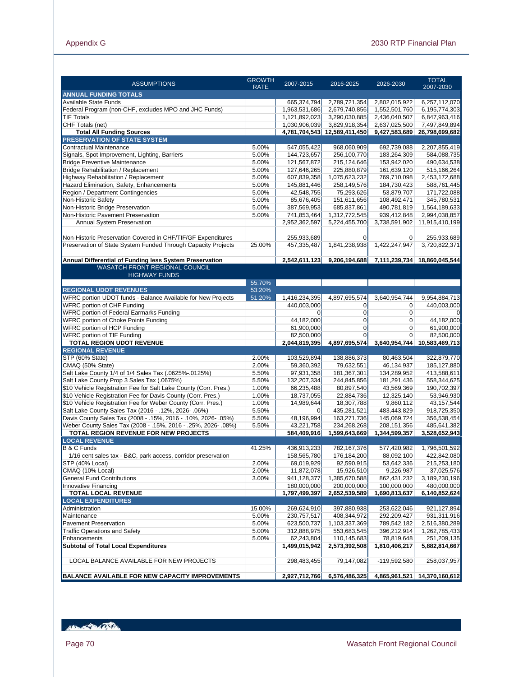| <b>ASSUMPTIONS</b>                                                     | <b>GROWTH</b><br><b>RATE</b> | 2007-2015                   | 2016-2025                    | 2026-2030          | <b>TOTAL</b><br>2007-2030      |
|------------------------------------------------------------------------|------------------------------|-----------------------------|------------------------------|--------------------|--------------------------------|
| <b>ANNUAL FUNDING TOTALS</b>                                           |                              |                             |                              |                    |                                |
| <b>Available State Funds</b>                                           |                              | 665,374,794                 | 2,789,721,354                | 2,802,015,922      | 6,257,112,070                  |
| Federal Program (non-CHF, excludes MPO and JHC Funds)                  |                              | 1,963,531,686               | 2,679,740,856                | 1,552,501,760      | 6,195,774,303                  |
| <b>TIF Totals</b>                                                      |                              | 1,121,892,023               | 3,290,030,885                | 2,436,040,507      | 6,847,963,416                  |
| CHF Totals (net)                                                       |                              | 1,030,906,039               | 3,829,918,354                | 2,637,025,500      | 7,497,849,894                  |
| <b>Total All Funding Sources</b><br>PRESERVATION OF STATE SYSTEM       |                              |                             | 4,781,704,543 12,589,411,450 | 9,427,583,689      | 26,798,699,682                 |
| Contractual Maintenance                                                | 5.00%                        | 547,055,422                 | 968,060,909                  | 692,739,088        | 2,207,855,419                  |
| Signals, Spot Improvement, Lighting, Barriers                          | 5.00%                        | 144,723,657                 | 256,100,770                  | 183,264,309        | 584,088,735                    |
| <b>Bridge Preventive Maintenance</b>                                   | 5.00%                        | 121,567,872                 | 215,124,646                  | 153,942,020        | 490,634,538                    |
| <b>Bridge Rehabilitation / Replacement</b>                             | 5.00%                        | 127,646,265                 | 225,880,879                  | 161,639,120        | 515,166,264                    |
| Highway Rehabilitation / Replacement                                   | 5.00%                        | 607,839,358                 | 1,075,623,232                | 769,710,098        | 2,453,172,688                  |
| Hazard Elimination, Safety, Enhancements                               | 5.00%                        | 145,881,446                 | 258,149,576                  | 184,730,423        | 588,761,445                    |
| Region / Department Contingencies                                      |                              | 42,548,755                  | 75,293,626                   | 53,879,707         | 171,722,088                    |
| Non-Historic Safety                                                    |                              | 85,676,405                  | 151,611,656                  | 108,492,471        | 345,780,531                    |
| Non-Historic Bridge Preservation                                       | 5.00%                        | 387,569,953                 | 685,837,861                  | 490,781,819        | 1,564,189,633                  |
| Non-Historic Pavement Preservation                                     | 5.00%                        | 741,853,464                 | 1,312,772,545                | 939,412,848        | 2,994,038,857                  |
| Annual System Preservation                                             |                              | 2,952,362,597               | 5,224,455,700                | 3,738,591,902      | 11,915,410,199                 |
|                                                                        |                              |                             |                              |                    |                                |
| Non-Historic Preservation Covered in CHF/TIF/GF Expenditures           |                              | 255,933,689                 | $\mathbf 0$                  | $\Omega$           | 255,933,689                    |
| Preservation of State System Funded Through Capacity Projects          | 25.00%                       | 457,335,487                 | 1,841,238,938                | 1,422,247,947      | 3,720,822,371                  |
| Annual Differential of Funding less System Preservation                |                              | 2,542,611,123               | 9,206,194,688                |                    | 7,111,239,734 18,860,045,544   |
| WASATCH FRONT REGIONAL COUNCIL<br><b>HIGHWAY FUNDS</b>                 |                              |                             |                              |                    |                                |
|                                                                        | 55.70%                       |                             |                              |                    |                                |
| <b>REGIONAL UDOT REVENUES</b>                                          | 53.20%                       |                             |                              |                    |                                |
| WFRC portion UDOT funds - Balance Available for New Projects           | 51.20%                       | 1,416,234,395               | 4,897,695,574                | 3,640,954,744      | 9.954.884.713                  |
| <b>WFRC portion of CHF Funding</b>                                     |                              | 440,003,000                 | 0                            | 0                  | 440,003,000                    |
| WFRC portion of Federal Earmarks Funding                               |                              | 0                           | $\pmb{0}$                    | 0                  | $\overline{0}$                 |
| <b>WFRC portion of Choke Points Funding</b>                            |                              | 44,182,000                  | $\mathbf 0$                  | $\pmb{0}$          | 44,182,000                     |
| WFRC portion of HCP Funding                                            |                              | 61,900,000                  | 0                            | 0                  | 61,900,000                     |
| <b>WFRC portion of TIF Funding</b><br><b>TOTAL REGION UDOT REVENUE</b> |                              | 82,500,000<br>2,044,819,395 | $\Omega$<br>4,897,695,574    | 0<br>3,640,954,744 | 82,500,000<br>10,583,469,713   |
| <b>REGIONAL REVENUE</b>                                                |                              |                             |                              |                    |                                |
| STP (60% State)                                                        | 2.00%                        | 103,529,894                 | 138,886,373                  | 80,463,504         | 322,879,770                    |
| CMAQ (50% State)                                                       | 2.00%                        | 59,360,392                  | 79,632,551                   | 46,134,937         | 185, 127, 880                  |
| Salt Lake County 1/4 of 1/4 Sales Tax (.0625%-.0125%)                  | 5.50%                        | 97,931,358                  | 181,367,301                  | 134,289,952        | 413,588,611                    |
| Salt Lake County Prop 3 Sales Tax (.0675%)                             | 5.50%                        | 132,207,334                 | 244,845,856                  | 181,291,436        | 558,344,625                    |
| \$10 Vehicle Registration Fee for Salt Lake County (Corr. Pres.)       | 1.00%                        | 66,235,488                  | 80,897,540                   | 43,569,369         | 190,702,397                    |
| \$10 Vehicle Registration Fee for Davis County (Corr. Pres.)           | 1.00%                        | 18,737,055                  | 22,884,736                   | 12,325,140         | 53,946,930                     |
| \$10 Vehicle Registration Fee for Weber County (Corr. Pres.)           | 1.00%                        | 14,989,644                  | 18,307,788                   | 9,860,112          | 43, 157, 544                   |
| Salt Lake County Sales Tax (2016 - .12%, 2026- .06%)                   | 5.50%                        | $\overline{0}$              | 435,281,521                  | 483,443,829        | 918,725,350                    |
| Davis County Sales Tax (2008 - .15%, 2016 - .10%, 2026- .05%)          | 5.50%                        | 48,196,994                  | 163,271,736                  | 145,069,724        | 356,538,454                    |
| Weber County Sales Tax (2008 - .15%, 2016 - .25%, 2026- .08%)          | 5.50%                        | 43,221,758                  | 234.268.268                  | 208, 151, 356      | 485,641,382                    |
| TOTAL REGION REVENUE FOR NEW PROJECTS<br><b>LOCAL REVENUE</b>          |                              | 584,409,916                 | 1,599,643,669                | 1,344,599,357      | 3,528,652,943                  |
| <b>B &amp; C Funds</b>                                                 | 41.25%                       | 436,913,233                 | 782,167,376                  | 577,420,982        | 1,796,501,592                  |
| 1/16 cent sales tax - B&C, park access, corridor preservation          |                              | 158,565,780                 | 176,184,200                  | 88,092,100         | 422,842,080                    |
| STP (40% Local)                                                        | 2.00%                        | 69,019,929                  | 92,590,915                   | 53,642,336         | 215,253,180                    |
| CMAQ (10% Local)                                                       | 2.00%                        | 11,872,078                  | 15,926,510                   | 9,226,987          | 37,025,576                     |
| <b>General Fund Contributions</b>                                      | 3.00%                        | 941,128,377                 | 1,385,670,588                | 862,431,232        | 3,189,230,196                  |
| Innovative Financing                                                   |                              | 180,000,000                 | 200,000,000                  | 100,000,000        | 480,000,000                    |
| <b>TOTAL LOCAL REVENUE</b>                                             |                              | 1,797,499,397               | 2,652,539,589                | 1,690,813,637      | 6,140,852,624                  |
| <b>LOCAL EXPENDITURES</b>                                              |                              |                             |                              |                    |                                |
| Administration                                                         | 15.00%                       | 269,624,910                 | 397,880,938                  | 253,622,046        | 921,127,894                    |
| Maintenance                                                            | 5.00%                        | 230,757,517                 | 408,344,972                  | 292,209,427        | 931,311,916                    |
| <b>Pavement Preservation</b>                                           | 5.00%                        | 623,500,737                 | 1,103,337,369                | 789,542,182        | 2,516,380,289                  |
| <b>Traffic Operations and Safety</b>                                   | 5.00%                        | 312,888,975                 | 553,683,545                  | 396,212,914        | 1,262,785,433                  |
| Enhancements                                                           | 5.00%                        | 62,243,804                  | 110,145,683                  | 78,819,648         | 251,209,135                    |
| <b>Subtotal of Total Local Expenditures</b>                            |                              | 1,499,015,942               | 2,573,392,508                | 1,810,406,217      | 5,882,814,667                  |
| LOCAL BALANCE AVAILABLE FOR NEW PROJECTS                               |                              | 298,483,455                 | 79,147,082                   | -119,592,580       | 258,037,957                    |
| <b>BALANCE AVAILABLE FOR NEW CAPACITY IMPROVEMENTS</b>                 |                              | 2,927,712,766               | 6,576,486,325                |                    | 4,865,961,521   14,370,160,612 |

Hand Martin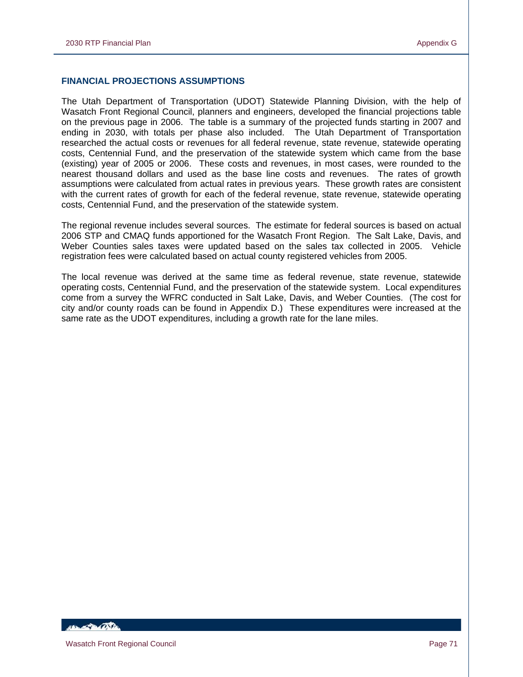#### **FINANCIAL PROJECTIONS ASSUMPTIONS**

The Utah Department of Transportation (UDOT) Statewide Planning Division, with the help of Wasatch Front Regional Council, planners and engineers, developed the financial projections table on the previous page in 2006. The table is a summary of the projected funds starting in 2007 and ending in 2030, with totals per phase also included. The Utah Department of Transportation researched the actual costs or revenues for all federal revenue, state revenue, statewide operating costs, Centennial Fund, and the preservation of the statewide system which came from the base (existing) year of 2005 or 2006. These costs and revenues, in most cases, were rounded to the nearest thousand dollars and used as the base line costs and revenues. The rates of growth assumptions were calculated from actual rates in previous years. These growth rates are consistent with the current rates of growth for each of the federal revenue, state revenue, statewide operating costs, Centennial Fund, and the preservation of the statewide system.

The regional revenue includes several sources. The estimate for federal sources is based on actual 2006 STP and CMAQ funds apportioned for the Wasatch Front Region. The Salt Lake, Davis, and Weber Counties sales taxes were updated based on the sales tax collected in 2005. Vehicle registration fees were calculated based on actual county registered vehicles from 2005.

The local revenue was derived at the same time as federal revenue, state revenue, statewide operating costs, Centennial Fund, and the preservation of the statewide system. Local expenditures come from a survey the WFRC conducted in Salt Lake, Davis, and Weber Counties. (The cost for city and/or county roads can be found in Appendix D.) These expenditures were increased at the same rate as the UDOT expenditures, including a growth rate for the lane miles.

HELL POLITICS